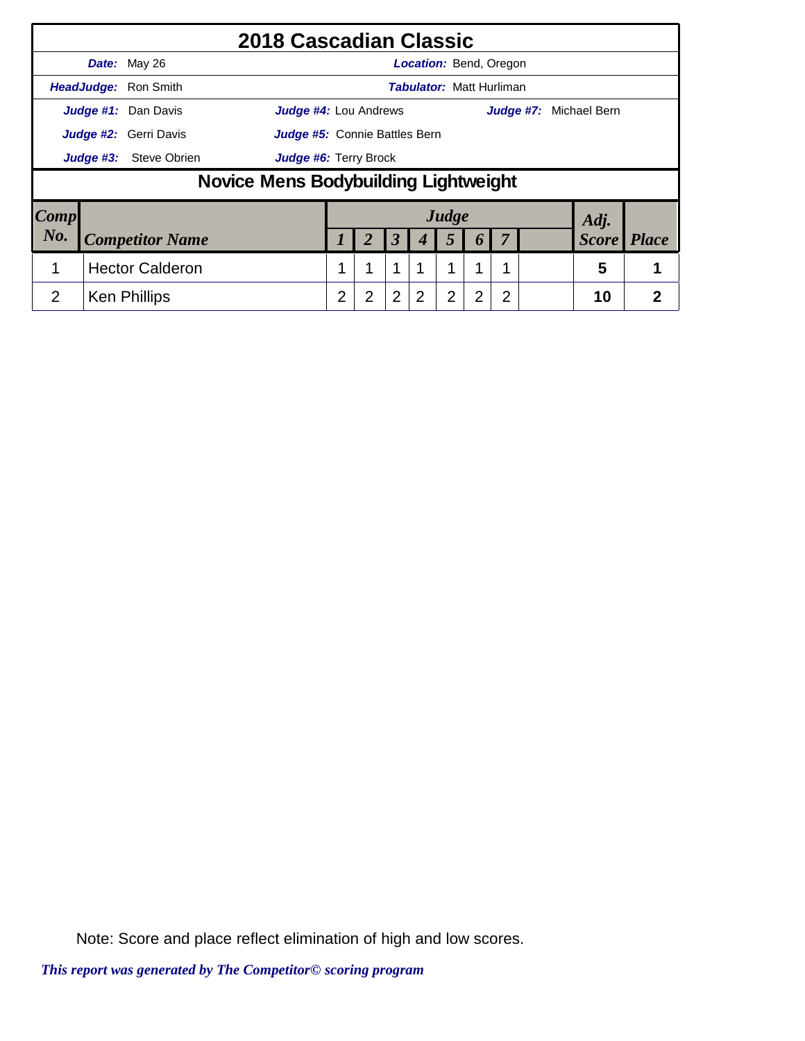|                        |                                                                                                               |                             | 2018 Cascadian Classic               |                |                |                      |                                 |       |                  |   |  |                               |                |
|------------------------|---------------------------------------------------------------------------------------------------------------|-----------------------------|--------------------------------------|----------------|----------------|----------------------|---------------------------------|-------|------------------|---|--|-------------------------------|----------------|
|                        |                                                                                                               | Date: May 26                |                                      |                |                |                      | <b>Location: Bend, Oregon</b>   |       |                  |   |  |                               |                |
|                        |                                                                                                               | <b>HeadJudge: Ron Smith</b> |                                      |                |                |                      | <b>Tabulator: Matt Hurliman</b> |       |                  |   |  |                               |                |
|                        | Judge #1: Dan Davis<br>Judge #4: Lou Andrews<br>Judge #2: Gerri Davis<br><b>Judge #5:</b> Connie Battles Bern |                             |                                      |                |                |                      |                                 |       |                  |   |  | <b>Judge #7:</b> Michael Bern |                |
|                        |                                                                                                               |                             |                                      |                |                |                      |                                 |       |                  |   |  |                               |                |
|                        | Judge #3:                                                                                                     | <b>Steve Obrien</b>         | Judge #6: Terry Brock                |                |                |                      |                                 |       |                  |   |  |                               |                |
|                        |                                                                                                               |                             | Novice Mens Bodybuilding Lightweight |                |                |                      |                                 |       |                  |   |  |                               |                |
| $\lfloor Comp \rfloor$ |                                                                                                               |                             |                                      |                |                |                      |                                 | Judge |                  |   |  | Adj.                          |                |
| No.                    |                                                                                                               | <b>Competitor Name</b>      |                                      |                |                | $\boldsymbol{\beta}$ |                                 | 5     | $\boldsymbol{0}$ |   |  | <b>Score</b>                  | <b>Place</b>   |
| 1                      |                                                                                                               | <b>Hector Calderon</b>      |                                      |                | 1              | 1                    |                                 |       | 1                |   |  | 5                             |                |
| 2                      |                                                                                                               | <b>Ken Phillips</b>         |                                      | $\overline{2}$ | $\overline{2}$ | $\overline{2}$       | 2                               | 2     | $\overline{2}$   | 2 |  | 10                            | $\overline{2}$ |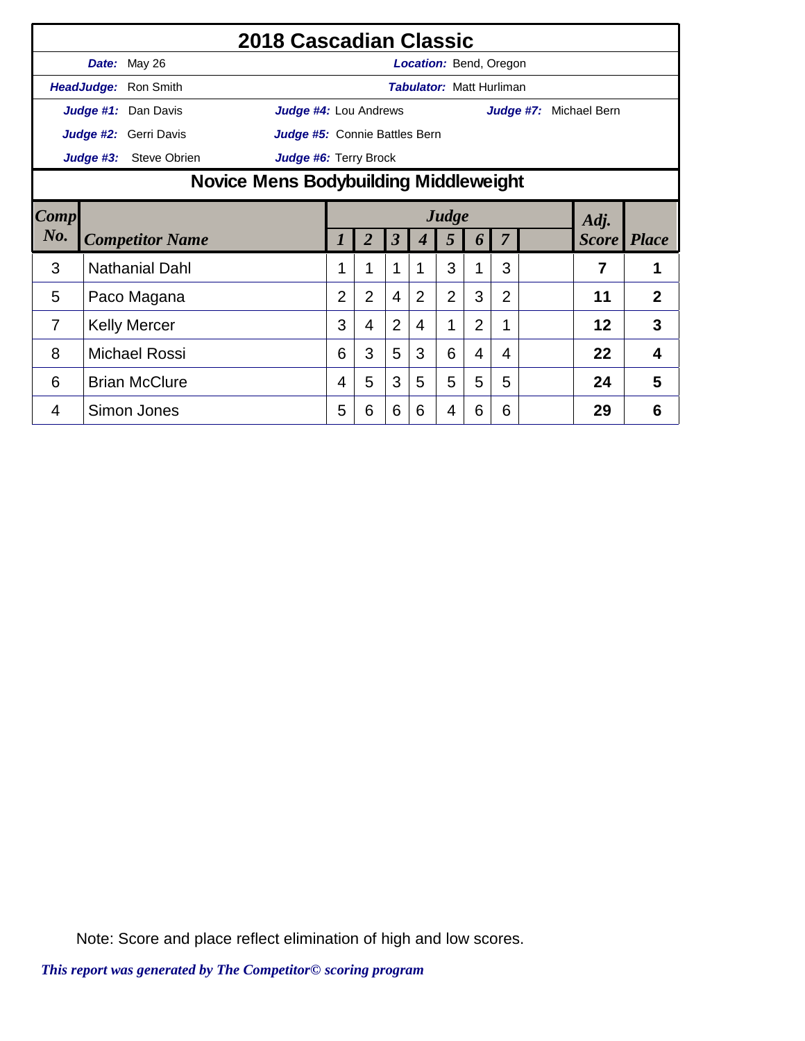|      |                                                                             |                               | 2018 Cascadian Classic |                |                |                         |                                 |                |                |                |  |                        |                |
|------|-----------------------------------------------------------------------------|-------------------------------|------------------------|----------------|----------------|-------------------------|---------------------------------|----------------|----------------|----------------|--|------------------------|----------------|
|      |                                                                             | Date: May 26                  |                        |                |                |                         | <b>Location: Bend, Oregon</b>   |                |                |                |  |                        |                |
|      | HeadJudge:                                                                  | Ron Smith                     |                        |                |                |                         | <b>Tabulator: Matt Hurliman</b> |                |                |                |  |                        |                |
|      |                                                                             | Judge #1: Dan Davis           | Judge #4: Lou Andrews  |                |                |                         |                                 |                |                |                |  | Judge #7: Michael Bern |                |
|      | Judge #2: Gerri Davis                                                       | Judge #5: Connie Battles Bern |                        |                |                |                         |                                 |                |                |                |  |                        |                |
|      |                                                                             | <b>Steve Obrien</b>           |                        |                |                |                         |                                 |                |                |                |  |                        |                |
|      | Judge #3:<br>Judge #6: Terry Brock<br>Novice Mens Bodybuilding Middleweight |                               |                        |                |                |                         |                                 |                |                |                |  |                        |                |
| Comp |                                                                             |                               |                        |                |                |                         |                                 | Judge          |                |                |  | Adj.                   |                |
| No.  |                                                                             | <b>Competitor Name</b>        |                        | 1              | $\overline{2}$ | $\overline{\mathbf{3}}$ | 4                               | 5              | 6              | 7              |  | <b>Score</b> Place     |                |
| 3    |                                                                             | <b>Nathanial Dahl</b>         |                        | 1              | 1              | $\mathbf{1}$            | 1                               | 3              | 1              | 3              |  | 7                      | 1              |
| 5    |                                                                             | Paco Magana                   |                        | $\overline{2}$ | $\overline{2}$ | $\overline{4}$          | $\overline{2}$                  | $\overline{2}$ | 3              | $\overline{2}$ |  | 11                     | $\overline{2}$ |
| 7    |                                                                             | <b>Kelly Mercer</b>           |                        | 3              | $\overline{4}$ | $\overline{2}$          | 4                               | 1              | $\overline{2}$ | 1              |  | 12                     | 3              |
| 8    |                                                                             | <b>Michael Rossi</b>          |                        | 6              | 3              | 5                       | 3                               | 6              | 4              | 4              |  | 22                     | 4              |
| 6    |                                                                             | <b>Brian McClure</b>          |                        | 4              | 5              | 3                       | 5                               | 5              | 5              | 5              |  | 24                     | 5              |
|      |                                                                             |                               |                        |                |                |                         |                                 |                |                |                |  |                        |                |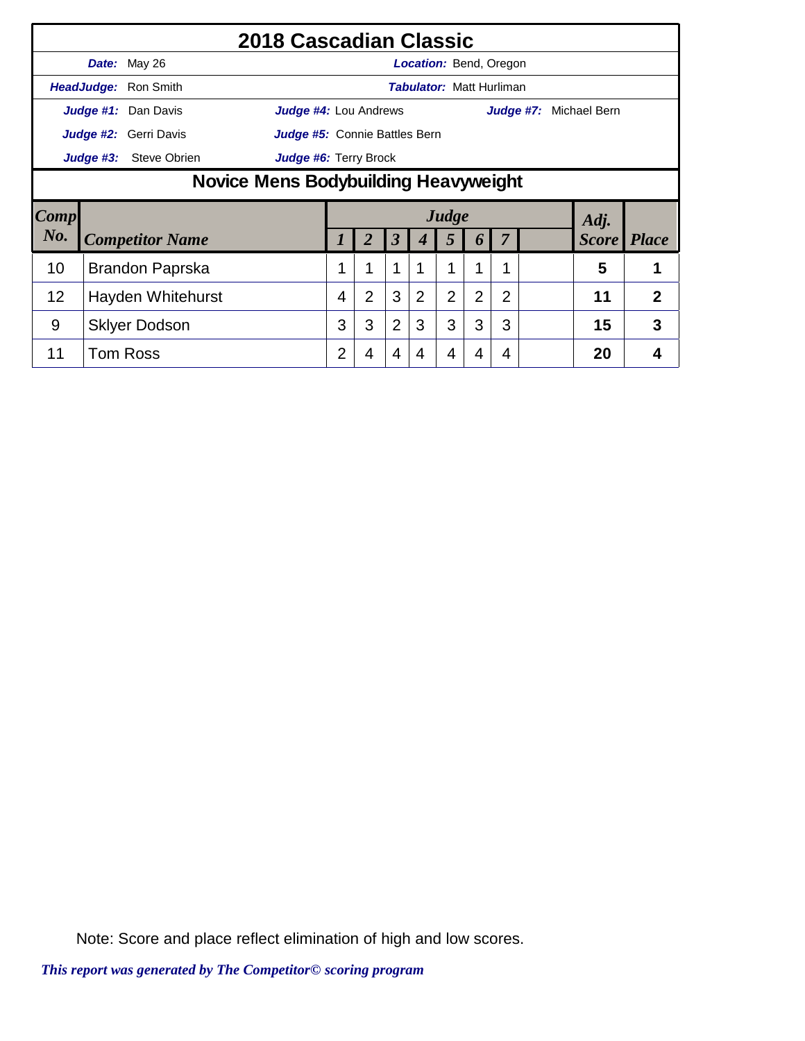|        |                                                        | 2018 Cascadian Classic |                       |   |                |                      |   |                |                                 |                |  |                      |              |
|--------|--------------------------------------------------------|------------------------|-----------------------|---|----------------|----------------------|---|----------------|---------------------------------|----------------|--|----------------------|--------------|
|        |                                                        | Date: May 26           |                       |   |                |                      |   |                | <b>Location: Bend, Oregon</b>   |                |  |                      |              |
|        |                                                        | HeadJudge: Ron Smith   |                       |   |                |                      |   |                | <b>Tabulator: Matt Hurliman</b> |                |  |                      |              |
|        |                                                        | Judge #1: Dan Davis    | Judge #4: Lou Andrews |   |                |                      |   |                |                                 | Judge #7:      |  | Michael Bern         |              |
|        | Judge #2: Gerri Davis<br>Judge #5: Connie Battles Bern |                        |                       |   |                |                      |   |                |                                 |                |  |                      |              |
|        | Judge #6: Terry Brock<br>Judge #3:<br>Steve Obrien     |                        |                       |   |                |                      |   |                |                                 |                |  |                      |              |
|        | Novice Mens Bodybuilding Heavyweight                   |                        |                       |   |                |                      |   |                |                                 |                |  |                      |              |
|        |                                                        |                        |                       |   |                |                      |   |                |                                 |                |  |                      |              |
| Comp   |                                                        |                        |                       |   |                |                      |   | Judge          |                                 |                |  |                      |              |
| $N0$ . |                                                        | <b>Competitor Name</b> |                       |   |                | $\boldsymbol{\beta}$ |   | 5              | <sup>o</sup>                    |                |  | Adj.<br><b>Score</b> | <b>Place</b> |
| 10     |                                                        | Brandon Paprska        |                       |   | 1              | 1                    | 1 | 1              | 1                               | 1              |  | 5                    | 1            |
| 12     |                                                        | Hayden Whitehurst      |                       | 4 | $\overline{2}$ | 3                    | 2 | $\overline{2}$ | 2                               | $\overline{2}$ |  | 11                   | 2            |
| 9      |                                                        | <b>Sklyer Dodson</b>   |                       | 3 | 3              | $\overline{2}$       | 3 | 3              | 3                               | 3              |  | 15                   | 3            |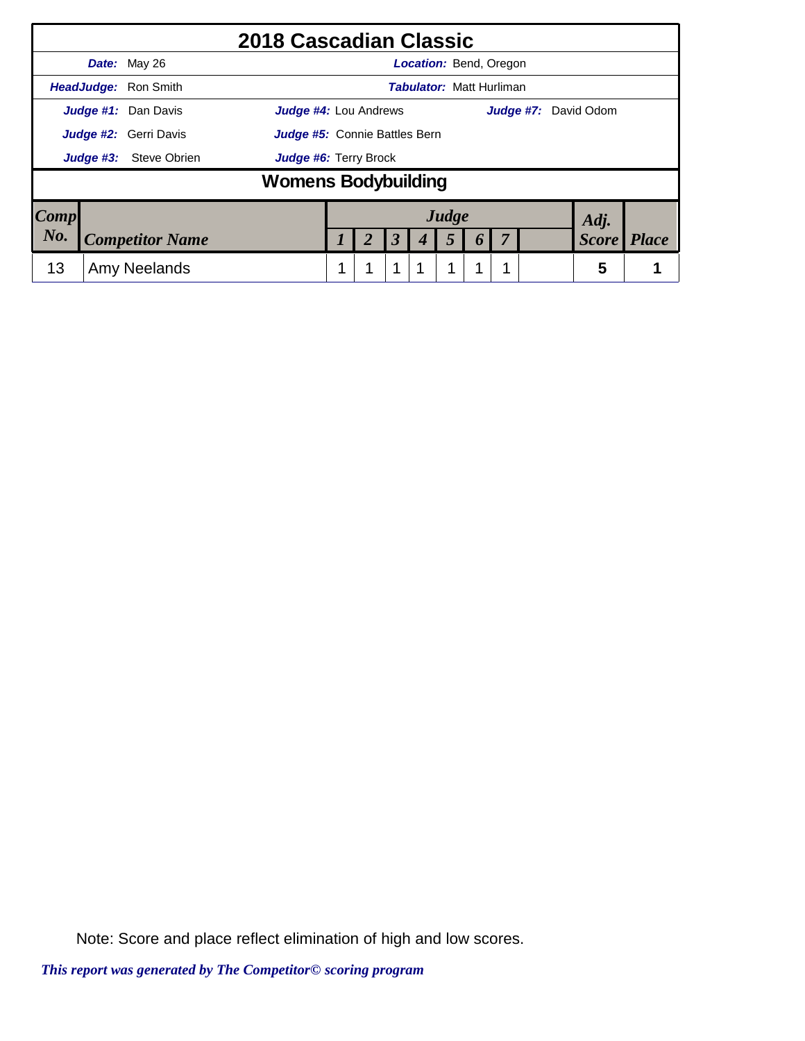|           |                             | 2018 Cascadian Classic                                      |  |  |   |                                 |                |   |  |  |              |              |
|-----------|-----------------------------|-------------------------------------------------------------|--|--|---|---------------------------------|----------------|---|--|--|--------------|--------------|
|           | <b>Date:</b> May 26         |                                                             |  |  |   | <b>Location: Bend, Oregon</b>   |                |   |  |  |              |              |
|           | <b>HeadJudge: Ron Smith</b> |                                                             |  |  |   | <b>Tabulator: Matt Hurliman</b> |                |   |  |  |              |              |
|           | Judge #1: Dan Davis         | <b>Judge #4: Lou Andrews</b><br><b>Judge #7:</b> David Odom |  |  |   |                                 |                |   |  |  |              |              |
|           | Judge #2: Gerri Davis       | Judge #5: Connie Battles Bern                               |  |  |   |                                 |                |   |  |  |              |              |
| Judge #3: | Steve Obrien                | <b>Judge #6: Terry Brock</b>                                |  |  |   |                                 |                |   |  |  |              |              |
|           |                             | <b>Womens Bodybuilding</b>                                  |  |  |   |                                 |                |   |  |  |              |              |
| Comp      |                             |                                                             |  |  |   |                                 | Judge          |   |  |  | Adj.         |              |
| No.       | <b>Competitor Name</b>      |                                                             |  |  | 3 |                                 | $\mathfrak{Z}$ | O |  |  | <b>Score</b> | <b>Place</b> |
| 13        | Amy Neelands                |                                                             |  |  |   |                                 |                |   |  |  | 5            |              |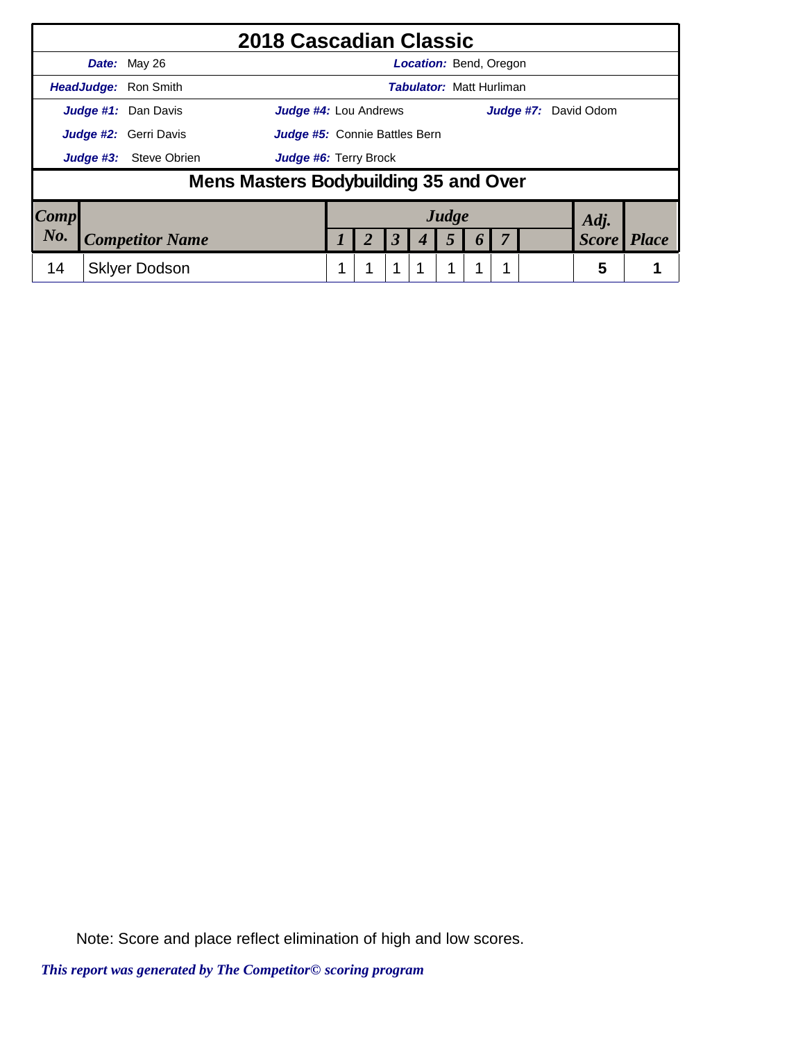|                        |                                                                             | 2018 Cascadian Classic                |                       |  |  |                      |  |                                 |  |  |  |              |              |
|------------------------|-----------------------------------------------------------------------------|---------------------------------------|-----------------------|--|--|----------------------|--|---------------------------------|--|--|--|--------------|--------------|
|                        |                                                                             | <b>Date:</b> May 26                   |                       |  |  |                      |  | <b>Location: Bend, Oregon</b>   |  |  |  |              |              |
|                        |                                                                             | <b>HeadJudge: Ron Smith</b>           |                       |  |  |                      |  | <b>Tabulator: Matt Hurliman</b> |  |  |  |              |              |
|                        | Judge #1: Dan Davis<br><b>Judge #4: Lou Andrews</b><br>Judge #7: David Odom |                                       |                       |  |  |                      |  |                                 |  |  |  |              |              |
|                        | Judge #2: Gerri Davis<br><b>Judge #5:</b> Connie Battles Bern               |                                       |                       |  |  |                      |  |                                 |  |  |  |              |              |
|                        | Judge #3:                                                                   | Steve Obrien                          | Judge #6: Terry Brock |  |  |                      |  |                                 |  |  |  |              |              |
|                        |                                                                             | Mens Masters Bodybuilding 35 and Over |                       |  |  |                      |  |                                 |  |  |  |              |              |
| $\lfloor Comp \rfloor$ |                                                                             |                                       |                       |  |  |                      |  | Judge                           |  |  |  | Adj.         |              |
| $N_{0}$ .              |                                                                             | <b>Competitor Name</b>                |                       |  |  | $\boldsymbol{\beta}$ |  | 5                               |  |  |  | <b>Score</b> | <b>Place</b> |
| 14                     |                                                                             | <b>Skiver Dodson</b>                  |                       |  |  |                      |  |                                 |  |  |  | 5            |              |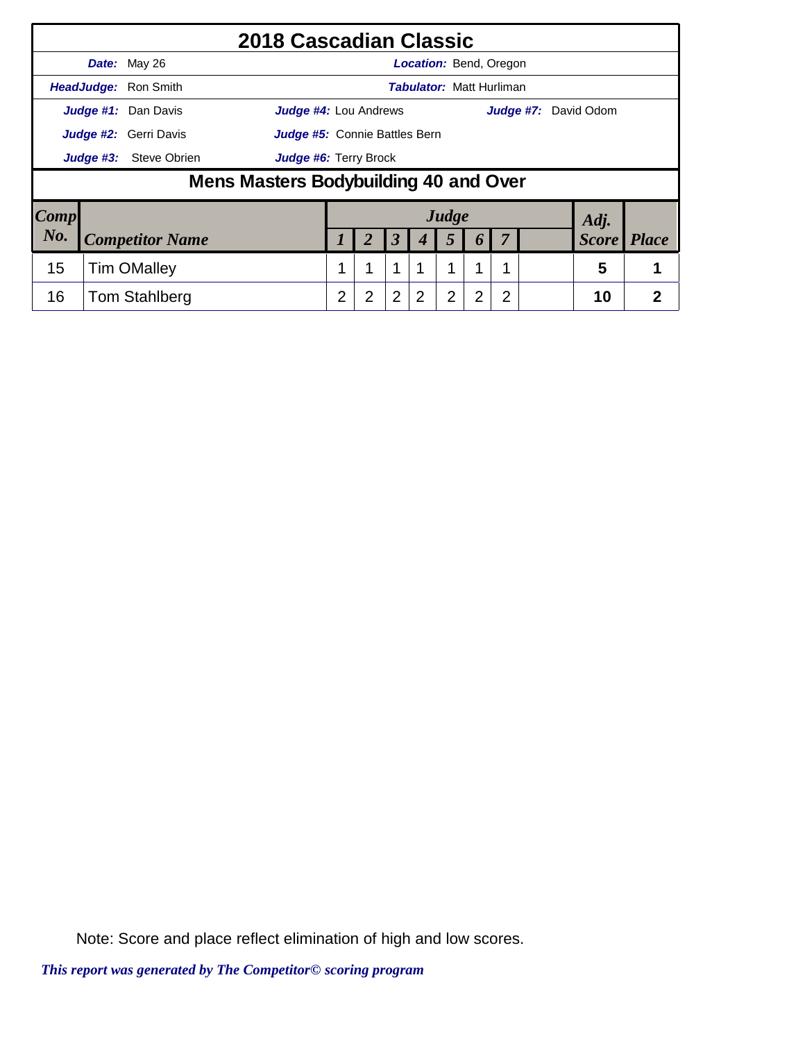|                        |                              |                               | 2018 Cascadian Classic                |   |   |                |                                 |                |                  |   |  |                             |                |
|------------------------|------------------------------|-------------------------------|---------------------------------------|---|---|----------------|---------------------------------|----------------|------------------|---|--|-----------------------------|----------------|
|                        |                              | Date: May 26                  |                                       |   |   |                | <b>Location:</b> Bend, Oregon   |                |                  |   |  |                             |                |
|                        |                              | HeadJudge: Ron Smith          |                                       |   |   |                | <b>Tabulator: Matt Hurliman</b> |                |                  |   |  |                             |                |
|                        |                              | Judge #1: Dan Davis           | <b>Judge #4: Lou Andrews</b>          |   |   |                |                                 |                |                  |   |  | <b>Judge #7:</b> David Odom |                |
|                        | <b>Judge #2:</b> Gerri Davis | Judge #5: Connie Battles Bern |                                       |   |   |                |                                 |                |                  |   |  |                             |                |
|                        | Judge #3:                    | Judge #6: Terry Brock         |                                       |   |   |                |                                 |                |                  |   |  |                             |                |
|                        |                              |                               | Mens Masters Bodybuilding 40 and Over |   |   |                |                                 |                |                  |   |  |                             |                |
| $\lfloor Comp \rfloor$ |                              |                               |                                       |   |   |                |                                 | Judge          |                  |   |  | Adj.                        |                |
| No.                    |                              | <b>Competitor Name</b>        |                                       |   | 2 | 3              |                                 | 5              | $\boldsymbol{0}$ |   |  | <b>Score</b>                | <b>Place</b>   |
| 15                     |                              | <b>Tim OMalley</b>            |                                       |   |   | 1              |                                 | 1              | 1                |   |  | 5                           |                |
| 16                     |                              | <b>Tom Stahlberg</b>          |                                       | 2 | 2 | $\overline{2}$ | 2                               | $\overline{2}$ | 2                | 2 |  | 10                          | $\overline{2}$ |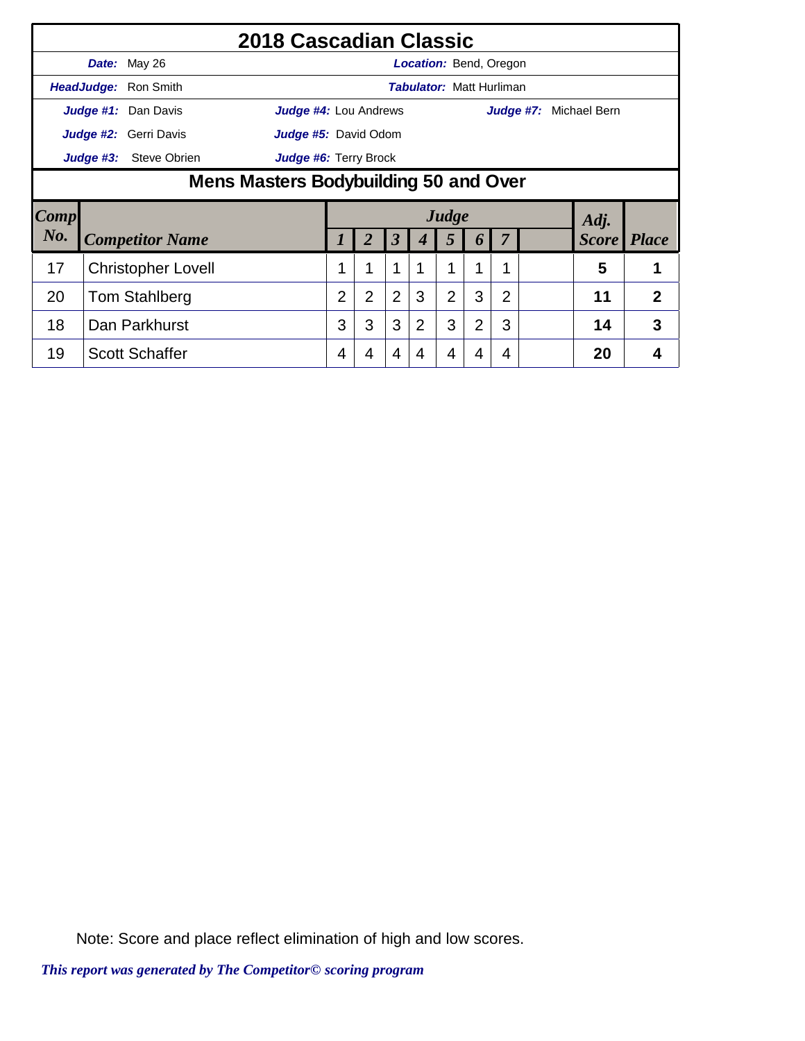|        |                                                           | 2018 Cascadian Classic                        |                       |                |                      |             |                                 |                |                |           |  |              |                |
|--------|-----------------------------------------------------------|-----------------------------------------------|-----------------------|----------------|----------------------|-------------|---------------------------------|----------------|----------------|-----------|--|--------------|----------------|
|        |                                                           | Date: May 26                                  |                       |                |                      |             | <b>Location:</b> Bend, Oregon   |                |                |           |  |              |                |
|        |                                                           | HeadJudge: Ron Smith                          |                       |                |                      |             | <b>Tabulator: Matt Hurliman</b> |                |                |           |  |              |                |
|        |                                                           | Judge #1: Dan Davis                           | Judge #4: Lou Andrews |                |                      |             |                                 |                |                | Judge #7: |  | Michael Bern |                |
|        |                                                           | Judge #2: Gerri Davis<br>Judge #5: David Odom |                       |                |                      |             |                                 |                |                |           |  |              |                |
|        | <b>Steve Obrien</b><br>Judge #6: Terry Brock<br>Judge #3: |                                               |                       |                |                      |             |                                 |                |                |           |  |              |                |
|        | Mens Masters Bodybuilding 50 and Over                     |                                               |                       |                |                      |             |                                 |                |                |           |  |              |                |
| Comp   |                                                           |                                               |                       |                |                      |             | Judge                           |                |                |           |  | Adj.         |                |
| $N0$ . |                                                           | <b>Competitor Name</b>                        |                       | 2              | $\boldsymbol{\beta}$ | 4           | 5                               | 6              |                |           |  | <b>Score</b> | <b>Place</b>   |
| 17     |                                                           | <b>Christopher Lovell</b>                     | 1                     |                | 1                    | $\mathbf 1$ | 1                               | 1              | 1              |           |  | 5            |                |
| 20     |                                                           | <b>Tom Stahlberg</b>                          | $\overline{2}$        | $\overline{2}$ | $\overline{2}$       | 3           | $\overline{2}$                  | 3              | $\overline{2}$ |           |  | 11           | $\overline{2}$ |
| 18     |                                                           | Dan Parkhurst                                 | 3                     | 3              | 3                    | 2           | 3                               | $\overline{2}$ | 3              |           |  | 14           | 3              |
|        |                                                           |                                               |                       |                |                      |             |                                 |                |                |           |  |              |                |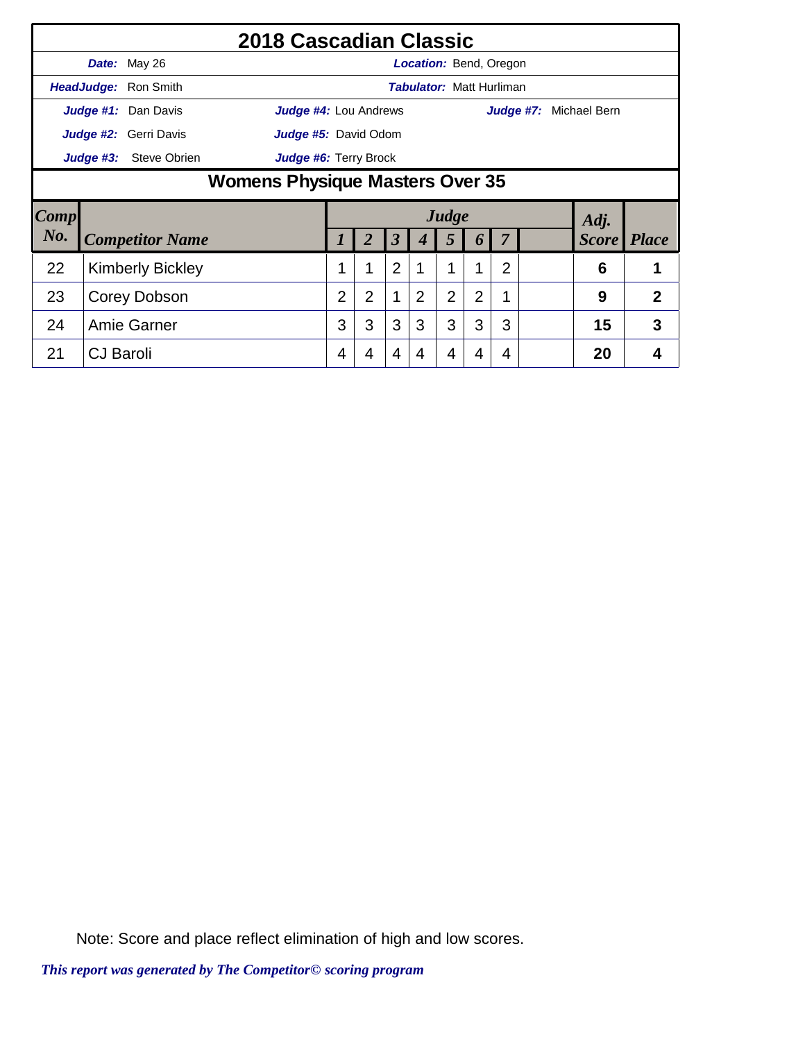|      |                                                           |                         | 2018 Cascadian Classic |                |                |                |                |                                 |   |                |  |                      |              |
|------|-----------------------------------------------------------|-------------------------|------------------------|----------------|----------------|----------------|----------------|---------------------------------|---|----------------|--|----------------------|--------------|
|      |                                                           | Date: May 26            |                        |                |                |                |                | <b>Location:</b> Bend, Oregon   |   |                |  |                      |              |
|      |                                                           | HeadJudge: Ron Smith    |                        |                |                |                |                | <b>Tabulator: Matt Hurliman</b> |   |                |  |                      |              |
|      |                                                           | Judge #1: Dan Davis     | Judge #4: Lou Andrews  |                |                |                |                |                                 |   | Judge #7:      |  | Michael Bern         |              |
|      | Judge #2: Gerri Davis<br>Judge #5: David Odom             |                         |                        |                |                |                |                |                                 |   |                |  |                      |              |
|      | Judge #3:<br>Steve Obrien<br><b>Judge #6: Terry Brock</b> |                         |                        |                |                |                |                |                                 |   |                |  |                      |              |
|      | Womens Physique Masters Over 35                           |                         |                        |                |                |                |                |                                 |   |                |  |                      |              |
|      |                                                           |                         |                        |                |                |                |                |                                 |   |                |  |                      |              |
| Comp |                                                           |                         |                        |                |                |                |                | Judge                           |   |                |  |                      |              |
| No.  |                                                           | <b>Competitor Name</b>  |                        |                | 2              | 3              | 4              | 5                               | 6 |                |  | Adj.<br><b>Score</b> | <b>Place</b> |
| 22   |                                                           | <b>Kimberly Bickley</b> |                        | 1              | 1              | $\overline{2}$ | 1              | 1                               | 1 | $\overline{2}$ |  | 6                    | 1            |
| 23   |                                                           | Corey Dobson            |                        | $\overline{2}$ | $\overline{2}$ | 1              | $\overline{2}$ | $\overline{2}$                  | 2 | 1              |  | 9                    | 2            |
| 24   |                                                           | Amie Garner             |                        | 3              | 3              | 3              | 3              | 3                               | 3 | 3              |  | 15                   | 3            |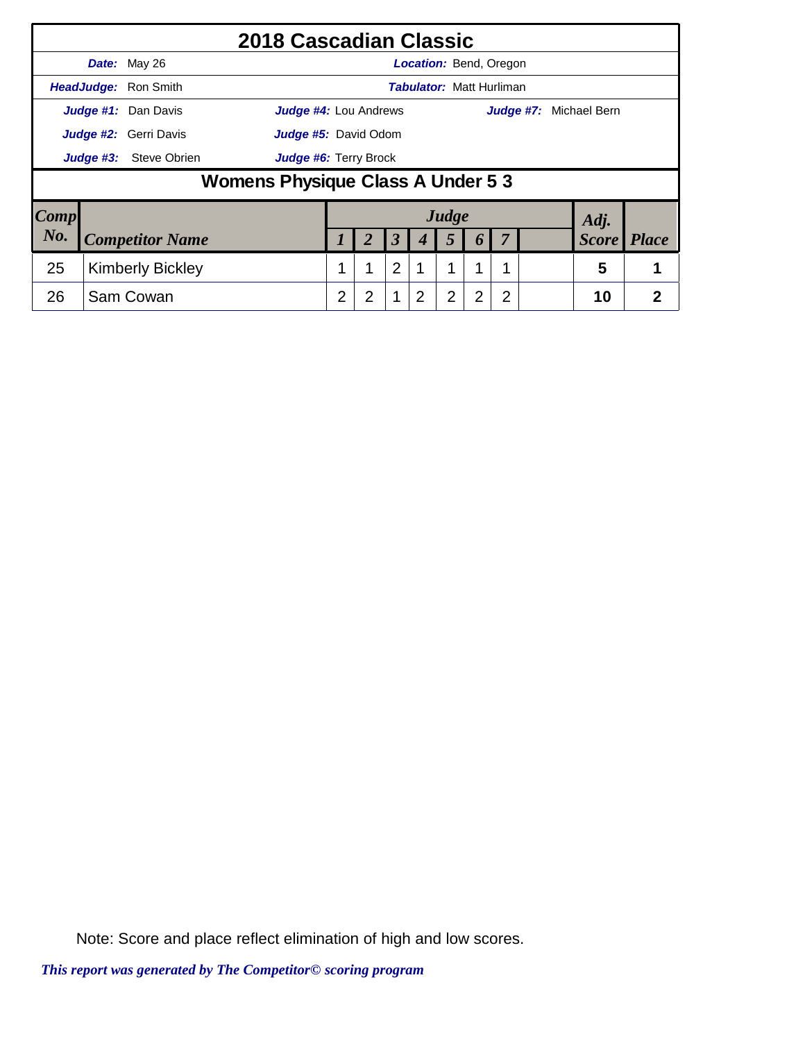|                        |           |                         | 2018 Cascadian Classic            |   |   |                |                                 |                |                  |   |                        |                |
|------------------------|-----------|-------------------------|-----------------------------------|---|---|----------------|---------------------------------|----------------|------------------|---|------------------------|----------------|
|                        |           | Date: May 26            |                                   |   |   |                | <b>Location:</b> Bend, Oregon   |                |                  |   |                        |                |
|                        |           | HeadJudge: Ron Smith    |                                   |   |   |                | <b>Tabulator: Matt Hurliman</b> |                |                  |   |                        |                |
|                        |           | Judge #1: Dan Davis     | <b>Judge #4: Lou Andrews</b>      |   |   |                |                                 |                |                  |   | Judge #7: Michael Bern |                |
|                        |           | Judge #2: Gerri Davis   | <b>Judge #5:</b> David Odom       |   |   |                |                                 |                |                  |   |                        |                |
|                        | Judge #3: | <b>Steve Obrien</b>     | Judge #6: Terry Brock             |   |   |                |                                 |                |                  |   |                        |                |
|                        |           |                         | Womens Physique Class A Under 5 3 |   |   |                |                                 |                |                  |   |                        |                |
| $\lfloor Comp \rfloor$ |           |                         |                                   |   |   |                |                                 | Judge          |                  |   | Adj.                   |                |
| No.                    |           | <b>Competitor Name</b>  |                                   |   | 2 | 3              |                                 | 5              | $\boldsymbol{0}$ |   | <b>Score</b>           | <b>Place</b>   |
| 25                     |           | <b>Kimberly Bickley</b> |                                   |   | 1 | $\overline{2}$ |                                 | 1              | 1                |   | 5                      |                |
| 26                     |           | Sam Cowan               |                                   | 2 | 2 | $\mathbf 1$    | $\overline{2}$                  | $\overline{2}$ | 2                | 2 | 10                     | $\overline{2}$ |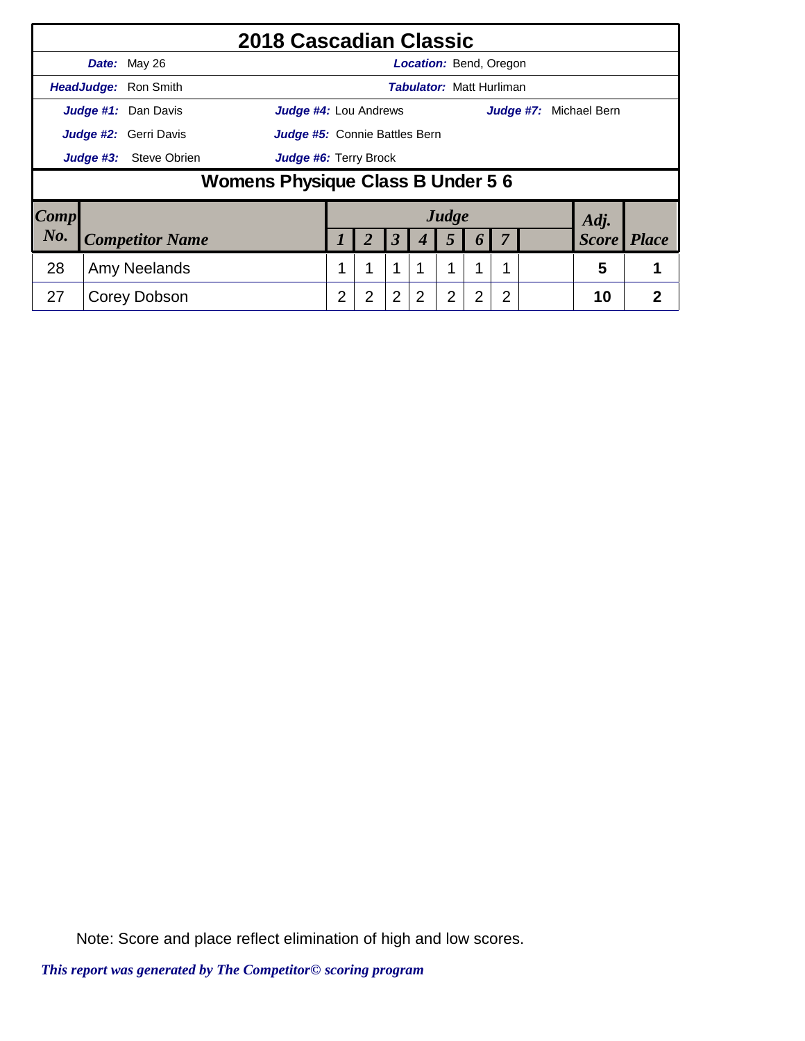|                        |           |                        | 2018 Cascadian Classic            |   |   |                      |                |                                 |                  |   |                        |                |
|------------------------|-----------|------------------------|-----------------------------------|---|---|----------------------|----------------|---------------------------------|------------------|---|------------------------|----------------|
|                        |           | Date: May 26           |                                   |   |   |                      |                | <b>Location:</b> Bend, Oregon   |                  |   |                        |                |
|                        |           | HeadJudge: Ron Smith   |                                   |   |   |                      |                | <b>Tabulator: Matt Hurliman</b> |                  |   |                        |                |
|                        |           | Judge #1: Dan Davis    | <b>Judge #4: Lou Andrews</b>      |   |   |                      |                |                                 |                  |   | Judge #7: Michael Bern |                |
|                        |           | Judge #2: Gerri Davis  | Judge #5: Connie Battles Bern     |   |   |                      |                |                                 |                  |   |                        |                |
|                        | Judge #3: | Judge #6: Terry Brock  |                                   |   |   |                      |                |                                 |                  |   |                        |                |
|                        |           |                        | Womens Physique Class B Under 5 6 |   |   |                      |                |                                 |                  |   |                        |                |
| $\lfloor Comp \rfloor$ |           |                        |                                   |   |   |                      |                | Judge                           |                  |   | Adj.                   |                |
| No.                    |           | <b>Competitor Name</b> |                                   |   | 2 | $\boldsymbol{\beta}$ |                | 5                               | $\boldsymbol{0}$ |   | <b>Score</b>           | <b>Place</b>   |
| 28                     |           | Amy Neelands           |                                   |   |   | 1                    |                | 1                               | 1                |   | 5                      |                |
| 27                     |           | Corey Dobson           |                                   | 2 | 2 | $\overline{2}$       | $\overline{2}$ | $\overline{2}$                  | 2                | 2 | 10                     | $\overline{2}$ |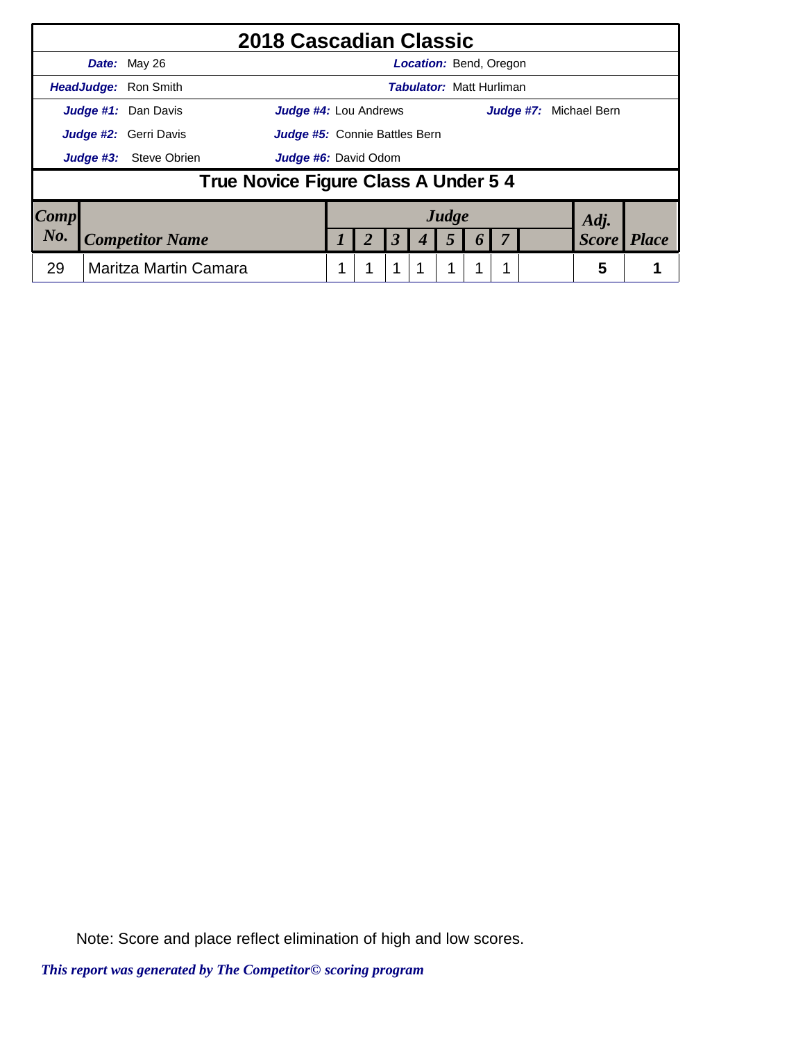|                        |           | 2018 Cascadian Classic                                        |  |                      |                                 |  |                        |              |
|------------------------|-----------|---------------------------------------------------------------|--|----------------------|---------------------------------|--|------------------------|--------------|
|                        |           | Date: May 26                                                  |  |                      | <b>Location: Bend, Oregon</b>   |  |                        |              |
|                        |           | <b>HeadJudge: Ron Smith</b>                                   |  |                      | <b>Tabulator: Matt Hurliman</b> |  |                        |              |
|                        |           | Judge #1: Dan Davis<br><b>Judge #4: Lou Andrews</b>           |  |                      |                                 |  | Judge #7: Michael Bern |              |
|                        |           | Judge #2: Gerri Davis<br><b>Judge #5:</b> Connie Battles Bern |  |                      |                                 |  |                        |              |
|                        | Judge #3: | Steve Obrien<br><b>Judge #6:</b> David Odom                   |  |                      |                                 |  |                        |              |
|                        |           | True Novice Figure Class A Under 5 4                          |  |                      |                                 |  |                        |              |
| $\lfloor Comp \rfloor$ |           |                                                               |  |                      | Judge                           |  | Adj.                   |              |
| $N_{0}$                |           | <b>Competitor Name</b>                                        |  | $\boldsymbol{\beta}$ |                                 |  | <b>Score</b>           | <b>Place</b> |
| 29                     |           | Maritza Martin Camara                                         |  |                      |                                 |  | 5                      |              |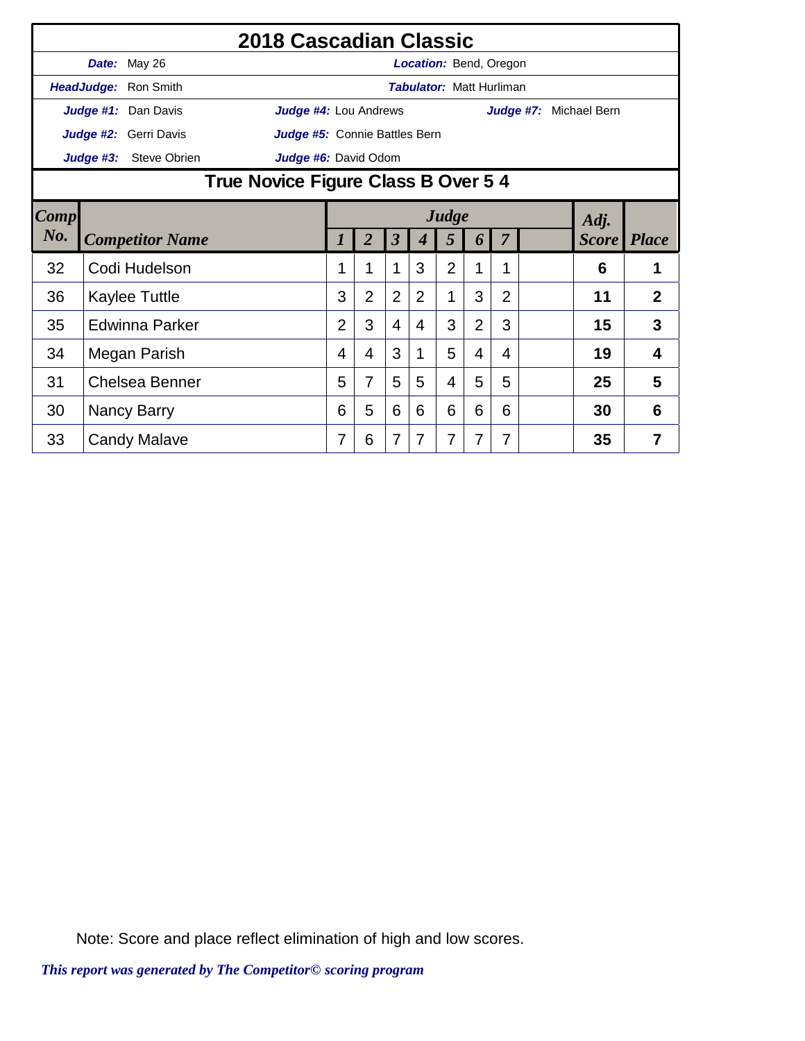|             |                                                             |                        | 2018 Cascadian Classic        |                |                |                      |                                 |                |                |                |                        |                    |                |
|-------------|-------------------------------------------------------------|------------------------|-------------------------------|----------------|----------------|----------------------|---------------------------------|----------------|----------------|----------------|------------------------|--------------------|----------------|
|             |                                                             | Date: May 26           |                               |                |                |                      | Location: Bend, Oregon          |                |                |                |                        |                    |                |
|             |                                                             | HeadJudge: Ron Smith   |                               |                |                |                      | <b>Tabulator: Matt Hurliman</b> |                |                |                |                        |                    |                |
|             |                                                             | Judge #1: Dan Davis    | <b>Judge #4: Lou Andrews</b>  |                |                |                      |                                 |                |                |                | Judge #7: Michael Bern |                    |                |
|             |                                                             | Judge #2: Gerri Davis  | Judge #5: Connie Battles Bern |                |                |                      |                                 |                |                |                |                        |                    |                |
|             | Judge #3:                                                   | <b>Steve Obrien</b>    |                               |                |                |                      |                                 |                |                |                |                        |                    |                |
|             | Judge #6: David Odom<br>True Novice Figure Class B Over 5 4 |                        |                               |                |                |                      |                                 |                |                |                |                        |                    |                |
| <b>Comp</b> |                                                             |                        |                               |                |                |                      |                                 | Judge          |                |                |                        | Adj.               |                |
| No.         |                                                             | <b>Competitor Name</b> |                               | 1              | $\overline{2}$ | $\boldsymbol{\beta}$ | 4                               | 5              | 6              | 7              |                        | <b>Score</b> Place |                |
| 32          |                                                             | Codi Hudelson          |                               |                | 1              | 1                    | 3                               | $\overline{2}$ | 1              | 1              |                        | 6                  | 1              |
| 36          |                                                             | <b>Kaylee Tuttle</b>   |                               | 3              | $\overline{2}$ | $\overline{2}$       | $\overline{2}$                  | 1              | 3              | $\overline{2}$ |                        | 11                 | $\overline{2}$ |
| 35          |                                                             | <b>Edwinna Parker</b>  |                               | $\overline{2}$ | 3              | $\overline{4}$       | 4                               | 3              | $\overline{2}$ | 3              |                        | 15                 | 3              |
| 34          |                                                             | Megan Parish           |                               | 4              | 4              | 3                    | 1                               | 5              | $\overline{4}$ | 4              |                        | 19                 | 4              |
| 31          |                                                             | <b>Chelsea Benner</b>  |                               | 5              | 7              | 5                    | 5                               | 4              | 5              | 5              |                        | 25                 | 5              |
| 30          |                                                             | Nancy Barry            |                               | 6              | 5              | 6                    | 6                               | 6              | 6              | 6              |                        | 30                 | 6              |
| 33          |                                                             | <b>Candy Malave</b>    |                               | 7              | 6              | $\overline{7}$       | 7                               | $\overline{7}$ | 7              | 7              |                        | 35                 | 7              |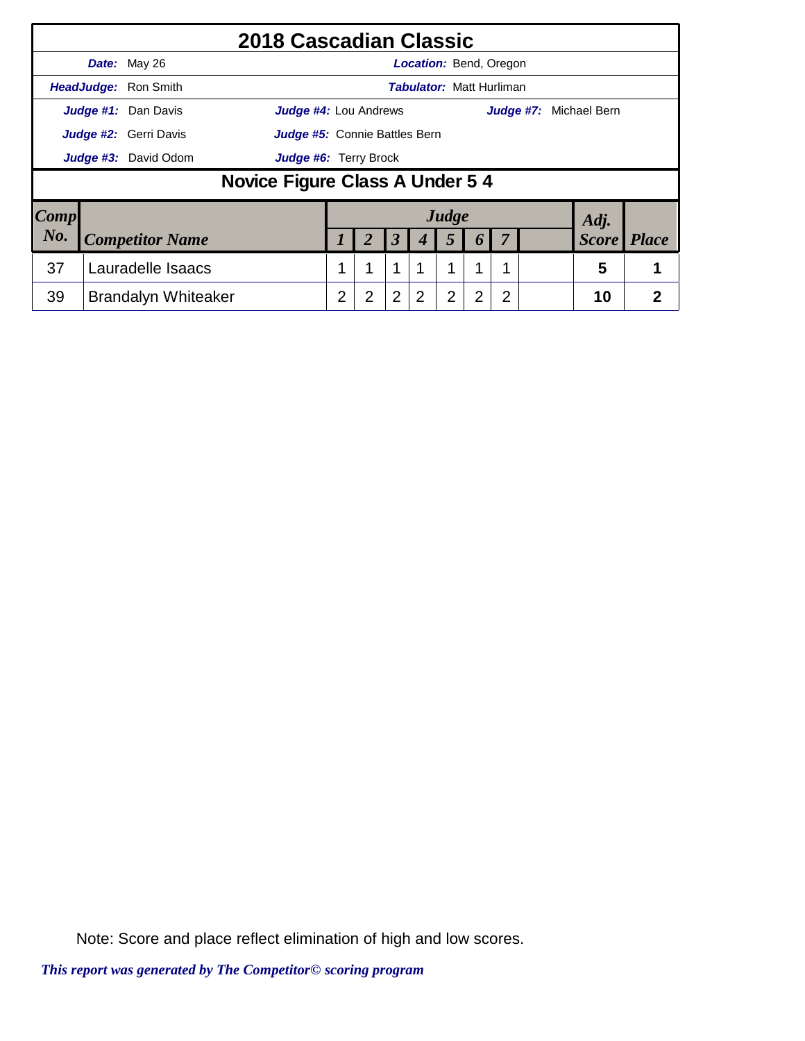|                     |                              | 2018 Cascadian Classic          |   |                |                      |                                 |                |                       |                |  |                               |                |
|---------------------|------------------------------|---------------------------------|---|----------------|----------------------|---------------------------------|----------------|-----------------------|----------------|--|-------------------------------|----------------|
|                     | Date: May 26                 |                                 |   |                |                      | <b>Location: Bend, Oregon</b>   |                |                       |                |  |                               |                |
|                     | HeadJudge: Ron Smith         |                                 |   |                |                      | <b>Tabulator: Matt Hurliman</b> |                |                       |                |  |                               |                |
|                     | Judge #1: Dan Davis          | <b>Judge #4:</b> Lou Andrews    |   |                |                      |                                 |                |                       |                |  | <b>Judge #7:</b> Michael Bern |                |
|                     | <b>Judge #2:</b> Gerri Davis | Judge #5: Connie Battles Bern   |   |                |                      |                                 |                |                       |                |  |                               |                |
|                     | Judge #3: David Odom         | Judge #6: Terry Brock           |   |                |                      |                                 |                |                       |                |  |                               |                |
|                     |                              | Novice Figure Class A Under 5 4 |   |                |                      |                                 |                |                       |                |  |                               |                |
| $\boldsymbol{Comp}$ |                              |                                 |   |                |                      |                                 | Judge          |                       |                |  | Adj.                          |                |
| No.                 | <b>Competitor Name</b>       |                                 |   | 2              | $\boldsymbol{\beta}$ | 4                               | 5              | $\boldsymbol{\theta}$ | 7              |  | <b>Score</b>                  | <i>Place</i>   |
| 37                  | Lauradelle Isaacs            |                                 |   |                | 1                    |                                 | 1              | 1                     |                |  | 5                             |                |
| 39                  | <b>Brandalyn Whiteaker</b>   |                                 | 2 | $\overline{2}$ | $\overline{2}$       | 2                               | $\overline{2}$ | 2                     | $\overline{2}$ |  | 10                            | $\overline{2}$ |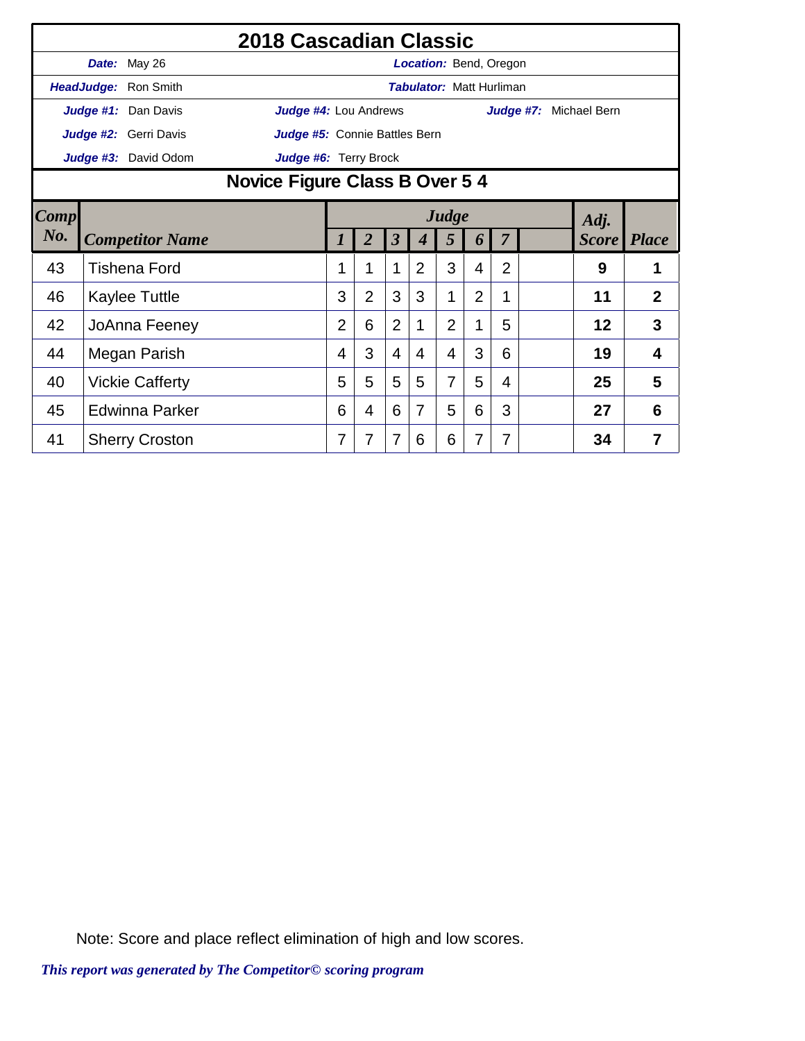|        |                        | 2018 Cascadian Classic         |                |                |                      |                  |                                 |                |                |              |                |
|--------|------------------------|--------------------------------|----------------|----------------|----------------------|------------------|---------------------------------|----------------|----------------|--------------|----------------|
|        | Date: May 26           |                                |                |                |                      |                  | Location: Bend, Oregon          |                |                |              |                |
|        | HeadJudge: Ron Smith   |                                |                |                |                      |                  | <b>Tabulator: Matt Hurliman</b> |                |                |              |                |
|        | Judge #1: Dan Davis    | Judge #4: Lou Andrews          |                |                |                      |                  |                                 |                | Judge #7:      | Michael Bern |                |
|        | Judge #2: Gerri Davis  | Judge #5: Connie Battles Bern  |                |                |                      |                  |                                 |                |                |              |                |
|        | Judge #3: David Odom   | Judge #6: Terry Brock          |                |                |                      |                  |                                 |                |                |              |                |
|        |                        | Novice Figure Class B Over 5 4 |                |                |                      |                  |                                 |                |                |              |                |
| Comp   |                        |                                |                |                |                      |                  | Judge                           |                |                | Adj.         |                |
| $N0$ . | <b>Competitor Name</b> |                                |                | $\overline{2}$ | $\boldsymbol{\beta}$ | $\boldsymbol{4}$ | 5                               | 6              | $\overline{7}$ | <b>Score</b> | <i>Place</i>   |
| 43     | <b>Tishena Ford</b>    |                                |                |                | 1                    | $\overline{2}$   | 3                               | 4              | $\overline{2}$ | 9            |                |
| 46     | Kaylee Tuttle          |                                | 3              | $\overline{2}$ | 3                    | 3                | 1                               | $\overline{2}$ | 1              | 11           | $\overline{2}$ |
| 42     | JoAnna Feeney          |                                | $\overline{2}$ | 6              | $\overline{2}$       | 1                | $\overline{2}$                  | 1              | 5              | 12           | 3              |
| 44     | Megan Parish           |                                | 4              | 3              | 4                    | 4                | $\overline{4}$                  | 3              | 6              | 19           | $\overline{4}$ |
| 40     | <b>Vickie Cafferty</b> |                                | 5              | 5              | 5                    | 5                | $\overline{7}$                  | 5              | 4              | 25           | 5              |
| 45     | <b>Edwinna Parker</b>  |                                | 6              | 4              | 6                    | 7                | 5                               | 6              | 3              | 27           | 6              |
| 41     | <b>Sherry Croston</b>  |                                | 7              | 7              | $\overline{7}$       | 6                | 6                               | 7              | 7              | 34           | $\overline{7}$ |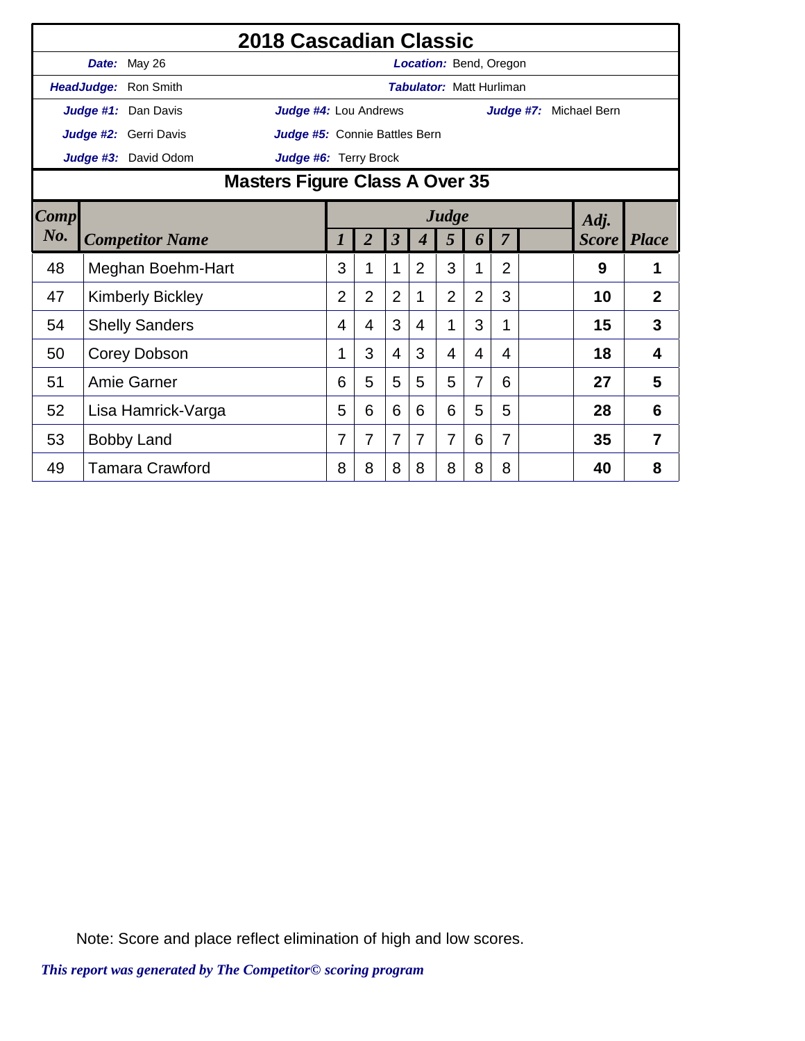|      |                         | 2018 Cascadian Classic                  |                     |                |                         |                |                                 |                |                |                        |              |                |
|------|-------------------------|-----------------------------------------|---------------------|----------------|-------------------------|----------------|---------------------------------|----------------|----------------|------------------------|--------------|----------------|
|      | Date: May 26            |                                         |                     |                |                         |                | <b>Location: Bend, Oregon</b>   |                |                |                        |              |                |
|      | HeadJudge: Ron Smith    |                                         |                     |                |                         |                | <b>Tabulator: Matt Hurliman</b> |                |                |                        |              |                |
|      | Judge #1: Dan Davis     | Judge #4: Lou Andrews                   |                     |                |                         |                |                                 |                |                | Judge #7: Michael Bern |              |                |
|      | Judge #2: Gerri Davis   | Judge #5: Connie Battles Bern           |                     |                |                         |                |                                 |                |                |                        |              |                |
|      | Judge #3: David Odom    | Judge #6: Terry Brock                   |                     |                |                         |                |                                 |                |                |                        |              |                |
|      |                         | Masters Figure Class A Over 35<br>Judge |                     |                |                         |                |                                 |                |                |                        |              |                |
| Comp |                         |                                         |                     |                |                         |                |                                 |                |                |                        | Adj.         |                |
| No.  | <b>Competitor Name</b>  |                                         | $\boldsymbol{\eta}$ | $\overline{2}$ | $\overline{\mathbf{3}}$ | 4              | 5                               | 6              | 7              |                        | <b>Score</b> | <b>Place</b>   |
| 48   | Meghan Boehm-Hart       |                                         | 3                   | 1              | 1                       | $\overline{2}$ | 3                               | 1              | $\overline{2}$ |                        | 9            | 1              |
| 47   | <b>Kimberly Bickley</b> |                                         | $\overline{2}$      | $\overline{2}$ | $\overline{2}$          | 1              | $\overline{2}$                  | $\overline{2}$ | 3              |                        | 10           | $\overline{2}$ |
| 54   | <b>Shelly Sanders</b>   |                                         | 4                   | 4              | 3                       | 4              | 1                               | 3              | 1              |                        | 15           | 3              |
| 50   | Corey Dobson            |                                         | 1                   | 3              | 4                       | 3              | 4                               | 4              | 4              |                        | 18           | 4              |
| 51   | Amie Garner             |                                         | 6                   | 5              | 5                       | 5              | 5                               | 7              | 6              |                        | 27           | 5              |
| 52   | Lisa Hamrick-Varga      |                                         | 5                   | 6              | 6                       | 6              | 6                               | 5              | 5              |                        | 28           | 6              |
| 53   | <b>Bobby Land</b>       |                                         | 7                   | 7              | 7                       | 7              | 7                               | 6              | 7              |                        | 35           | 7              |
| 49   | <b>Tamara Crawford</b>  |                                         | 8                   | 8              | 8                       | 8              | 8                               | 8              | 8              |                        | 40           | 8              |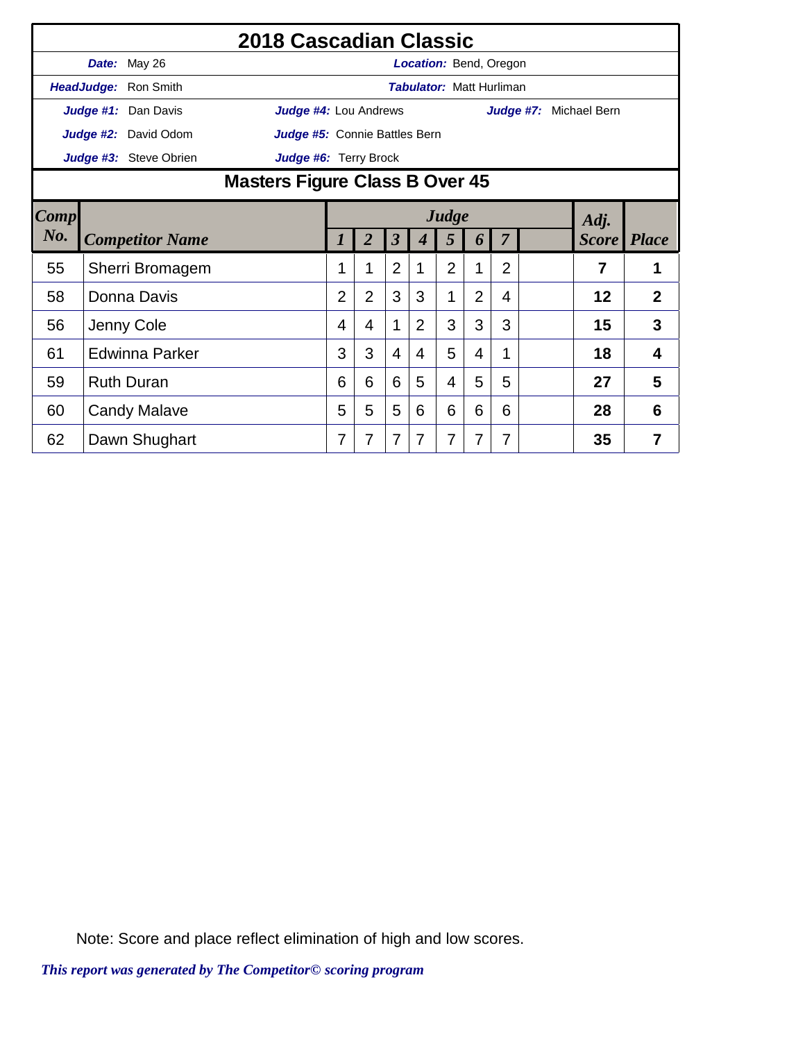|                |               |                        | 2018 Cascadian Classic         |                |                |                |                  |                                 |                |                |                        |                    |                |
|----------------|---------------|------------------------|--------------------------------|----------------|----------------|----------------|------------------|---------------------------------|----------------|----------------|------------------------|--------------------|----------------|
|                |               | Date: May 26           |                                |                |                |                |                  | Location: Bend, Oregon          |                |                |                        |                    |                |
|                |               | HeadJudge: Ron Smith   |                                |                |                |                |                  | <b>Tabulator: Matt Hurliman</b> |                |                |                        |                    |                |
|                |               | Judge #1: Dan Davis    | Judge #4: Lou Andrews          |                |                |                |                  |                                 |                |                | Judge #7: Michael Bern |                    |                |
|                |               | Judge #2: David Odom   | Judge #5: Connie Battles Bern  |                |                |                |                  |                                 |                |                |                        |                    |                |
|                |               | Judge #3: Steve Obrien | Judge #6: Terry Brock          |                |                |                |                  |                                 |                |                |                        |                    |                |
|                |               |                        | Masters Figure Class B Over 45 |                |                |                |                  |                                 |                |                |                        |                    |                |
| $\boxed{Comp}$ | Judge<br>Adj. |                        |                                |                |                |                |                  |                                 |                |                |                        |                    |                |
| No.            |               | <b>Competitor Name</b> |                                |                | $\overline{2}$ | $\mathbf{3}$   | $\boldsymbol{4}$ | 5                               | 6              | $\overline{7}$ |                        | <b>Score</b> Place |                |
| 55             |               | Sherri Bromagem        |                                | 1              |                | $\overline{2}$ | 1                | $\overline{2}$                  | 1              | $\overline{2}$ |                        | 7                  |                |
| 58             |               | Donna Davis            |                                | $\overline{2}$ | $\overline{2}$ | 3              | 3                | 1                               | $\overline{2}$ | 4              |                        | 12                 | $\overline{2}$ |
| 56             |               | Jenny Cole             |                                | 4              | 4              | 1              | 2                | 3                               | 3              | 3              |                        | 15                 | 3              |
| 61             |               | Edwinna Parker         |                                | 3              | 3              | $\overline{4}$ | 4                | 5                               | 4              | 1              |                        | 18                 | 4              |
| 59             |               | <b>Ruth Duran</b>      |                                | 6              | 6              | 6              | 5                | 4                               | 5              | 5              |                        | 27                 | 5              |
| 60             |               | <b>Candy Malave</b>    |                                | 5              | 5              | 5              | 6                | 6                               | 6              | 6              |                        | 28                 | 6              |
| 62             |               | Dawn Shughart          |                                | 7              | 7              | 7              | $\overline{7}$   | 7                               | 7              | 7              |                        | 35                 | $\overline{7}$ |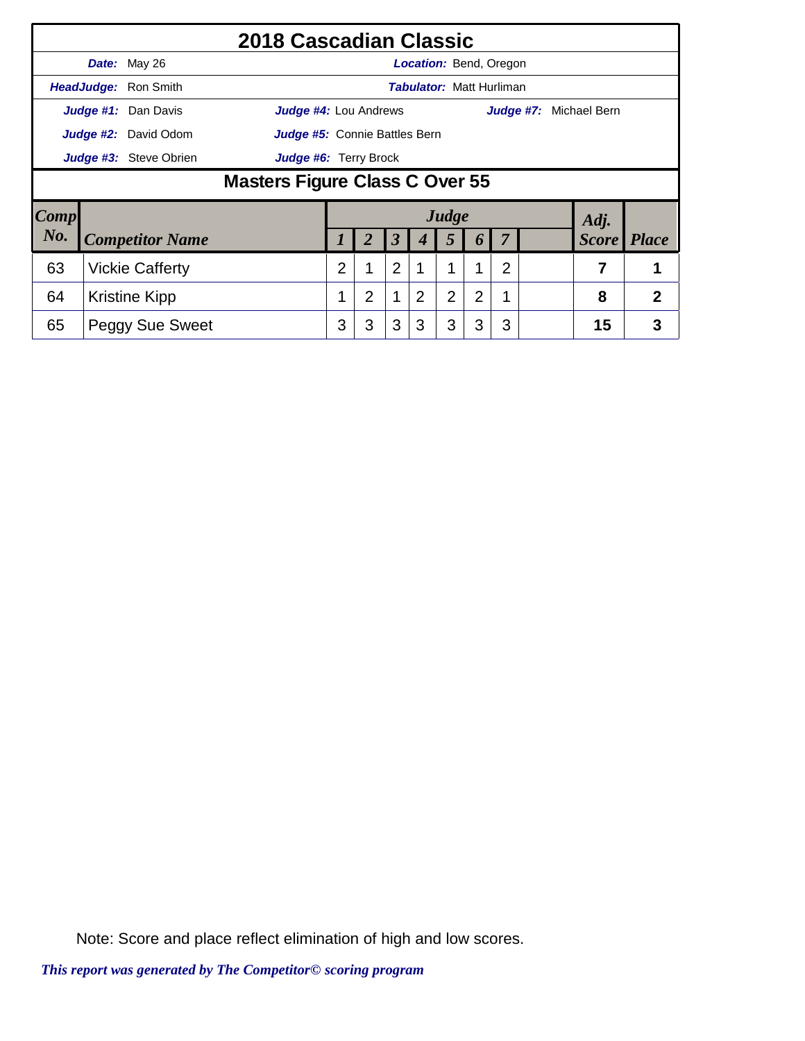|                        |                                                 |                             | 2018 Cascadian Classic        |   |   |                      |                                 |                |                       |                |           |                |                |
|------------------------|-------------------------------------------------|-----------------------------|-------------------------------|---|---|----------------------|---------------------------------|----------------|-----------------------|----------------|-----------|----------------|----------------|
|                        |                                                 | Date: May 26                |                               |   |   |                      | <b>Location: Bend, Oregon</b>   |                |                       |                |           |                |                |
|                        |                                                 | <b>HeadJudge: Ron Smith</b> |                               |   |   |                      | <b>Tabulator: Matt Hurliman</b> |                |                       |                |           |                |                |
|                        |                                                 | Judge #1: Dan Davis         | Judge #4: Lou Andrews         |   |   |                      |                                 |                |                       |                | Judge #7: | Michael Bern   |                |
|                        |                                                 | <b>Judge #2:</b> David Odom | Judge #5: Connie Battles Bern |   |   |                      |                                 |                |                       |                |           |                |                |
|                        | Judge #3: Steve Obrien<br>Judge #6: Terry Brock |                             |                               |   |   |                      |                                 |                |                       |                |           |                |                |
|                        | Masters Figure Class C Over 55                  |                             |                               |   |   |                      |                                 |                |                       |                |           |                |                |
| $\lfloor Comp \rfloor$ |                                                 |                             |                               |   |   |                      |                                 | Judge          |                       |                |           | Adj.           |                |
| No.                    |                                                 | <b>Competitor Name</b>      |                               |   |   | $\boldsymbol{\beta}$ |                                 | 5              | $\boldsymbol{\theta}$ |                |           | <b>Score</b>   | <i>Place</i>   |
| 63                     |                                                 | <b>Vickie Cafferty</b>      |                               | 2 | 1 | $\overline{2}$       |                                 |                |                       | $\overline{2}$ |           | $\overline{7}$ | 1              |
| 64                     |                                                 | <b>Kristine Kipp</b>        |                               |   | 2 | 1                    | 2                               | $\overline{2}$ | 2                     | 1              |           | 8              | $\overline{2}$ |
| 65                     |                                                 | <b>Peggy Sue Sweet</b>      |                               | 3 | 3 | 3                    | 3                               | 3              | 3                     | 3              |           | 15             | 3              |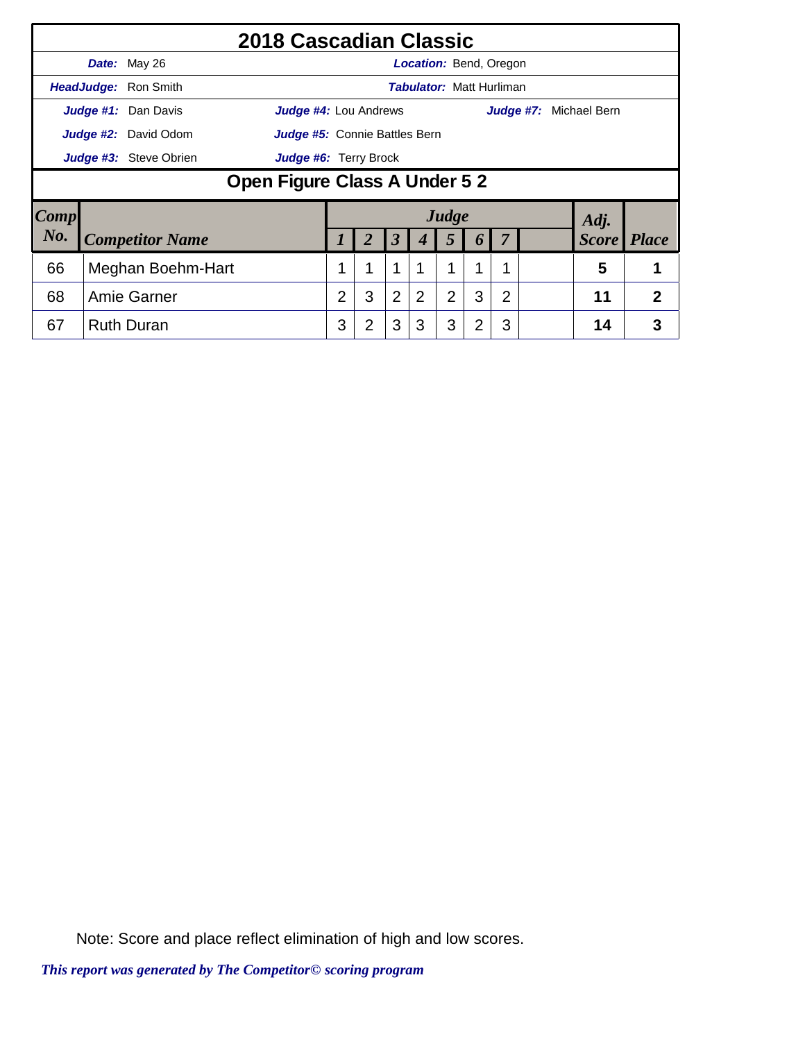|                                                 |                               | 2018 Cascadian Classic                                       |   |   |                |                                 |                |          |                |  |  |                        |              |
|-------------------------------------------------|-------------------------------|--------------------------------------------------------------|---|---|----------------|---------------------------------|----------------|----------|----------------|--|--|------------------------|--------------|
|                                                 |                               | Date: May 26                                                 |   |   |                | <b>Location: Bend, Oregon</b>   |                |          |                |  |  |                        |              |
|                                                 |                               | <b>HeadJudge: Ron Smith</b>                                  |   |   |                | <b>Tabulator: Matt Hurliman</b> |                |          |                |  |  |                        |              |
|                                                 |                               | Judge #1: Dan Davis<br><b>Judge #4:</b> Lou Andrews          |   |   |                |                                 |                |          |                |  |  | Judge #7: Michael Bern |              |
|                                                 |                               | <b>Judge #2:</b> David Odom<br>Judge #5: Connie Battles Bern |   |   |                |                                 |                |          |                |  |  |                        |              |
| Judge #3: Steve Obrien<br>Judge #6: Terry Brock |                               |                                                              |   |   |                |                                 |                |          |                |  |  |                        |              |
|                                                 | Open Figure Class A Under 5 2 |                                                              |   |   |                |                                 |                |          |                |  |  |                        |              |
| $\lfloor Comp \rfloor$                          |                               |                                                              |   |   |                |                                 | Judge          |          |                |  |  | Adj.                   |              |
| No.                                             |                               | <b>Competitor Name</b>                                       |   |   | 3              | 4                               | 5              | $\bm{b}$ | $\overline{7}$ |  |  | <i>Score</i>           | <i>Place</i> |
| 66                                              |                               | Meghan Boehm-Hart                                            |   | 1 | 1              |                                 | 1              | 1        | 1              |  |  | 5                      |              |
| 68                                              |                               | Amie Garner                                                  | 2 | 3 | $\overline{2}$ | $\overline{2}$                  | $\overline{2}$ | 3        | $\overline{2}$ |  |  | 11                     | 2            |
| 67                                              |                               | <b>Ruth Duran</b>                                            | 3 | 2 | 3              | 3                               | 3              | 2        | 3              |  |  | 14                     | 3            |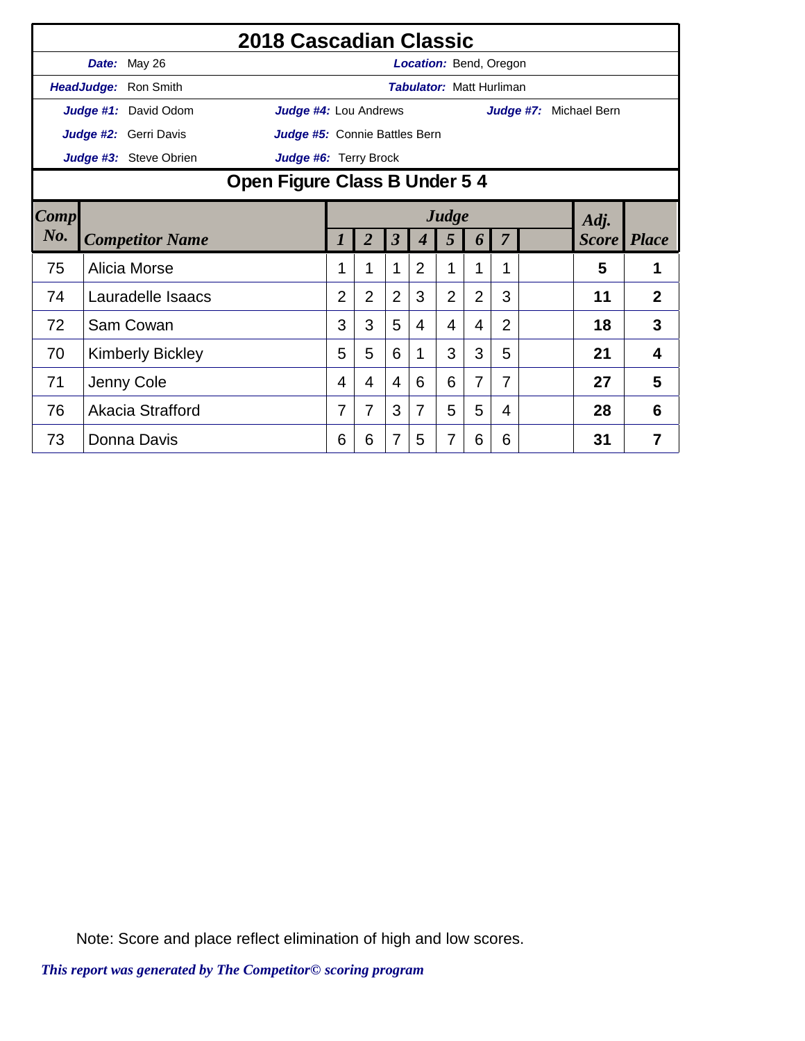|                |                         | 2018 Cascadian Classic        |                |                |                      |                  |                                 |                |                |           |              |                |
|----------------|-------------------------|-------------------------------|----------------|----------------|----------------------|------------------|---------------------------------|----------------|----------------|-----------|--------------|----------------|
|                | Date: May 26            |                               |                |                |                      |                  | <b>Location: Bend, Oregon</b>   |                |                |           |              |                |
|                | HeadJudge: Ron Smith    |                               |                |                |                      |                  | <b>Tabulator: Matt Hurliman</b> |                |                |           |              |                |
|                | Judge #1: David Odom    | Judge #4: Lou Andrews         |                |                |                      |                  |                                 |                |                | Judge #7: | Michael Bern |                |
|                | Judge #2: Gerri Davis   | Judge #5: Connie Battles Bern |                |                |                      |                  |                                 |                |                |           |              |                |
|                | Judge #3: Steve Obrien  | Judge #6: Terry Brock         |                |                |                      |                  |                                 |                |                |           |              |                |
|                |                         | Open Figure Class B Under 5 4 |                |                |                      |                  |                                 |                |                |           |              |                |
| $\boxed{Comp}$ |                         | Judge<br>Adj.                 |                |                |                      |                  |                                 |                |                |           |              |                |
| No.            | <b>Competitor Name</b>  |                               | 1              | $\overline{2}$ | $\boldsymbol{\beta}$ | $\boldsymbol{4}$ | 5                               | 6              | $\overline{7}$ |           | <b>Score</b> | <i>Place</i>   |
| 75             | Alicia Morse            |                               | 1              |                | 1                    | 2                | 1                               | 1              | 1              |           | 5            |                |
| 74             | Lauradelle Isaacs       |                               | $\overline{2}$ | $\overline{2}$ | $\overline{2}$       | 3                | $\overline{2}$                  | $\overline{2}$ | 3              |           | 11           | $\overline{2}$ |
| 72             | Sam Cowan               |                               | 3              | 3              | 5                    | 4                | 4                               | 4              | $\overline{2}$ |           | 18           | 3              |
| 70             | <b>Kimberly Bickley</b> |                               | 5              | 5              | 6                    | 1                | 3                               | 3              | 5              |           | 21           | 4              |
| 71             | Jenny Cole              |                               | 4              | 4              | $\overline{4}$       | 6                | 6                               | 7              | 7              |           | 27           | 5              |
| 76             | Akacia Strafford        |                               | 7              | 7              | 3                    | $\overline{7}$   | 5                               | 5              | $\overline{4}$ |           | 28           | 6              |
| 73             | Donna Davis             |                               | 6              | 6              | 7                    | 5                | 7                               | 6              | 6              |           | 31           | 7              |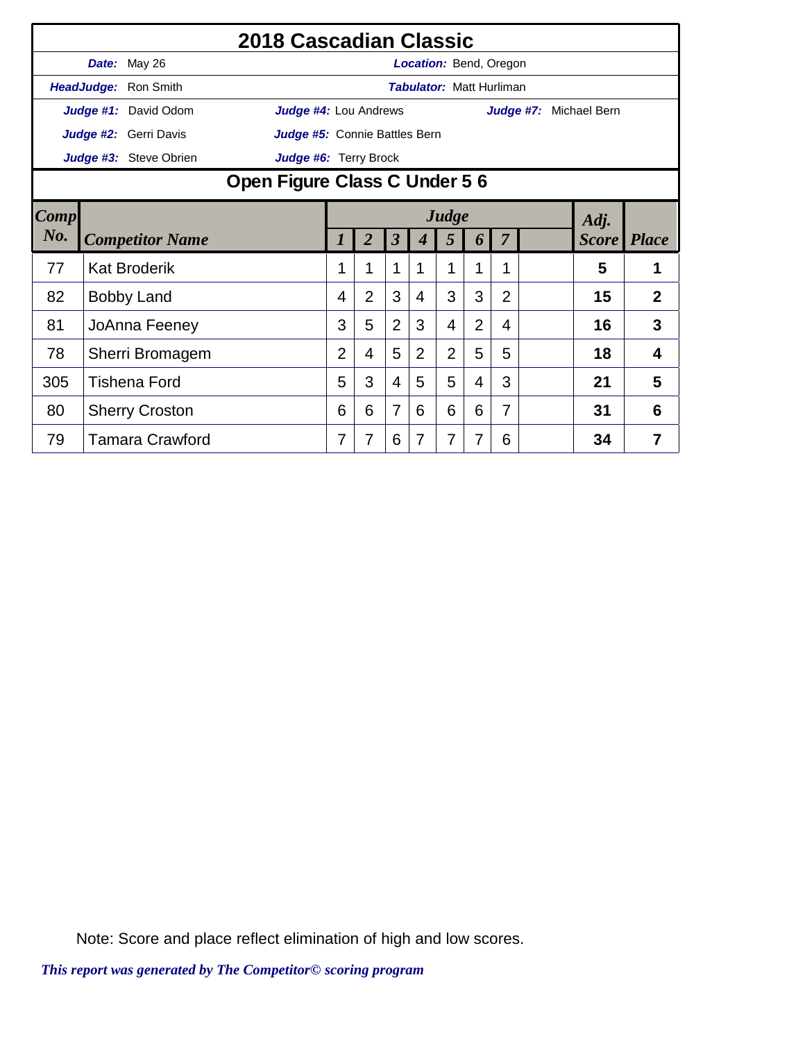|                |                        | 2018 Cascadian Classic        |                |                |                         |                                 |                |                |                |           |                    |                |
|----------------|------------------------|-------------------------------|----------------|----------------|-------------------------|---------------------------------|----------------|----------------|----------------|-----------|--------------------|----------------|
|                | Date: May 26           |                               |                |                |                         | Location: Bend, Oregon          |                |                |                |           |                    |                |
|                | HeadJudge: Ron Smith   |                               |                |                |                         | <b>Tabulator: Matt Hurliman</b> |                |                |                |           |                    |                |
|                | Judge #1: David Odom   | Judge #4: Lou Andrews         |                |                |                         |                                 |                |                |                | Judge #7: | Michael Bern       |                |
|                | Judge #2: Gerri Davis  | Judge #5: Connie Battles Bern |                |                |                         |                                 |                |                |                |           |                    |                |
|                | Judge #3: Steve Obrien | Judge #6: Terry Brock         |                |                |                         |                                 |                |                |                |           |                    |                |
|                |                        | Open Figure Class C Under 5 6 |                |                |                         |                                 |                |                |                |           |                    |                |
| $\boxed{Comp}$ |                        |                               |                | Judge          |                         |                                 |                | Adj.           |                |           |                    |                |
| $N0$ .         | <b>Competitor Name</b> |                               | 1              | $\overline{2}$ | $\overline{\mathbf{3}}$ | $\boldsymbol{4}$                | 5              | 6              | $\overline{7}$ |           | <b>Score</b> Place |                |
| 77             | <b>Kat Broderik</b>    |                               | 1              |                | 1                       |                                 | 1              | 1              | 1              |           | 5                  |                |
| 82             | <b>Bobby Land</b>      |                               | 4              | $\overline{2}$ | 3                       | 4                               | 3              | 3              | $\overline{2}$ |           | 15                 | $\overline{2}$ |
| 81             | JoAnna Feeney          |                               | 3              | 5              | $\overline{2}$          | 3                               | 4              | $\overline{2}$ | 4              |           | 16                 | 3              |
| 78             | Sherri Bromagem        |                               | $\overline{2}$ | 4              | 5                       | $\overline{2}$                  | $\overline{2}$ | 5              | 5              |           | 18                 | 4              |
| 305            | <b>Tishena Ford</b>    |                               | 5              | 3              | 4                       | 5                               | 5              | 4              | 3              |           | 21                 | 5              |
| 80             | <b>Sherry Croston</b>  |                               | 6              | 6              | $\overline{7}$          | 6                               | 6              | 6              | 7              |           | 31                 | 6              |
| 79             | <b>Tamara Crawford</b> |                               | 7              | 7              | 6                       | 7                               | 7              | 7              | 6              |           | 34                 | $\overline{7}$ |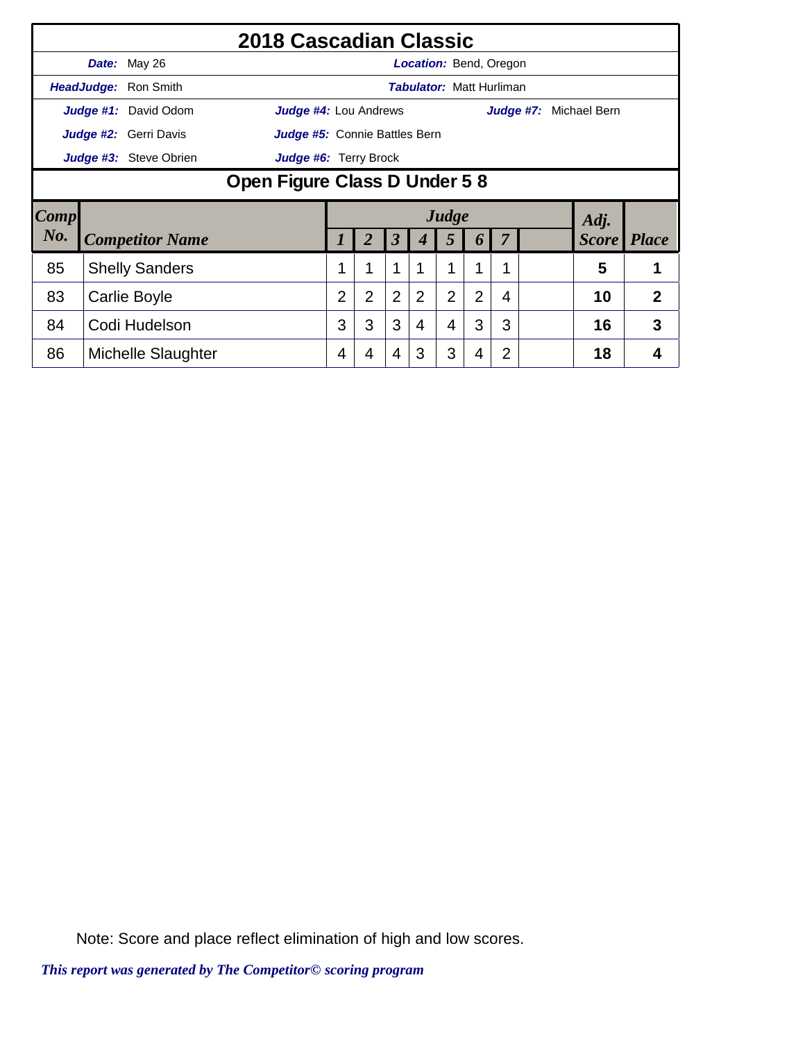|      |                              | 2018 Cascadian Classic        |                |                |                |                |                |                                 |           |  |  |              |              |
|------|------------------------------|-------------------------------|----------------|----------------|----------------|----------------|----------------|---------------------------------|-----------|--|--|--------------|--------------|
|      | Date: May 26                 |                               |                |                |                |                |                | <b>Location:</b> Bend, Oregon   |           |  |  |              |              |
|      | <b>HeadJudge:</b> Ron Smith  |                               |                |                |                |                |                | <b>Tabulator: Matt Hurliman</b> |           |  |  |              |              |
|      | Judge #1: David Odom         | Judge #4: Lou Andrews         |                |                |                |                |                |                                 | Judge #7: |  |  | Michael Bern |              |
|      | Judge #2: Gerri Davis        | Judge #5: Connie Battles Bern |                |                |                |                |                |                                 |           |  |  |              |              |
|      | Judge #3: Steve Obrien       | Judge #6: Terry Brock         |                |                |                |                |                |                                 |           |  |  |              |              |
|      | Open Figure Class D Under 58 |                               |                |                |                |                |                |                                 |           |  |  |              |              |
| Comp |                              |                               |                |                |                |                | Judge          |                                 |           |  |  | Adj.         |              |
| No.  | <b>Competitor Name</b>       |                               |                | 2              | 3              | 4              | 5              | 6                               |           |  |  | <b>Score</b> | <b>Place</b> |
| 85   | <b>Shelly Sanders</b>        |                               |                | 1              | 1              |                |                | 1                               | 1         |  |  | 5            | 1            |
| 83   | Carlie Boyle                 |                               | $\overline{2}$ | $\overline{2}$ | $\overline{2}$ | $\overline{2}$ | $\overline{2}$ | $\overline{2}$                  | 4         |  |  | 10           | 2            |
| 84   | Codi Hudelson                |                               | 3              | 3              | 3              | 4              | 4              | 3                               | 3         |  |  | 16           | 3            |
| 86   | Michelle Slaughter           |                               | 4              | 4              | 4              | 3              | 3              | 4                               |           |  |  | 18           | 4            |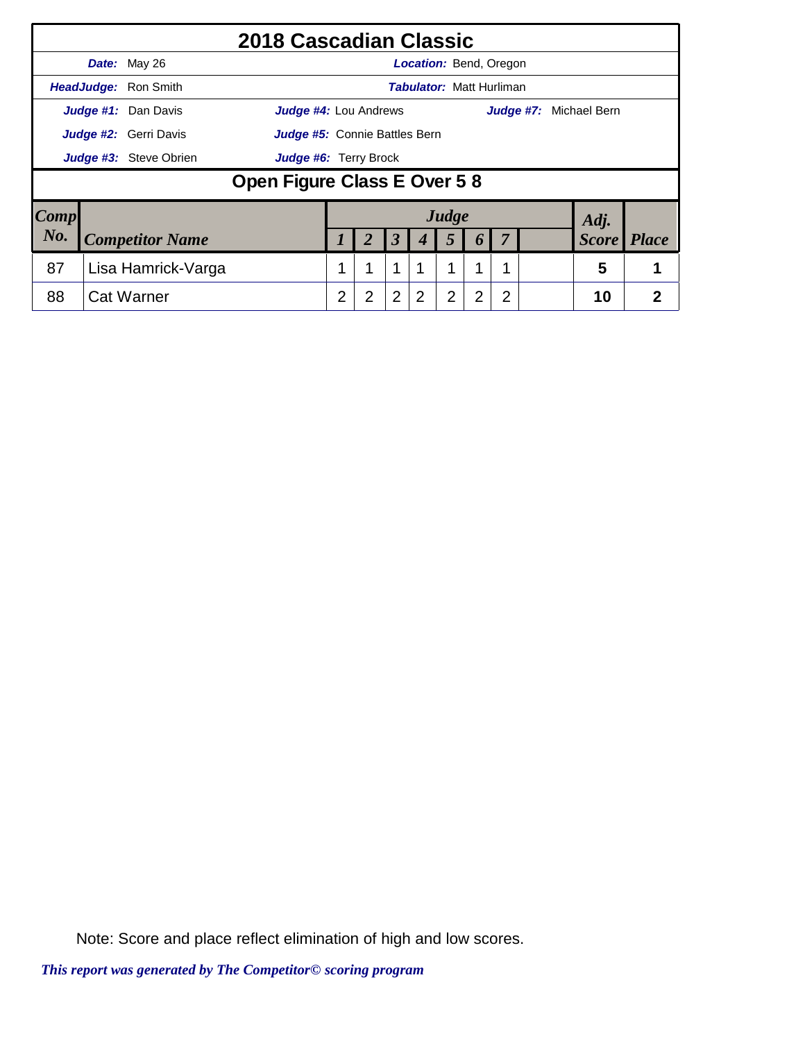|                     |                              | 2018 Cascadian Classic        |   |                |                      |                                 |                |                  |                |  |                        |                |
|---------------------|------------------------------|-------------------------------|---|----------------|----------------------|---------------------------------|----------------|------------------|----------------|--|------------------------|----------------|
|                     | Date: May 26                 |                               |   |                |                      | <b>Location: Bend, Oregon</b>   |                |                  |                |  |                        |                |
|                     | HeadJudge: Ron Smith         |                               |   |                |                      | <b>Tabulator: Matt Hurliman</b> |                |                  |                |  |                        |                |
|                     | Judge #1: Dan Davis          | <b>Judge #4:</b> Lou Andrews  |   |                |                      |                                 |                |                  |                |  | Judge #7: Michael Bern |                |
|                     | <b>Judge #2:</b> Gerri Davis | Judge #5: Connie Battles Bern |   |                |                      |                                 |                |                  |                |  |                        |                |
|                     | Judge #3: Steve Obrien       | Judge #6: Terry Brock         |   |                |                      |                                 |                |                  |                |  |                        |                |
|                     |                              | Open Figure Class E Over 58   |   |                |                      |                                 |                |                  |                |  |                        |                |
| $\boldsymbol{Comp}$ |                              |                               |   |                |                      |                                 | Judge          |                  |                |  | Adj.                   |                |
| No.                 | <b>Competitor Name</b>       |                               |   | $\overline{2}$ | $\boldsymbol{\beta}$ | 4                               | 5              | $\boldsymbol{b}$ | 7              |  | <b>Score</b>           | <i>Place</i>   |
| 87                  | Lisa Hamrick-Varga           |                               |   |                | 1                    |                                 | 1              | 1                |                |  | 5                      |                |
| 88                  | <b>Cat Warner</b>            |                               | 2 | $\overline{2}$ | $\overline{2}$       | 2                               | $\overline{2}$ | 2                | $\overline{2}$ |  | 10                     | $\overline{2}$ |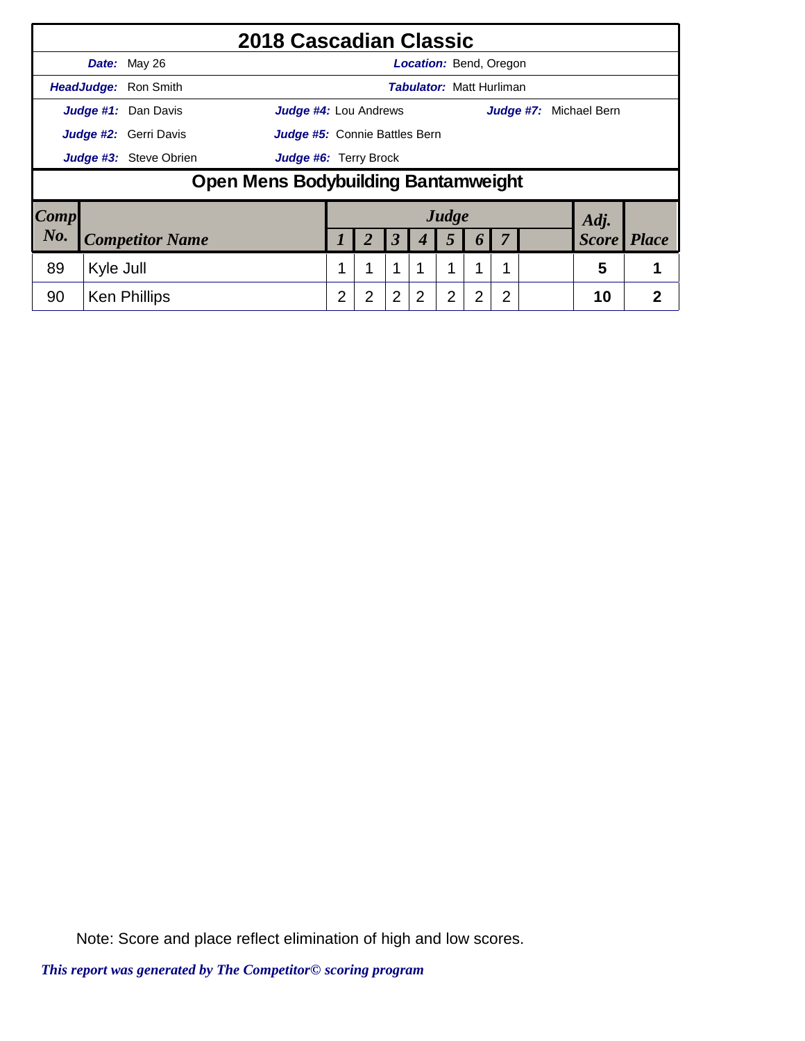|      |           |                        | 2018 Cascadian Classic              |   |                |                      |                                 |       |   |   |  |                        |                |
|------|-----------|------------------------|-------------------------------------|---|----------------|----------------------|---------------------------------|-------|---|---|--|------------------------|----------------|
|      |           | Date: May 26           |                                     |   |                |                      | <b>Location: Bend, Oregon</b>   |       |   |   |  |                        |                |
|      |           | HeadJudge: Ron Smith   |                                     |   |                |                      | <b>Tabulator: Matt Hurliman</b> |       |   |   |  |                        |                |
|      |           | Judge #1: Dan Davis    | <b>Judge #4: Lou Andrews</b>        |   |                |                      |                                 |       |   |   |  | Judge #7: Michael Bern |                |
|      |           | Judge #2: Gerri Davis  | Judge #5: Connie Battles Bern       |   |                |                      |                                 |       |   |   |  |                        |                |
|      |           | Judge #3: Steve Obrien | Judge #6: Terry Brock               |   |                |                      |                                 |       |   |   |  |                        |                |
|      |           |                        | Open Mens Bodybuilding Bantamweight |   |                |                      |                                 |       |   |   |  |                        |                |
| Comp |           |                        |                                     |   |                |                      |                                 | Judge |   |   |  | Adj.                   |                |
| No.  |           | <b>Competitor Name</b> |                                     |   | 2              | $\boldsymbol{\beta}$ | 4                               | 5     | 6 | 7 |  | <b>Score</b>           | <b>Place</b>   |
| 89   | Kyle Jull |                        |                                     |   |                | 1                    | 1                               | 1     | 1 |   |  | 5                      |                |
| 90   |           | <b>Ken Phillips</b>    |                                     | 2 | $\overline{2}$ | $\overline{2}$       | $\overline{2}$                  | 2     | 2 | 2 |  | 10                     | $\overline{2}$ |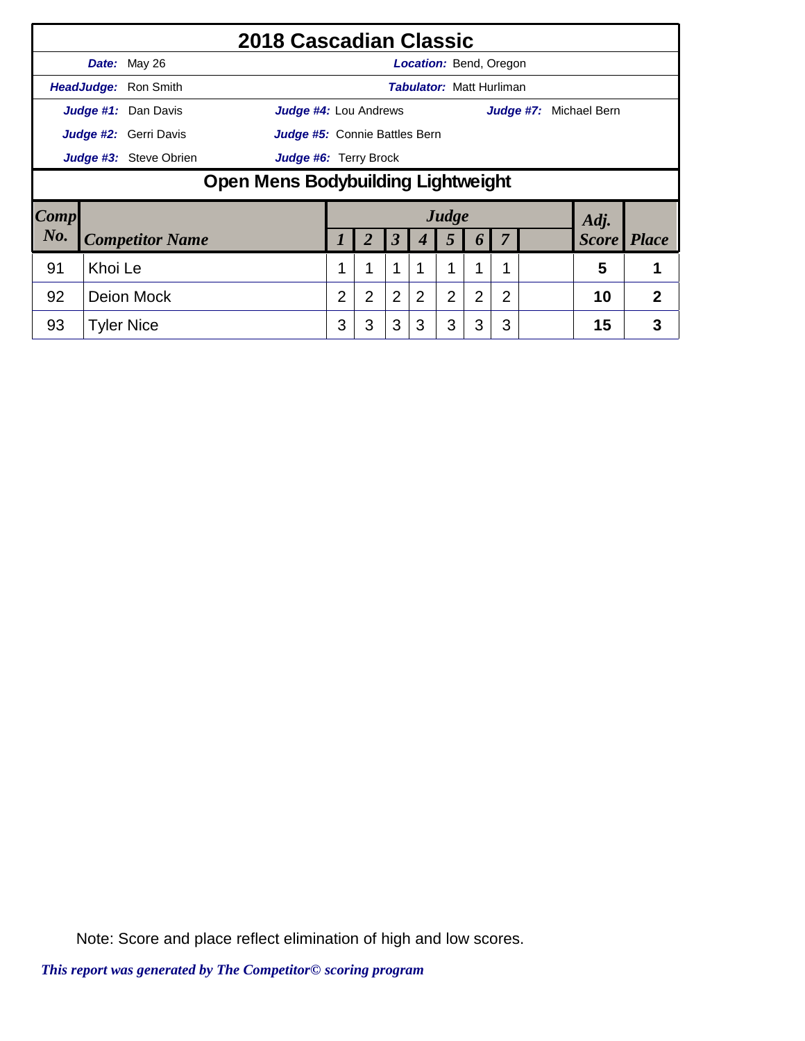|      |         |                             | 2018 Cascadian Classic             |   |                |                      |                                 |                |                |                |                        |              |
|------|---------|-----------------------------|------------------------------------|---|----------------|----------------------|---------------------------------|----------------|----------------|----------------|------------------------|--------------|
|      |         | Date: May 26                |                                    |   |                |                      | <b>Location: Bend, Oregon</b>   |                |                |                |                        |              |
|      |         | <b>HeadJudge:</b> Ron Smith |                                    |   |                |                      | <b>Tabulator: Matt Hurliman</b> |                |                |                |                        |              |
|      |         | Judge #1: Dan Davis         | <b>Judge #4:</b> Lou Andrews       |   |                |                      |                                 |                |                |                | Judge #7: Michael Bern |              |
|      |         | Judge #2: Gerri Davis       | Judge #5: Connie Battles Bern      |   |                |                      |                                 |                |                |                |                        |              |
|      |         | Judge #3: Steve Obrien      | <b>Judge #6:</b> Terry Brock       |   |                |                      |                                 |                |                |                |                        |              |
|      |         |                             | Open Mens Bodybuilding Lightweight |   |                |                      |                                 |                |                |                |                        |              |
| Comp |         |                             |                                    |   |                |                      |                                 | Judge          |                |                | Adj.                   |              |
| No.  |         | <b>Competitor Name</b>      |                                    |   | $\overline{2}$ | $\boldsymbol{\beta}$ | 4                               | 5              | 6              |                | <b>Score</b>           | <i>Place</i> |
| 91   | Khoi Le |                             |                                    |   | 4              | 1                    |                                 | 1              |                |                | 5                      |              |
| 92   |         | Deion Mock                  |                                    | 2 | $\overline{2}$ | $\overline{2}$       | $\overline{2}$                  | $\overline{2}$ | $\overline{2}$ | $\overline{2}$ | 10                     | 2            |
| 93   |         | <b>Tyler Nice</b>           |                                    | 3 | 3              | 3                    | 3                               | 3              | 3              | 3              | 15                     | 3            |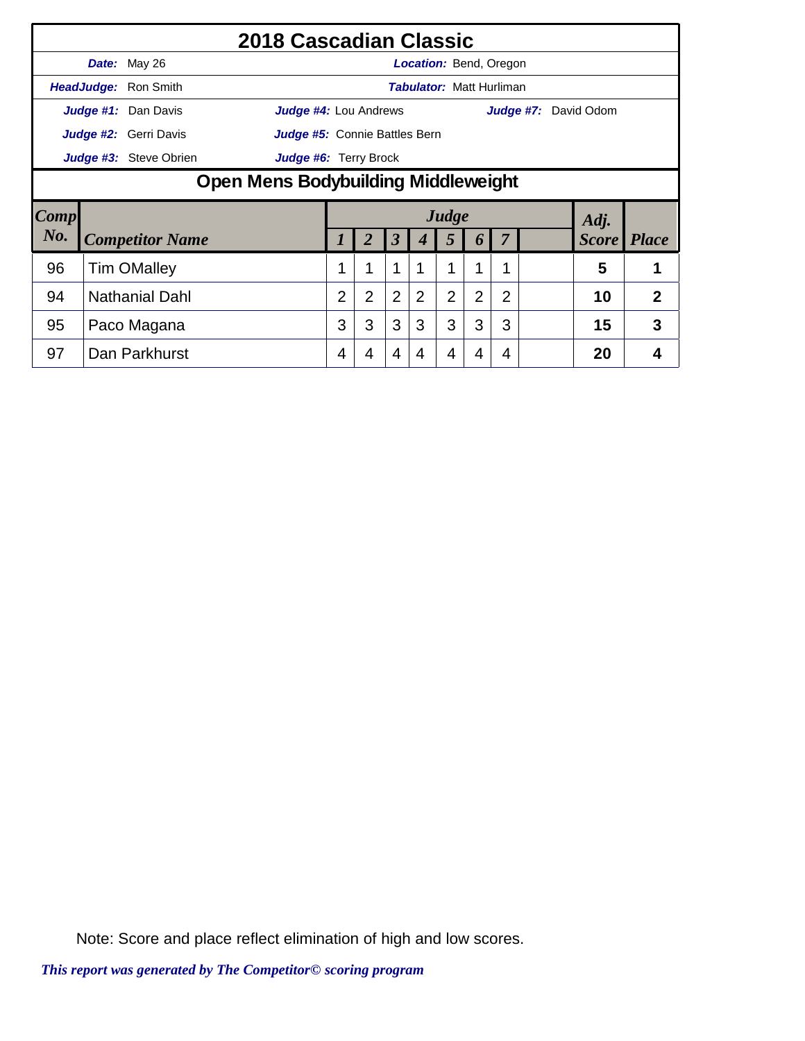|                                                        |                                                        |                        | 2018 Cascadian Classic |                |                |                |                                 |                |                       |   |  |                      |  |              |
|--------------------------------------------------------|--------------------------------------------------------|------------------------|------------------------|----------------|----------------|----------------|---------------------------------|----------------|-----------------------|---|--|----------------------|--|--------------|
|                                                        |                                                        | Date: May 26           |                        |                |                |                | <b>Location:</b> Bend, Oregon   |                |                       |   |  |                      |  |              |
|                                                        |                                                        | HeadJudge: Ron Smith   |                        |                |                |                | <b>Tabulator: Matt Hurliman</b> |                |                       |   |  |                      |  |              |
|                                                        |                                                        | Judge #1: Dan Davis    | Judge #4: Lou Andrews  |                |                |                |                                 |                |                       |   |  | Judge #7: David Odom |  |              |
|                                                        | Judge #2: Gerri Davis<br>Judge #5: Connie Battles Bern |                        |                        |                |                |                |                                 |                |                       |   |  |                      |  |              |
| Judge #3: Steve Obrien<br><b>Judge #6: Terry Brock</b> |                                                        |                        |                        |                |                |                |                                 |                |                       |   |  |                      |  |              |
|                                                        | Open Mens Bodybuilding Middleweight                    |                        |                        |                |                |                |                                 |                |                       |   |  |                      |  |              |
| <b>Comp</b>                                            |                                                        |                        |                        |                |                |                |                                 | Judge          |                       |   |  | Adj.                 |  |              |
| No.                                                    |                                                        | <b>Competitor Name</b> |                        |                |                | 3              | 4                               | 5              | $\boldsymbol{\theta}$ |   |  | <b>Score</b>         |  | <i>Place</i> |
| 96                                                     |                                                        | <b>Tim OMalley</b>     |                        |                | 1              | 1              |                                 |                | 1                     | 1 |  | 5                    |  | 1            |
| 94                                                     |                                                        | <b>Nathanial Dahl</b>  |                        | $\overline{2}$ | $\overline{2}$ | $\overline{2}$ | $\overline{2}$                  | $\overline{2}$ | 2                     | 2 |  | 10                   |  | 2            |
| 95                                                     |                                                        | Paco Magana            |                        | 3              | 3              | 3              | 3                               | 3              | 3                     | 3 |  | 15                   |  | 3            |
|                                                        |                                                        |                        |                        |                |                |                |                                 |                |                       |   |  |                      |  |              |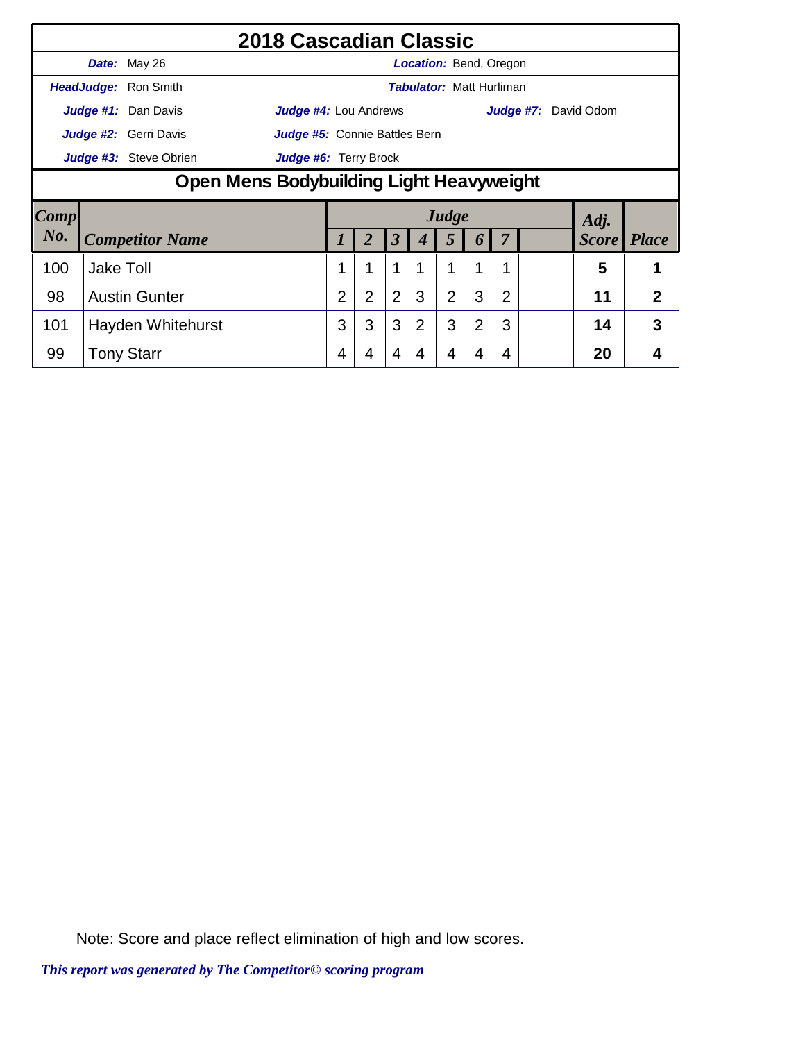|      |                                                        |                        | 2018 Cascadian Classic        |   |                |                      |                |                |                                 |                |  |                             |                      |                |
|------|--------------------------------------------------------|------------------------|-------------------------------|---|----------------|----------------------|----------------|----------------|---------------------------------|----------------|--|-----------------------------|----------------------|----------------|
|      |                                                        | Date: May 26           |                               |   |                |                      |                |                | <b>Location: Bend, Oregon</b>   |                |  |                             |                      |                |
|      |                                                        | HeadJudge: Ron Smith   |                               |   |                |                      |                |                | <b>Tabulator: Matt Hurliman</b> |                |  |                             |                      |                |
|      |                                                        | Judge #1: Dan Davis    | Judge #4: Lou Andrews         |   |                |                      |                |                |                                 |                |  | <b>Judge #7:</b> David Odom |                      |                |
|      |                                                        | Judge #2: Gerri Davis  | Judge #5: Connie Battles Bern |   |                |                      |                |                |                                 |                |  |                             |                      |                |
|      | Judge #3: Steve Obrien<br><b>Judge #6:</b> Terry Brock |                        |                               |   |                |                      |                |                |                                 |                |  |                             |                      |                |
|      | Open Mens Bodybuilding Light Heavyweight               |                        |                               |   |                |                      |                |                |                                 |                |  |                             |                      |                |
|      |                                                        |                        |                               |   |                |                      |                |                |                                 |                |  |                             |                      |                |
| Comp |                                                        |                        |                               |   |                |                      |                | Judge          |                                 |                |  |                             |                      |                |
| No.  |                                                        | <b>Competitor Name</b> |                               |   |                | $\boldsymbol{\beta}$ |                | 5              | $\boldsymbol{0}$                | 7              |  |                             | Adj.<br><b>Score</b> | <b>Place</b>   |
| 100  | <b>Jake Toll</b>                                       |                        |                               |   | 1              | 1                    |                | 1              |                                 | 1              |  |                             | 5                    |                |
| 98   |                                                        | <b>Austin Gunter</b>   |                               | 2 | $\overline{2}$ | $\overline{2}$       | 3              | $\overline{2}$ | 3                               | $\overline{2}$ |  |                             | 11                   | $\overline{2}$ |
| 101  |                                                        | Hayden Whitehurst      |                               | 3 | 3              | 3                    | $\overline{2}$ | 3              | $\overline{2}$                  | 3              |  |                             | 14                   | 3              |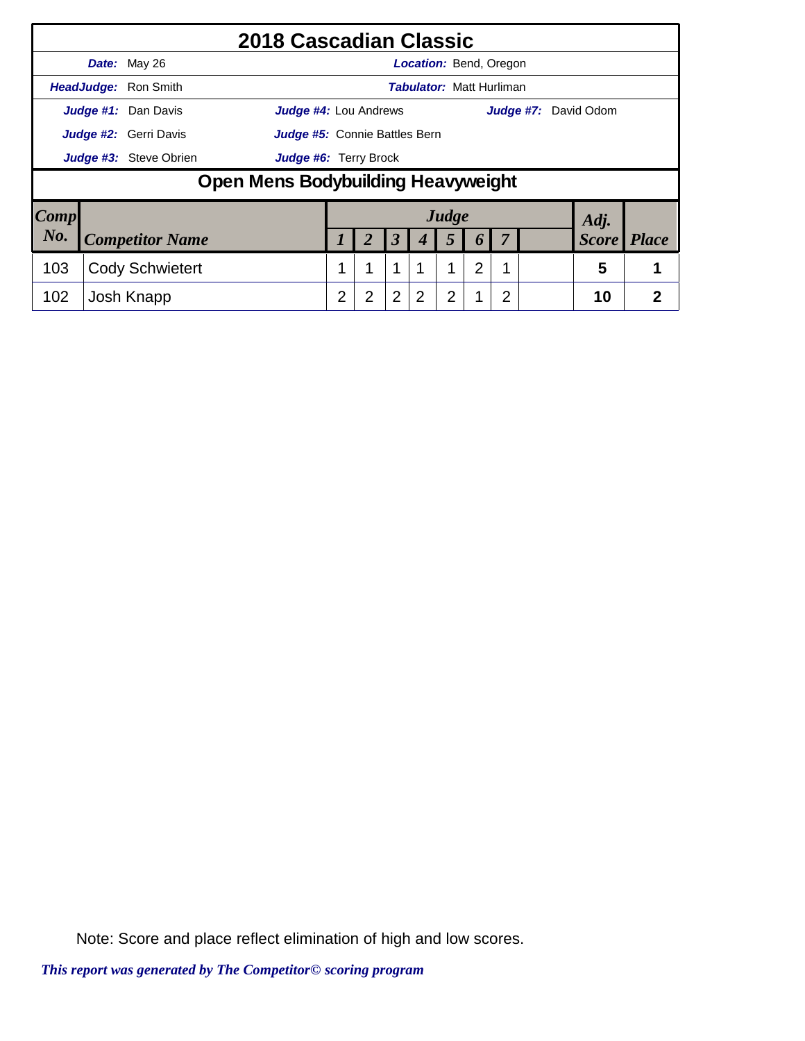|                     |                        |                              | 2018 Cascadian Classic             |   |                |                      |                                 |       |                  |                |                             |                |
|---------------------|------------------------|------------------------------|------------------------------------|---|----------------|----------------------|---------------------------------|-------|------------------|----------------|-----------------------------|----------------|
|                     |                        | Date: May 26                 |                                    |   |                |                      | <b>Location: Bend, Oregon</b>   |       |                  |                |                             |                |
|                     |                        | HeadJudge: Ron Smith         |                                    |   |                |                      | <b>Tabulator: Matt Hurliman</b> |       |                  |                |                             |                |
|                     |                        | Judge #1: Dan Davis          | Judge #4: Lou Andrews              |   |                |                      |                                 |       |                  |                | <b>Judge #7:</b> David Odom |                |
|                     |                        | <b>Judge #2:</b> Gerri Davis | Judge #5: Connie Battles Bern      |   |                |                      |                                 |       |                  |                |                             |                |
|                     | Judge #3: Steve Obrien | Judge #6: Terry Brock        |                                    |   |                |                      |                                 |       |                  |                |                             |                |
|                     |                        |                              | Open Mens Bodybuilding Heavyweight |   |                |                      |                                 |       |                  |                |                             |                |
| $\boldsymbol{Comp}$ |                        |                              |                                    |   |                |                      |                                 | Judge |                  |                | Adj.                        |                |
| No.                 |                        | <b>Competitor Name</b>       |                                    |   | 2              | $\boldsymbol{\beta}$ | 4                               | 5     | $\boldsymbol{b}$ |                | <b>Score</b>                | <b>Place</b>   |
| 103                 |                        | <b>Cody Schwietert</b>       |                                    |   |                | 1                    |                                 | 1     | $\overline{2}$   |                | 5                           |                |
| 102                 |                        | Josh Knapp                   |                                    | 2 | $\overline{2}$ | $\overline{2}$       | 2                               | 2     |                  | $\overline{2}$ | 10                          | $\overline{2}$ |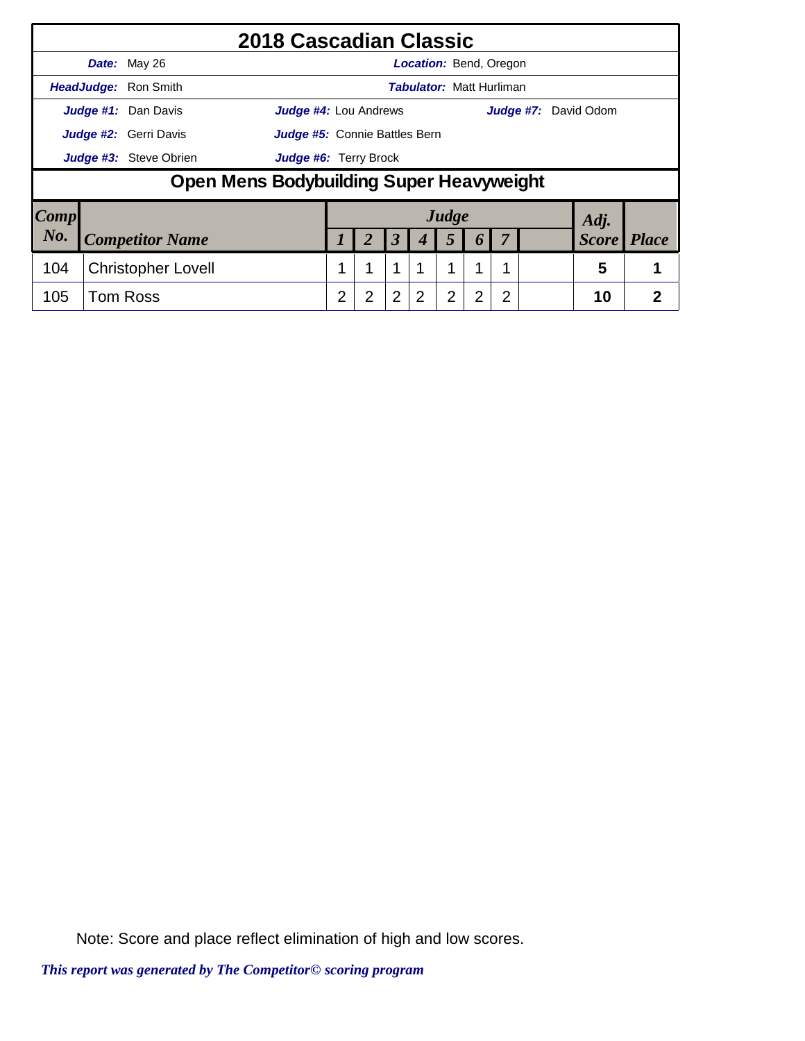|                        |                        |                                          | 2018 Cascadian Classic        |   |                |                      |                                 |                |   |                |  |                             |                |
|------------------------|------------------------|------------------------------------------|-------------------------------|---|----------------|----------------------|---------------------------------|----------------|---|----------------|--|-----------------------------|----------------|
|                        |                        | Date: May 26                             |                               |   |                |                      | <b>Location:</b> Bend, Oregon   |                |   |                |  |                             |                |
|                        |                        | HeadJudge: Ron Smith                     |                               |   |                |                      | <b>Tabulator: Matt Hurliman</b> |                |   |                |  |                             |                |
|                        |                        | Judge #1: Dan Davis                      | <b>Judge #4: Lou Andrews</b>  |   |                |                      |                                 |                |   |                |  | <b>Judge #7:</b> David Odom |                |
|                        |                        | Judge #2: Gerri Davis                    | Judge #5: Connie Battles Bern |   |                |                      |                                 |                |   |                |  |                             |                |
|                        | Judge #3: Steve Obrien | <b>Judge #6: Terry Brock</b>             |                               |   |                |                      |                                 |                |   |                |  |                             |                |
|                        |                        | Open Mens Bodybuilding Super Heavyweight |                               |   |                |                      |                                 |                |   |                |  |                             |                |
| $\lfloor Comp \rfloor$ |                        |                                          |                               |   |                |                      |                                 | Judge          |   |                |  | Adj.                        |                |
| No.                    |                        | <b>Competitor Name</b>                   |                               |   | 2              | $\boldsymbol{\beta}$ | 4                               | 5              | 6 | 7              |  | <b>Score</b>                | <i>Place</i>   |
| 104                    |                        | <b>Christopher Lovell</b>                |                               |   |                | 1                    | 1                               | 1              | 1 |                |  | 5                           |                |
| 105                    |                        | <b>Tom Ross</b>                          |                               | 2 | $\overline{2}$ | $\overline{2}$       | 2                               | $\overline{2}$ | 2 | $\overline{2}$ |  | 10                          | $\overline{2}$ |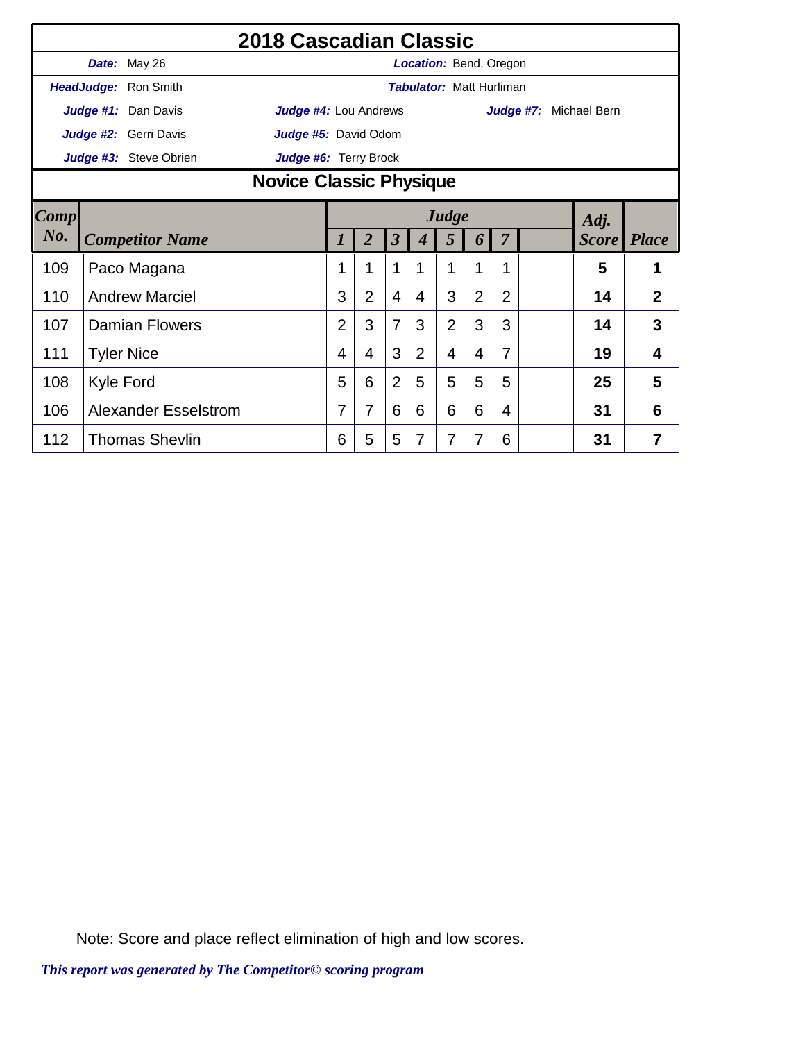|      |                                | 2018 Cascadian Classic      |                       |                |                |                |                                 |                |                |  |              |                |  |
|------|--------------------------------|-----------------------------|-----------------------|----------------|----------------|----------------|---------------------------------|----------------|----------------|--|--------------|----------------|--|
|      |                                | Date: May 26                |                       |                |                |                | <b>Location: Bend, Oregon</b>   |                |                |  |              |                |  |
|      |                                | HeadJudge: Ron Smith        |                       |                |                |                | <b>Tabulator: Matt Hurliman</b> |                |                |  |              |                |  |
|      |                                | Judge #1: Dan Davis         | Judge #4: Lou Andrews |                |                |                |                                 |                | Judge #7:      |  | Michael Bern |                |  |
|      |                                | Judge #2: Gerri Davis       | Judge #5: David Odom  |                |                |                |                                 |                |                |  |              |                |  |
|      |                                | Judge #3: Steve Obrien      | Judge #6: Terry Brock |                |                |                |                                 |                |                |  |              |                |  |
|      | <b>Novice Classic Physique</b> |                             |                       |                |                |                |                                 |                |                |  |              |                |  |
| Comp | Judge<br>Adj.                  |                             |                       |                |                |                |                                 |                |                |  |              |                |  |
| No.  |                                | <b>Competitor Name</b>      | 1                     | $\overline{2}$ | $\mathfrak{z}$ | 4              | 5                               | 6              | $\overline{7}$ |  | <i>Score</i> | <b>Place</b>   |  |
| 109  |                                | Paco Magana                 | 1                     |                | 1              | 1              | 1                               | 1              | 1              |  | 5            | 1              |  |
| 110  |                                | <b>Andrew Marciel</b>       | 3                     | $\overline{2}$ | $\overline{4}$ | 4              | 3                               | $\overline{2}$ | $\overline{2}$ |  | 14           | $\overline{2}$ |  |
| 107  |                                | <b>Damian Flowers</b>       | $\overline{2}$        | 3              | 7              | 3              | $\overline{2}$                  | 3              | 3              |  | 14           | 3              |  |
| 111  |                                | <b>Tyler Nice</b>           | 4                     | 4              | 3              | $\overline{2}$ | $\overline{4}$                  | 4              | 7              |  | 19           | 4              |  |
| 108  | <b>Kyle Ford</b>               |                             | 5                     | 6              | $\overline{2}$ | 5              | 5                               | 5              | 5              |  | 25           | 5              |  |
| 106  |                                | <b>Alexander Esselstrom</b> | 7                     | 7              | 6              | 6              | 6                               | 6              | 4              |  | 31           | 6              |  |
| 112  |                                | <b>Thomas Shevlin</b>       | 6                     | 5              | 5              | 7              | 7                               | 7              | 6              |  | 31           | 7              |  |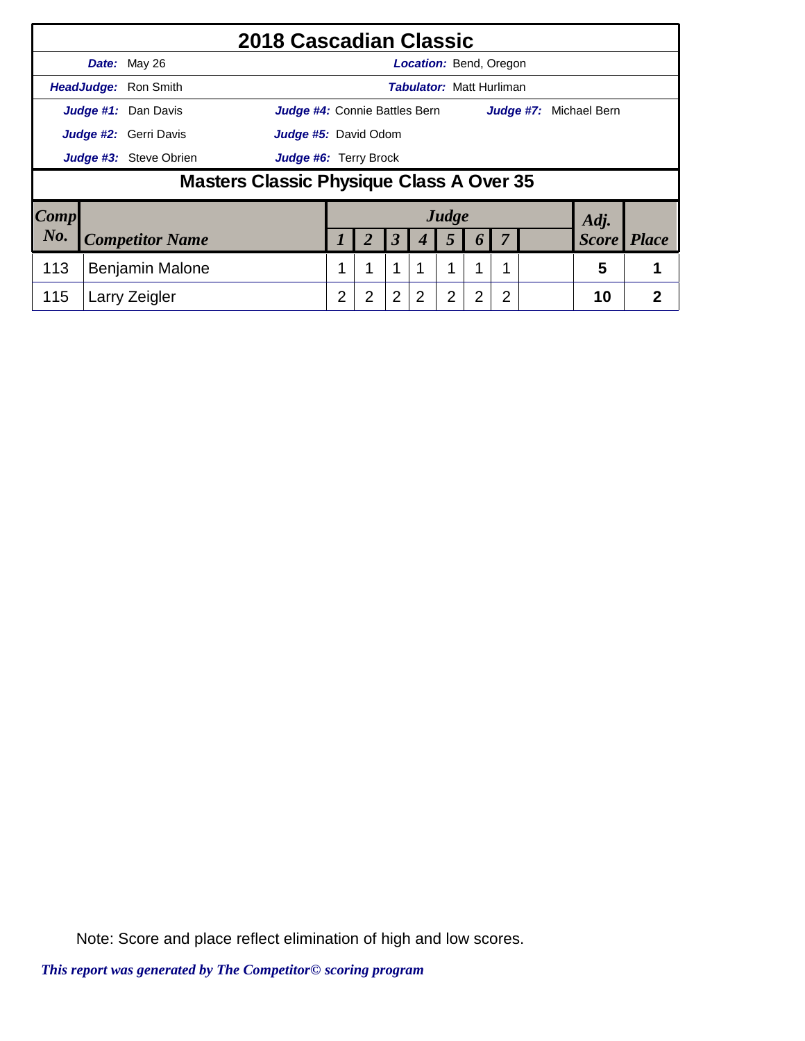|      |                                          | 2018 Cascadian Classic               |                |                |                |                                 |                |                  |   |                        |                |
|------|------------------------------------------|--------------------------------------|----------------|----------------|----------------|---------------------------------|----------------|------------------|---|------------------------|----------------|
|      | Date: May 26                             |                                      |                |                |                | <b>Location: Bend, Oregon</b>   |                |                  |   |                        |                |
|      | <b>HeadJudge: Ron Smith</b>              |                                      |                |                |                | <b>Tabulator: Matt Hurliman</b> |                |                  |   |                        |                |
|      | Judge #1: Dan Davis                      | <b>Judge #4:</b> Connie Battles Bern |                |                |                |                                 |                |                  |   | Judge #7: Michael Bern |                |
|      | <b>Judge #2:</b> Gerri Davis             | <b>Judge #5: David Odom</b>          |                |                |                |                                 |                |                  |   |                        |                |
|      | Judge #3: Steve Obrien                   | <b>Judge #6:</b> Terry Brock         |                |                |                |                                 |                |                  |   |                        |                |
|      | Masters Classic Physique Class A Over 35 |                                      |                |                |                |                                 |                |                  |   |                        |                |
| Comp |                                          |                                      |                |                |                |                                 | Judge          |                  |   | Adj.                   |                |
| No.  | <b>Competitor Name</b>                   |                                      |                | 2              | $\mathfrak{Z}$ | 4                               | 5              | $\boldsymbol{b}$ | 7 | <b>Score</b>           | <b>Place</b>   |
| 113  | <b>Benjamin Malone</b>                   |                                      |                |                | 1              | 1                               | 1              | 1                |   | 5                      |                |
| 115  | Larry Zeigler                            |                                      | $\overline{2}$ | $\overline{2}$ | $\overline{2}$ | $\overline{2}$                  | $\overline{2}$ | 2                | 2 | 10                     | $\overline{2}$ |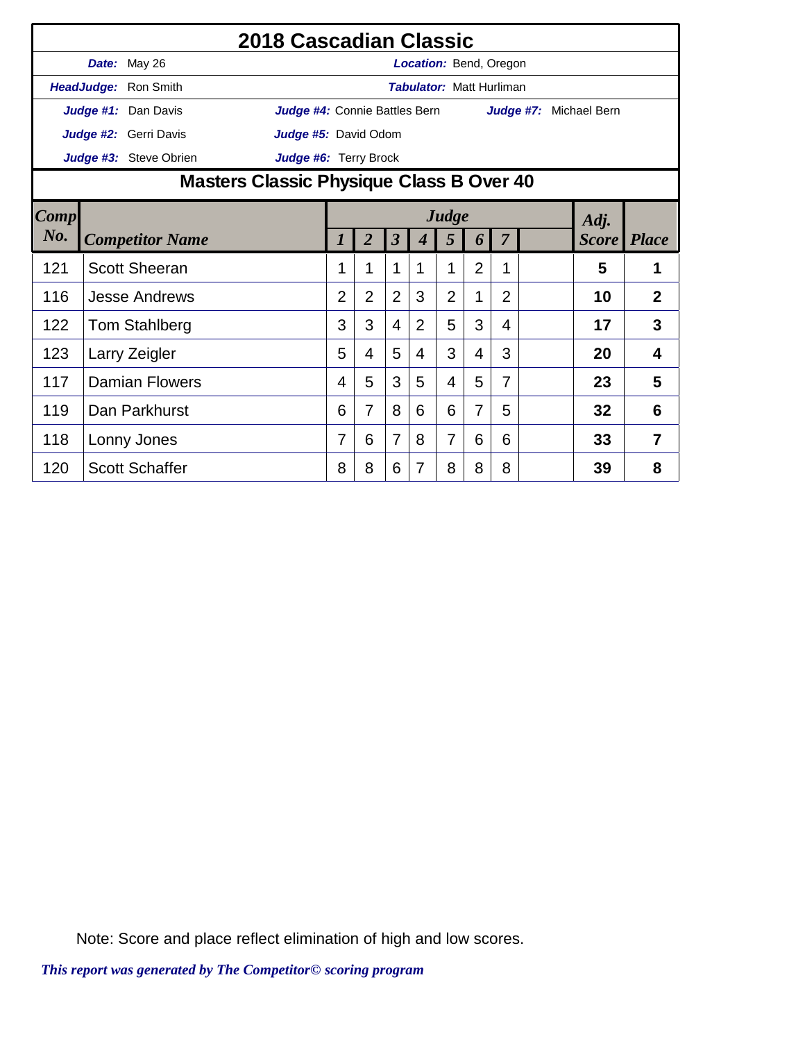|      |                                          |                        | 2018 Cascadian Classic        |                |                |                         |                                 |                |                |                |                        |              |                |
|------|------------------------------------------|------------------------|-------------------------------|----------------|----------------|-------------------------|---------------------------------|----------------|----------------|----------------|------------------------|--------------|----------------|
|      |                                          | Date: May 26           |                               |                |                |                         | <b>Location: Bend, Oregon</b>   |                |                |                |                        |              |                |
|      |                                          | HeadJudge: Ron Smith   |                               |                |                |                         | <b>Tabulator: Matt Hurliman</b> |                |                |                |                        |              |                |
|      |                                          | Judge #1: Dan Davis    | Judge #4: Connie Battles Bern |                |                |                         |                                 |                |                |                | Judge #7: Michael Bern |              |                |
|      |                                          | Judge #2: Gerri Davis  | Judge #5: David Odom          |                |                |                         |                                 |                |                |                |                        |              |                |
|      |                                          | Judge #3: Steve Obrien | Judge #6: Terry Brock         |                |                |                         |                                 |                |                |                |                        |              |                |
|      | Masters Classic Physique Class B Over 40 |                        |                               |                |                |                         |                                 |                |                |                |                        |              |                |
| Comp | Judge<br>Adj.                            |                        |                               |                |                |                         |                                 |                |                |                |                        |              |                |
| No.  |                                          | <b>Competitor Name</b> |                               | 1              | $\overline{2}$ | $\overline{\mathbf{3}}$ | $\boldsymbol{4}$                | 5              | 6              | 7              |                        | <i>Score</i> | <i>Place</i>   |
| 121  |                                          | <b>Scott Sheeran</b>   |                               | 1              | 1              | 1                       | 1                               | 1              | $\overline{2}$ | 1              |                        | 5            | 1              |
| 116  |                                          | <b>Jesse Andrews</b>   |                               | $\overline{2}$ | $\overline{2}$ | $\overline{2}$          | 3                               | $\overline{2}$ | 1              | $\overline{2}$ |                        | 10           | $\overline{2}$ |
| 122  |                                          | <b>Tom Stahlberg</b>   |                               | 3              | 3              | 4                       | $\overline{2}$                  | 5              | 3              | 4              |                        | 17           | 3              |
| 123  |                                          | Larry Zeigler          |                               | 5              | 4              | 5                       | 4                               | 3              | 4              | 3              |                        | 20           | 4              |
| 117  |                                          | <b>Damian Flowers</b>  |                               | 4              | 5              | 3                       | 5                               | 4              | 5              | 7              |                        | 23           | 5              |
| 119  |                                          | Dan Parkhurst          |                               | 6              | 7              | 8                       | 6                               | 6              | 7              | 5              |                        | 32           | 6              |
| 118  |                                          | Lonny Jones            |                               | 7              | 6              | 7                       | 8                               | 7              | 6              | 6              |                        | 33           | 7              |
| 120  |                                          | <b>Scott Schaffer</b>  |                               | 8              | 8              | 6                       | $\overline{7}$                  | 8              | 8              | 8              |                        | 39           | 8              |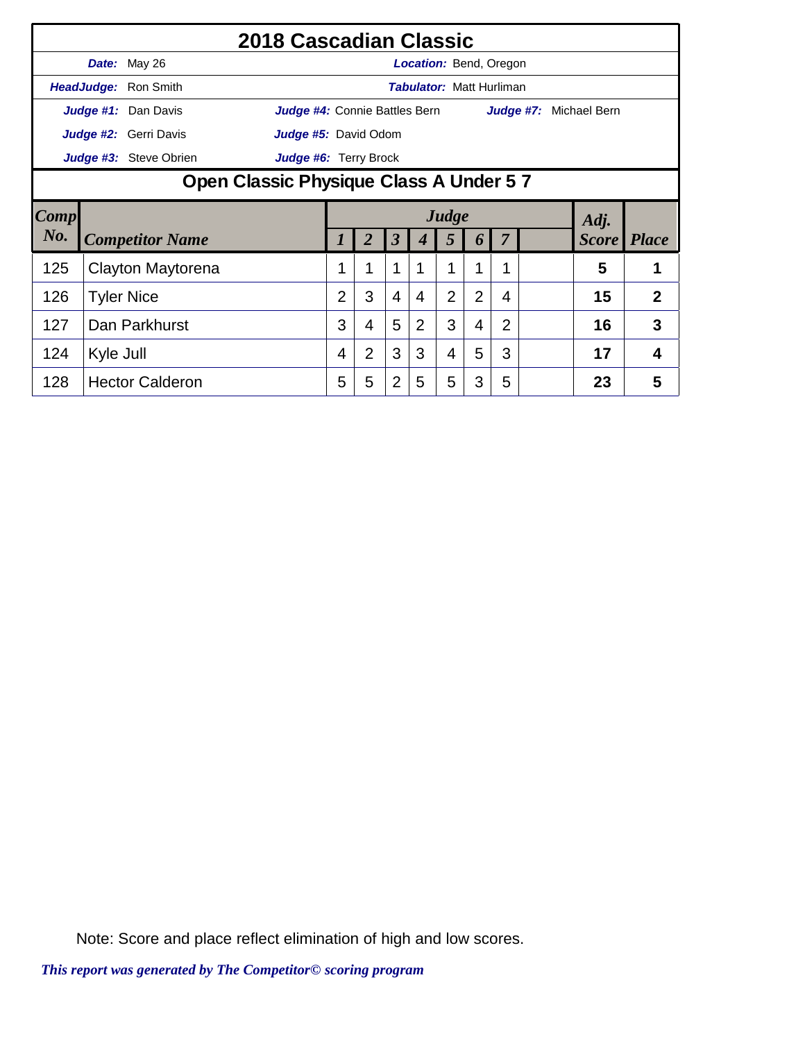|           |                                                        | 2018 Cascadian Classic |                               |                |                      |                                 |                |   |                |  |                        |                |
|-----------|--------------------------------------------------------|------------------------|-------------------------------|----------------|----------------------|---------------------------------|----------------|---|----------------|--|------------------------|----------------|
|           |                                                        | Date: May 26           |                               |                |                      | Location: Bend, Oregon          |                |   |                |  |                        |                |
|           |                                                        | HeadJudge: Ron Smith   |                               |                |                      | <b>Tabulator: Matt Hurliman</b> |                |   |                |  |                        |                |
|           |                                                        | Judge #1: Dan Davis    | Judge #4: Connie Battles Bern |                |                      |                                 |                |   |                |  | Judge #7: Michael Bern |                |
|           |                                                        | Judge #2: Gerri Davis  | Judge #5: David Odom          |                |                      |                                 |                |   |                |  |                        |                |
|           | Judge #3: Steve Obrien<br><b>Judge #6: Terry Brock</b> |                        |                               |                |                      |                                 |                |   |                |  |                        |                |
|           | Open Classic Physique Class A Under 5 7                |                        |                               |                |                      |                                 |                |   |                |  |                        |                |
| Comp      |                                                        |                        |                               |                |                      |                                 | Judge          |   |                |  | Adj.                   |                |
| $N_{0}$ . |                                                        |                        |                               |                |                      |                                 |                |   |                |  |                        |                |
|           |                                                        | <b>Competitor Name</b> |                               |                | $\boldsymbol{\beta}$ |                                 | 5              | 6 |                |  | <b>Score</b>           | <i>Place</i>   |
| 125       |                                                        | Clayton Maytorena      |                               |                | 1                    |                                 | 1              |   |                |  | 5                      |                |
| 126       |                                                        | <b>Tyler Nice</b>      | $\overline{2}$                | 3              | $\overline{4}$       | 4                               | $\overline{2}$ | 2 | 4              |  | 15                     | $\overline{2}$ |
| 127       |                                                        | Dan Parkhurst          | 3                             | 4              | 5                    | $\overline{2}$                  | 3              | 4 | $\overline{2}$ |  | 16                     | 3              |
| 124       | Kyle Jull                                              |                        | 4                             | $\overline{2}$ | 3                    | 3                               | 4              | 5 | 3              |  | 17                     | 4              |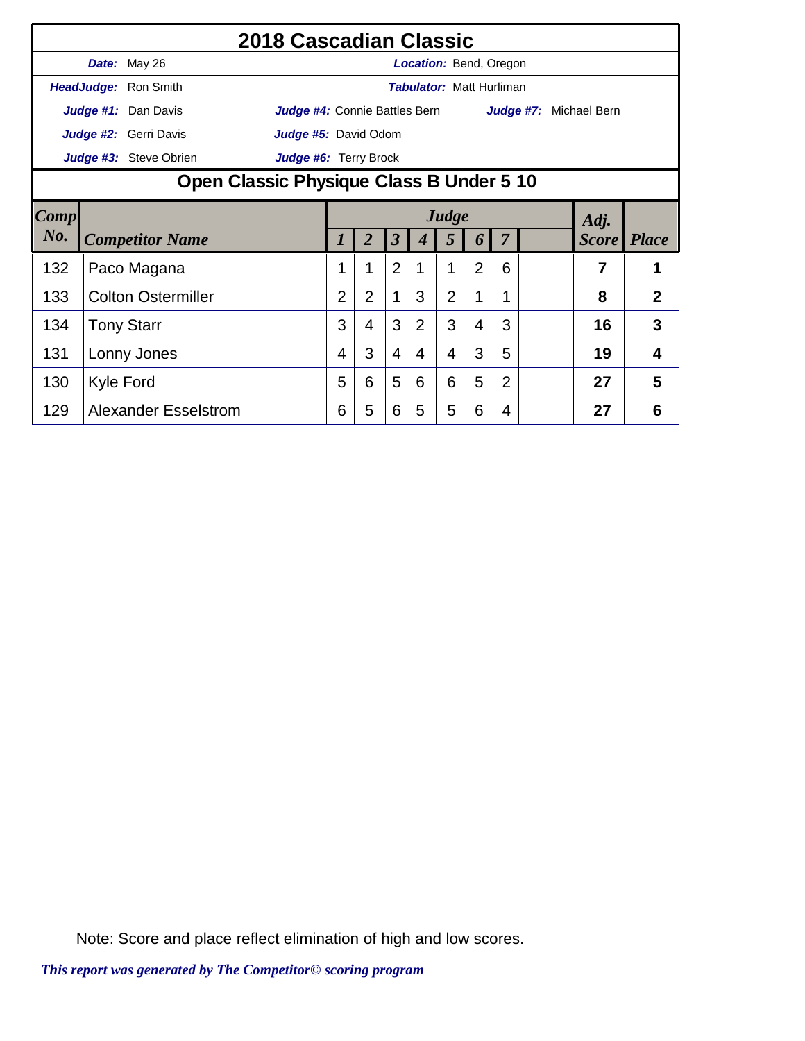|        |           |                                          | 2018 Cascadian Classic        |                |                |                         |                                 |                |                |                |           |                    |   |
|--------|-----------|------------------------------------------|-------------------------------|----------------|----------------|-------------------------|---------------------------------|----------------|----------------|----------------|-----------|--------------------|---|
|        |           | Date: May 26                             |                               |                |                |                         | <b>Location:</b> Bend, Oregon   |                |                |                |           |                    |   |
|        |           | HeadJudge: Ron Smith                     |                               |                |                |                         | <b>Tabulator: Matt Hurliman</b> |                |                |                |           |                    |   |
|        |           | Judge #1: Dan Davis                      | Judge #4: Connie Battles Bern |                |                |                         |                                 |                |                |                | Judge #7: | Michael Bern       |   |
|        |           | Judge #2: Gerri Davis                    | Judge #5: David Odom          |                |                |                         |                                 |                |                |                |           |                    |   |
|        |           | Judge #3: Steve Obrien                   | Judge #6: Terry Brock         |                |                |                         |                                 |                |                |                |           |                    |   |
|        |           | Open Classic Physique Class B Under 5 10 |                               |                |                |                         |                                 |                |                |                |           |                    |   |
| Comp   |           |                                          |                               |                |                |                         |                                 | Judge          |                |                |           | Adj.               |   |
| $N0$ . |           | <b>Competitor Name</b>                   |                               | $\prime$       | $\overline{2}$ | $\overline{\mathbf{3}}$ | 4                               | 5              | 6              | 7              |           | <b>Score</b> Place |   |
| 132    |           | Paco Magana                              |                               | 1              | 1              | $\overline{2}$          | 1                               | 1              | $\overline{2}$ | 6              |           | 7                  | 1 |
| 133    |           | <b>Colton Ostermiller</b>                |                               | $\overline{2}$ | $\overline{2}$ | 1                       | 3                               | $\overline{2}$ |                |                |           | 8                  | 2 |
| 134    |           | <b>Tony Starr</b>                        |                               | 3              | 4              | 3                       | $\overline{2}$                  | 3              | 4              | 3              |           | 16                 | 3 |
| 131    |           | Lonny Jones                              |                               | 4              | 3              | 4                       | 4                               | 4              | 3              | 5              |           | 19                 | 4 |
| 130    | Kyle Ford |                                          |                               | 5              | 6              | 5                       | 6                               | 6              | 5              | $\overline{2}$ |           | 27                 | 5 |
| 129    |           | <b>Alexander Esselstrom</b>              |                               | 6              | 5              | 6                       | 5                               | 5              | 6              | 4              |           | 27                 | 6 |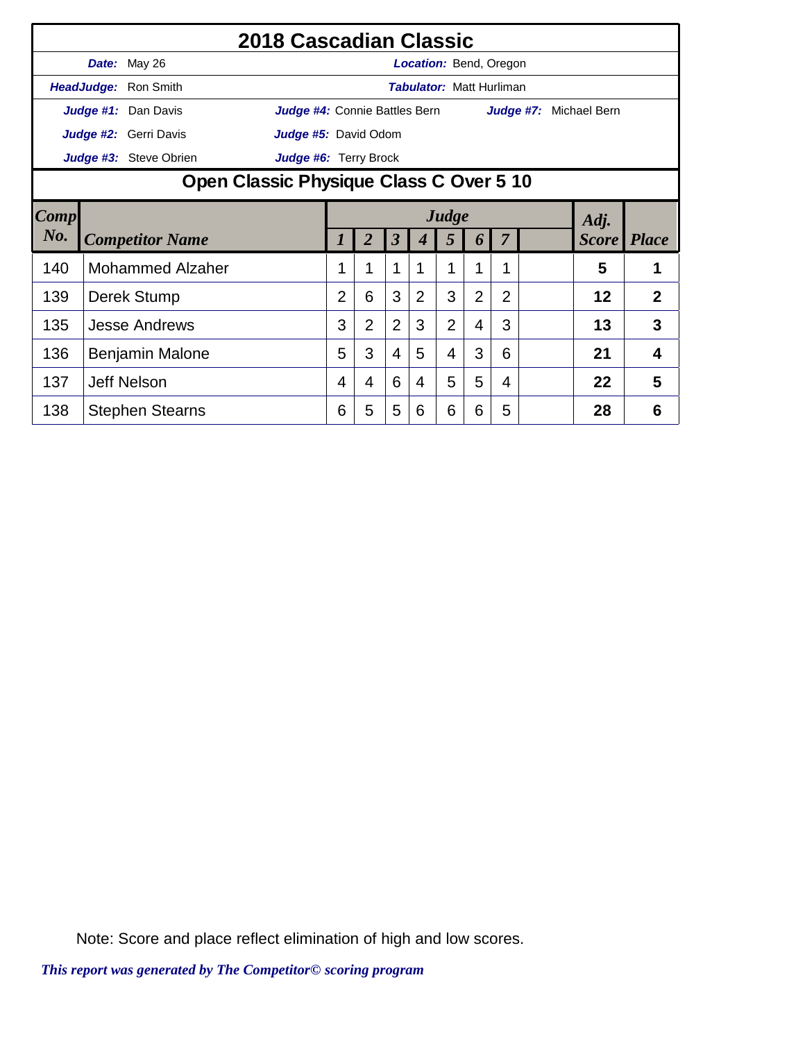|        |                         | 2018 Cascadian Classic                  |                |                |                         |                                 |                |                |                |  |                               |                |
|--------|-------------------------|-----------------------------------------|----------------|----------------|-------------------------|---------------------------------|----------------|----------------|----------------|--|-------------------------------|----------------|
|        | Date: May 26            |                                         |                |                |                         | <b>Location: Bend, Oregon</b>   |                |                |                |  |                               |                |
|        | HeadJudge: Ron Smith    |                                         |                |                |                         | <b>Tabulator: Matt Hurliman</b> |                |                |                |  |                               |                |
|        | Judge #1: Dan Davis     | Judge #4: Connie Battles Bern           |                |                |                         |                                 |                |                |                |  | <b>Judge #7:</b> Michael Bern |                |
|        | Judge #2: Gerri Davis   | <b>Judge #5:</b> David Odom             |                |                |                         |                                 |                |                |                |  |                               |                |
|        | Judge #3: Steve Obrien  | Judge #6: Terry Brock                   |                |                |                         |                                 |                |                |                |  |                               |                |
|        |                         | Open Classic Physique Class C Over 5 10 |                |                |                         |                                 |                |                |                |  |                               |                |
| Comp   |                         |                                         |                |                |                         |                                 | Judge          |                |                |  | Adj.                          |                |
| $N0$ . | <b>Competitor Name</b>  |                                         | 1              | 2              | $\overline{\mathbf{3}}$ | 4                               | 5              | 6              | 7              |  | <b>Score</b> Place            |                |
| 140    | <b>Mohammed Alzaher</b> |                                         | 1              | 1              | 1                       | 1                               | 1              |                | 1              |  | 5                             |                |
| 139    | Derek Stump             |                                         | $\overline{2}$ | 6              | 3                       | $\overline{2}$                  | 3              | $\overline{2}$ | $\overline{2}$ |  | 12                            | $\overline{2}$ |
| 135    | <b>Jesse Andrews</b>    |                                         | 3              | $\overline{2}$ | $\overline{2}$          | 3                               | $\overline{2}$ | 4              | 3              |  | 13                            | 3              |
| 136    | Benjamin Malone         |                                         | 5              | 3              | $\overline{4}$          | 5                               | 4              | 3              | 6              |  | 21                            | 4              |
| 137    | <b>Jeff Nelson</b>      |                                         | 4              | 4              | 6                       | 4                               | 5              | 5              | 4              |  | 22                            | 5              |
| 138    | <b>Stephen Stearns</b>  |                                         | 6              | 5              | 5                       | 6                               | 6              | 6              | 5              |  | 28                            | 6              |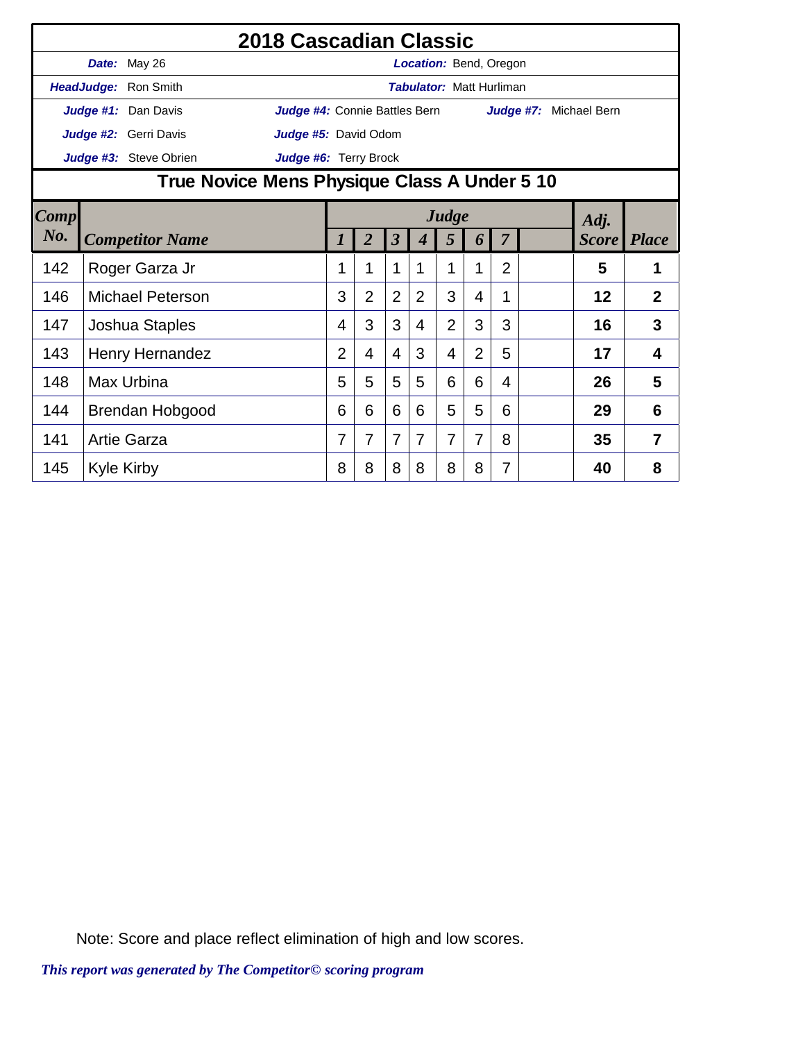|                                                 |                                              |                         | 2018 Cascadian Classic        |                |                |                         |                                 |                |                |                |                        |              |                |
|-------------------------------------------------|----------------------------------------------|-------------------------|-------------------------------|----------------|----------------|-------------------------|---------------------------------|----------------|----------------|----------------|------------------------|--------------|----------------|
|                                                 |                                              | Date: May 26            |                               |                |                |                         | <b>Location: Bend, Oregon</b>   |                |                |                |                        |              |                |
|                                                 |                                              | HeadJudge: Ron Smith    |                               |                |                |                         | <b>Tabulator: Matt Hurliman</b> |                |                |                |                        |              |                |
|                                                 |                                              | Judge #1: Dan Davis     | Judge #4: Connie Battles Bern |                |                |                         |                                 |                |                |                | Judge #7: Michael Bern |              |                |
|                                                 |                                              | Judge #2: Gerri Davis   | Judge #5: David Odom          |                |                |                         |                                 |                |                |                |                        |              |                |
| Judge #3: Steve Obrien<br>Judge #6: Terry Brock |                                              |                         |                               |                |                |                         |                                 |                |                |                |                        |              |                |
|                                                 | True Novice Mens Physique Class A Under 5 10 |                         |                               |                |                |                         |                                 |                |                |                |                        |              |                |
| Comp                                            | Judge<br>Adj.                                |                         |                               |                |                |                         |                                 |                |                |                |                        |              |                |
| No.                                             |                                              | <b>Competitor Name</b>  |                               | 1              | $\overline{2}$ | $\overline{\mathbf{3}}$ | $\boldsymbol{4}$                | 5              | 6              | 7              |                        | <i>Score</i> | <i>Place</i>   |
| 142                                             |                                              | Roger Garza Jr          |                               | 1              | 1              | 1                       | 1                               | 1              | 1              | $\overline{2}$ |                        | 5            | 1              |
| 146                                             |                                              | <b>Michael Peterson</b> |                               | 3              | $\overline{2}$ | $\overline{2}$          | 2                               | 3              | 4              |                |                        | 12           | $\overline{2}$ |
| 147                                             |                                              | Joshua Staples          |                               | 4              | 3              | 3                       | 4                               | $\overline{2}$ | 3              | 3              |                        | 16           | 3              |
| 143                                             |                                              | Henry Hernandez         |                               | $\overline{2}$ | 4              | 4                       | 3                               | 4              | $\overline{2}$ | 5              |                        | 17           | 4              |
| 148                                             |                                              | <b>Max Urbina</b>       |                               | 5              | 5              | 5                       | 5                               | 6              | 6              | 4              |                        | 26           | 5              |
| 144                                             |                                              | Brendan Hobgood         |                               | 6              | 6              | 6                       | 6                               | 5              | 5              | 6              |                        | 29           | 6              |
| 141                                             |                                              | <b>Artie Garza</b>      |                               | 7              | 7              | 7                       | 7                               | 7              | 7              | 8              |                        | 35           | 7              |
| 145                                             |                                              | <b>Kyle Kirby</b>       |                               | 8              | 8              | 8                       | 8                               | 8              | 8              | 7              |                        | 40           | 8              |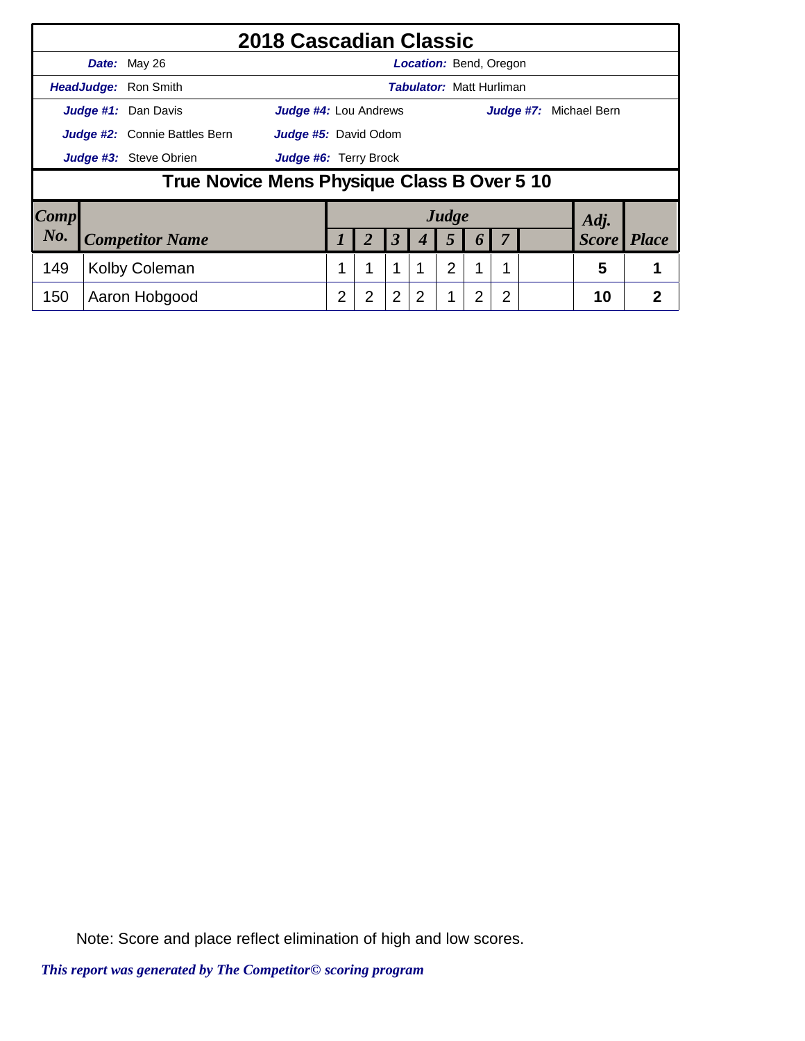|      |                                             | 2018 Cascadian Classic       |                |                |                      |   |                                 |                  |   |                        |                |
|------|---------------------------------------------|------------------------------|----------------|----------------|----------------------|---|---------------------------------|------------------|---|------------------------|----------------|
|      | Date: May 26                                |                              |                |                |                      |   | <b>Location: Bend, Oregon</b>   |                  |   |                        |                |
|      | HeadJudge: Ron Smith                        |                              |                |                |                      |   | <b>Tabulator: Matt Hurliman</b> |                  |   |                        |                |
|      | Judge #1: Dan Davis                         | <b>Judge #4: Lou Andrews</b> |                |                |                      |   |                                 |                  |   | Judge #7: Michael Bern |                |
|      | <b>Judge #2:</b> Connie Battles Bern        | <b>Judge #5: David Odom</b>  |                |                |                      |   |                                 |                  |   |                        |                |
|      | Judge #3: Steve Obrien                      | Judge #6: Terry Brock        |                |                |                      |   |                                 |                  |   |                        |                |
|      | True Novice Mens Physique Class B Over 5 10 |                              |                |                |                      |   |                                 |                  |   |                        |                |
| Comp |                                             |                              |                |                |                      |   | Judge                           |                  |   | Adj.                   |                |
| No.  | <b>Competitor Name</b>                      |                              |                |                | $\boldsymbol{\beta}$ |   | 5                               | $\boldsymbol{0}$ |   | <b>Score</b>           | <b>Place</b>   |
| 149  | Kolby Coleman                               |                              | 1              | 1              | 1                    |   | $\overline{2}$                  | 1                |   | 5                      |                |
| 150  | Aaron Hobgood                               |                              | $\overline{2}$ | $\overline{2}$ | $\overline{2}$       | 2 |                                 | 2                | 2 | 10                     | $\overline{2}$ |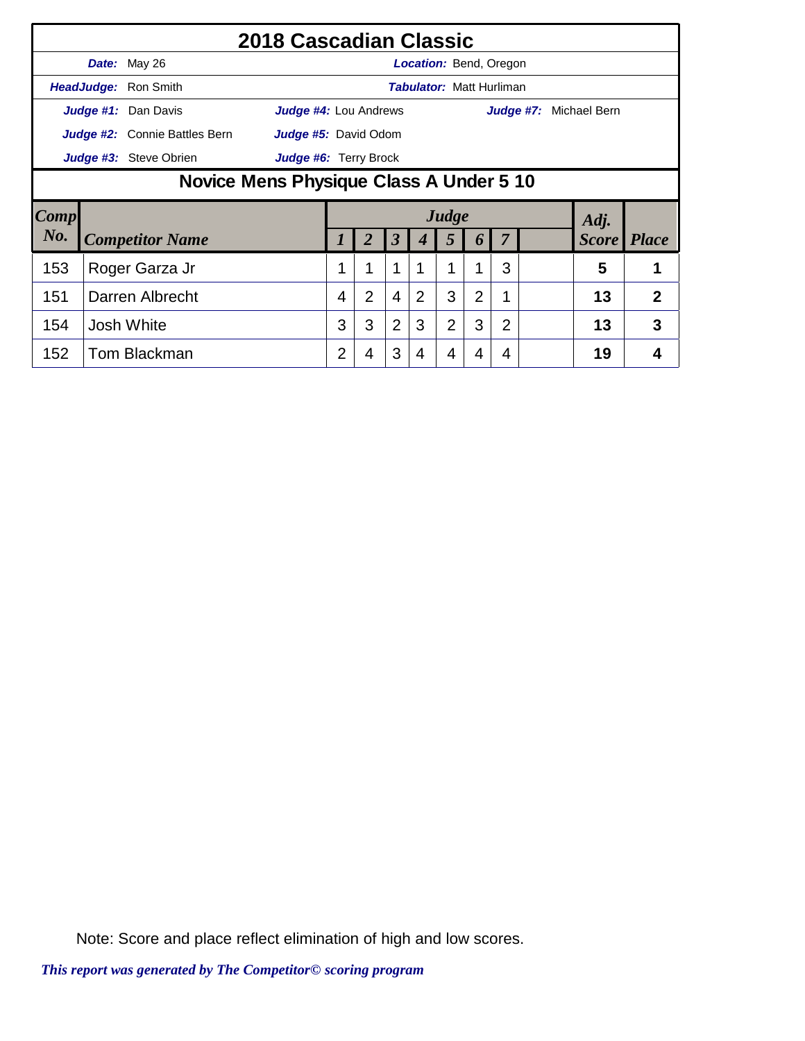|        | Date: May 26                            |                                                                                                                                                                                                                                                                                                  |                |                |   |                |   |          |   |   |    |              |  |
|--------|-----------------------------------------|--------------------------------------------------------------------------------------------------------------------------------------------------------------------------------------------------------------------------------------------------------------------------------------------------|----------------|----------------|---|----------------|---|----------|---|---|----|--------------|--|
|        | HeadJudge: Ron Smith                    |                                                                                                                                                                                                                                                                                                  |                |                |   |                |   |          |   |   |    |              |  |
|        | Judge #1: Dan Davis                     |                                                                                                                                                                                                                                                                                                  |                |                |   |                |   |          |   |   |    |              |  |
|        | Judge #2: Connie Battles Bern           |                                                                                                                                                                                                                                                                                                  |                |                |   |                |   |          |   |   |    |              |  |
|        | Judge #3: Steve Obrien                  | Judge #6: Terry Brock                                                                                                                                                                                                                                                                            |                |                |   |                |   |          |   |   |    |              |  |
|        | Novice Mens Physique Class A Under 5 10 |                                                                                                                                                                                                                                                                                                  |                |                |   |                |   |          |   |   |    |              |  |
| Comp   |                                         |                                                                                                                                                                                                                                                                                                  |                |                |   |                |   |          |   |   |    |              |  |
| $N0$ . | <b>Competitor Name</b>                  |                                                                                                                                                                                                                                                                                                  |                |                | 3 | 4              | 5 | $\bm{b}$ |   |   |    | <i>Place</i> |  |
| 153    | Roger Garza Jr                          |                                                                                                                                                                                                                                                                                                  | 1              | 1              | 1 | 1              | 1 | 1        | 3 |   | 5  | 1            |  |
| 151    | Darren Albrecht                         |                                                                                                                                                                                                                                                                                                  | 4              | $\overline{2}$ | 4 | $\overline{2}$ | 3 | 2        |   |   | 13 | 2            |  |
| 154    | <b>Josh White</b>                       | 2018 Cascadian Classic<br><b>Location:</b> Bend, Oregon<br><b>Tabulator: Matt Hurliman</b><br><b>Judge #4:</b> Lou Andrews<br>Judge #7:<br>Michael Bern<br>Judge #5: David Odom<br>Judge<br>Adj.<br><b>Score</b><br>3<br>$\overline{2}$<br>$\overline{2}$<br>3<br>3<br>3<br>$\overline{2}$<br>13 |                |                |   |                |   |          |   | 3 |    |              |  |
| 152    | Tom Blackman                            |                                                                                                                                                                                                                                                                                                  | $\overline{2}$ | 4              | 3 | 4              | 4 |          | 4 |   | 19 | 4            |  |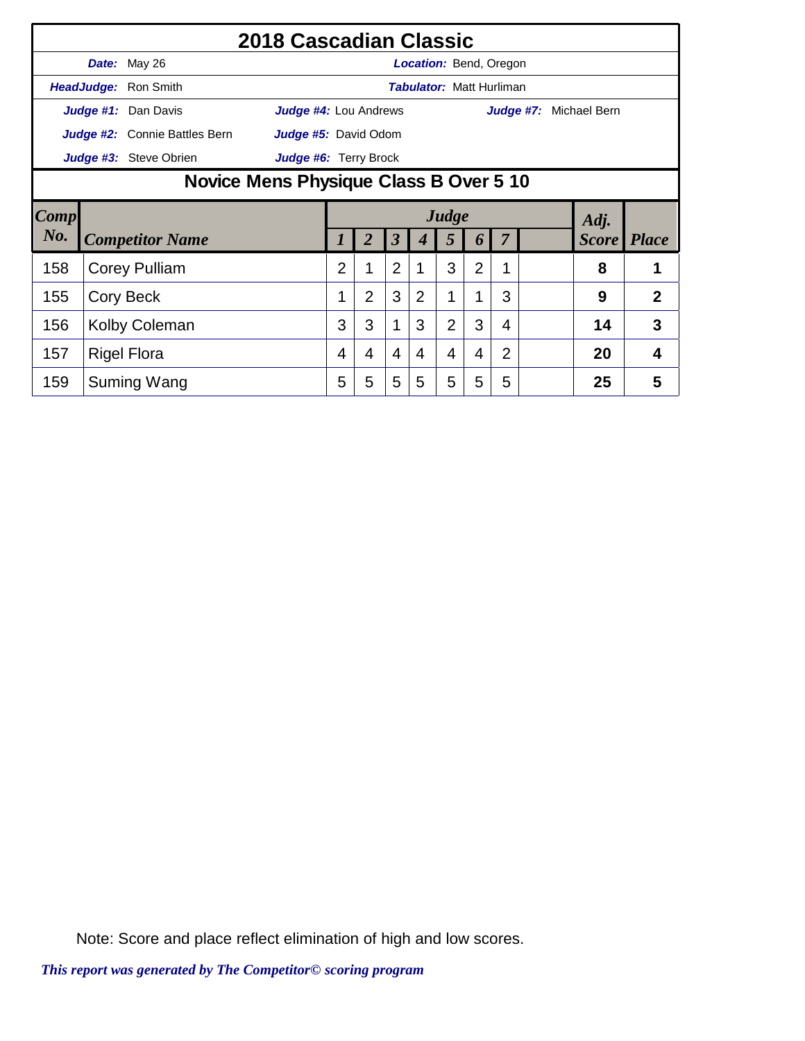|        |                                         |                               | 2018 Cascadian Classic       |   |                |                      |   |                                 |                |                |           |              |                |
|--------|-----------------------------------------|-------------------------------|------------------------------|---|----------------|----------------------|---|---------------------------------|----------------|----------------|-----------|--------------|----------------|
|        |                                         | Date: May 26                  |                              |   |                |                      |   | <b>Location: Bend, Oregon</b>   |                |                |           |              |                |
|        |                                         | HeadJudge: Ron Smith          |                              |   |                |                      |   | <b>Tabulator: Matt Hurliman</b> |                |                |           |              |                |
|        |                                         | Judge #1: Dan Davis           | Judge #4: Lou Andrews        |   |                |                      |   |                                 |                |                | Judge #7: | Michael Bern |                |
|        |                                         | Judge #2: Connie Battles Bern | Judge #5: David Odom         |   |                |                      |   |                                 |                |                |           |              |                |
|        |                                         | Judge #3: Steve Obrien        | <b>Judge #6:</b> Terry Brock |   |                |                      |   |                                 |                |                |           |              |                |
|        | Novice Mens Physique Class B Over 5 10  |                               |                              |   |                |                      |   |                                 |                |                |           |              |                |
| Comp   |                                         |                               |                              |   |                |                      |   | Judge                           |                |                |           | Adj.         |                |
| $N0$ . |                                         |                               |                              |   | 2              | $\boldsymbol{\beta}$ |   | 5                               | 6              |                |           | <b>Score</b> | <b>Place</b>   |
| 158    | <b>Competitor Name</b><br>Corey Pulliam |                               |                              |   |                | $\overline{2}$       |   | 3                               | $\overline{2}$ | 1              |           | 8            |                |
| 155    |                                         | Cory Beck                     |                              | 1 | $\overline{2}$ | 3                    | 2 | 1                               | 1              | 3              |           | 9            | $\overline{2}$ |
| 156    |                                         | <b>Kolby Coleman</b>          |                              | 3 | 3              | 1                    | 3 | $\overline{2}$                  | 3              | 4              |           | 14           | 3              |
| 157    |                                         | <b>Rigel Flora</b>            |                              | 4 | 4              | 4                    | 4 | 4                               | 4              | $\overline{2}$ |           | 20           | 4              |
| 159    |                                         | Suming Wang                   |                              | 5 | 5              | 5                    | 5 | 5                               | 5              | 5              |           | 25           | 5              |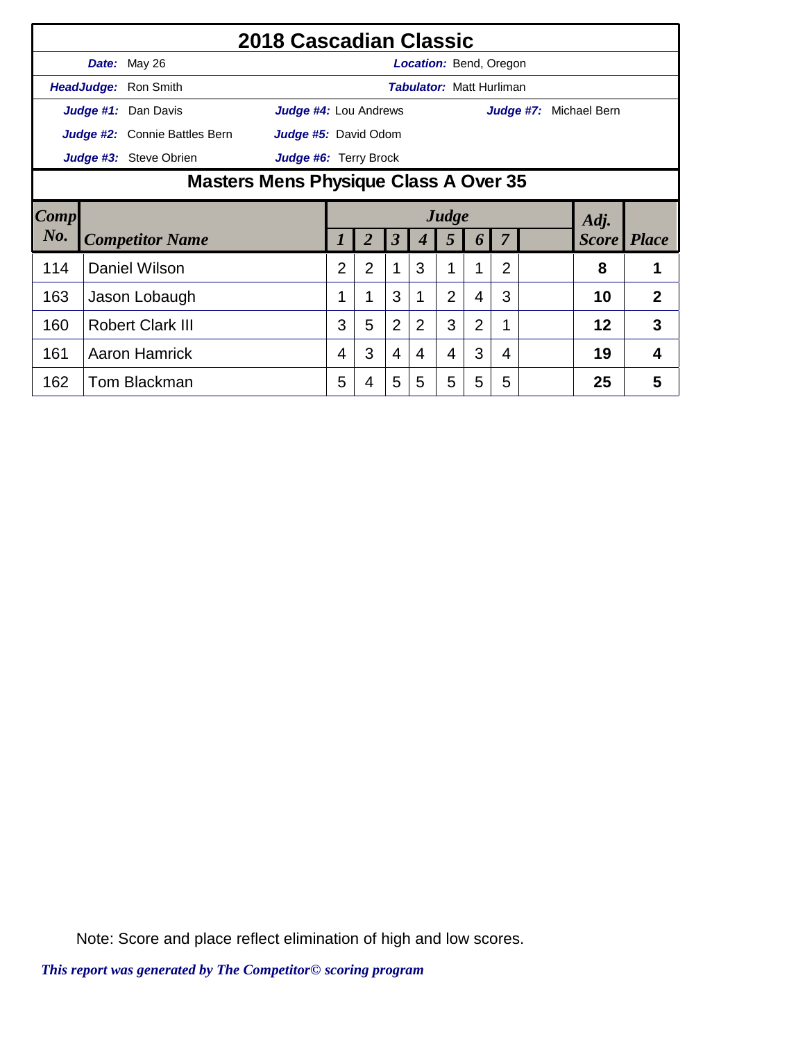|        |               |                                       | 2018 Cascadian Classic |                |   |                |                |                |                                 |   |           |              |              |
|--------|---------------|---------------------------------------|------------------------|----------------|---|----------------|----------------|----------------|---------------------------------|---|-----------|--------------|--------------|
|        |               | Date: May 26                          |                        |                |   |                |                |                | Location: Bend, Oregon          |   |           |              |              |
|        |               | HeadJudge: Ron Smith                  |                        |                |   |                |                |                | <b>Tabulator: Matt Hurliman</b> |   |           |              |              |
|        |               | Judge #1: Dan Davis                   | Judge #4: Lou Andrews  |                |   |                |                |                |                                 |   | Judge #7: | Michael Bern |              |
|        |               | Judge #2: Connie Battles Bern         | Judge #5: David Odom   |                |   |                |                |                |                                 |   |           |              |              |
|        |               | Judge #3: Steve Obrien                | Judge #6: Terry Brock  |                |   |                |                |                |                                 |   |           |              |              |
|        |               | Masters Mens Physique Class A Over 35 |                        |                |   |                |                |                |                                 |   |           |              |              |
| Comp   |               |                                       |                        |                |   |                |                | Judge          |                                 |   |           | Adj.         |              |
| $N0$ . |               | <b>Competitor Name</b>                |                        |                |   | 3              |                | 5              | 6                               |   |           | <b>Score</b> | <i>Place</i> |
| 114    | Daniel Wilson |                                       | $\overline{2}$         | $\overline{2}$ | 1 | 3              |                |                | 2                               |   | 8         |              |              |
| 163    |               | Jason Lobaugh                         |                        |                | 1 | 3              |                | $\overline{2}$ | 4                               | 3 |           | 10           | 2            |
| 160    |               | <b>Robert Clark III</b>               |                        | 3              | 5 | $\overline{2}$ | $\overline{2}$ | 3              | $\overline{2}$                  | 1 |           | 12           | 3            |
| 161    |               | <b>Aaron Hamrick</b>                  |                        | 4              | 3 | 4              | 4              | $\overline{4}$ | 3                               | 4 |           | 19           | 4            |
| 162    |               | Tom Blackman                          |                        | 5              | 4 | 5              | 5              | 5              | 5                               | 5 |           | 25           | 5            |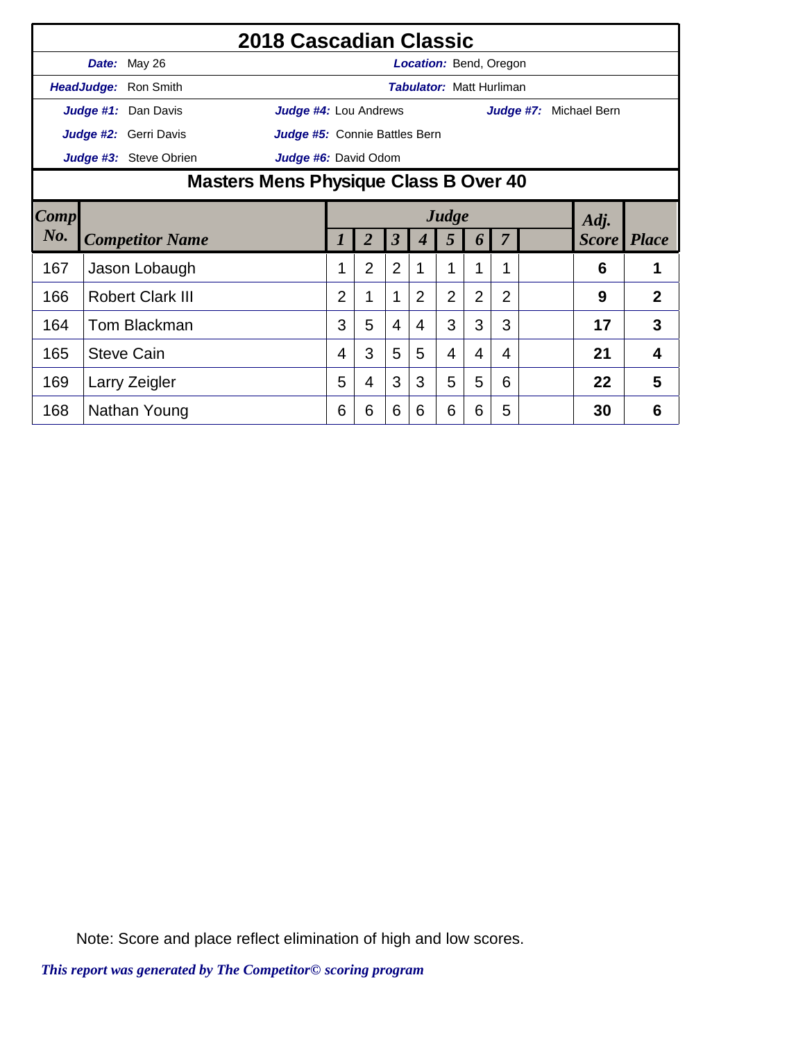|        |                     |                         | 2018 Cascadian Classic<br><b>Location: Bend, Oregon</b><br><b>Tabulator: Matt Hurliman</b><br><b>Judge #4: Lou Andrews</b><br>Judge #7: Michael Bern<br>Judge #5: Connie Battles Bern<br>Judge #6: David Odom<br>Judge<br>Adj.<br><b>Score</b> Place |   |                |                         |                |                |                |                |  |    |   |                |
|--------|---------------------|-------------------------|------------------------------------------------------------------------------------------------------------------------------------------------------------------------------------------------------------------------------------------------------|---|----------------|-------------------------|----------------|----------------|----------------|----------------|--|----|---|----------------|
|        |                     | Date: May 26            |                                                                                                                                                                                                                                                      |   |                |                         |                |                |                |                |  |    |   |                |
|        | HeadJudge:          | Ron Smith               |                                                                                                                                                                                                                                                      |   |                |                         |                |                |                |                |  |    |   |                |
|        |                     | Judge #1: Dan Davis     |                                                                                                                                                                                                                                                      |   |                |                         |                |                |                |                |  |    |   |                |
|        |                     | Judge #2: Gerri Davis   |                                                                                                                                                                                                                                                      |   |                |                         |                |                |                |                |  |    |   |                |
|        |                     | Judge #3: Steve Obrien  |                                                                                                                                                                                                                                                      |   |                |                         |                |                |                |                |  |    |   |                |
|        |                     |                         |                                                                                                                                                                                                                                                      |   |                |                         |                |                |                |                |  |    |   |                |
| Comp   |                     |                         | Masters Mens Physique Class B Over 40                                                                                                                                                                                                                |   |                |                         |                |                |                |                |  |    |   |                |
| $N0$ . |                     |                         |                                                                                                                                                                                                                                                      |   |                |                         |                |                |                |                |  |    |   |                |
|        |                     | <b>Competitor Name</b>  |                                                                                                                                                                                                                                                      | 1 | $\overline{2}$ | $\overline{\mathbf{3}}$ | 4              | 5              | 6              | 7              |  |    |   |                |
| 167    |                     | Jason Lobaugh           |                                                                                                                                                                                                                                                      | 1 | $\overline{2}$ | $\overline{2}$          | 1              | 1              |                |                |  |    | 6 | 1              |
| 166    |                     | <b>Robert Clark III</b> |                                                                                                                                                                                                                                                      | 2 | 1              | $\mathbf 1$             | $\overline{2}$ | $\overline{2}$ | $\overline{2}$ | $\overline{2}$ |  |    | 9 | $\overline{2}$ |
| 164    | <b>Tom Blackman</b> |                         | 3                                                                                                                                                                                                                                                    | 5 | $\overline{4}$ | $\overline{4}$          | 3              | 3              | 3              |                |  | 17 | 3 |                |
| 165    | <b>Steve Cain</b>   |                         | 4                                                                                                                                                                                                                                                    | 3 | 5              | 5                       | 4              | 4              | 4              |                |  | 21 | 4 |                |
| 169    | Larry Zeigler       |                         | 5                                                                                                                                                                                                                                                    | 4 | 3              | 3                       | 5              | 5              | 6              |                |  | 22 | 5 |                |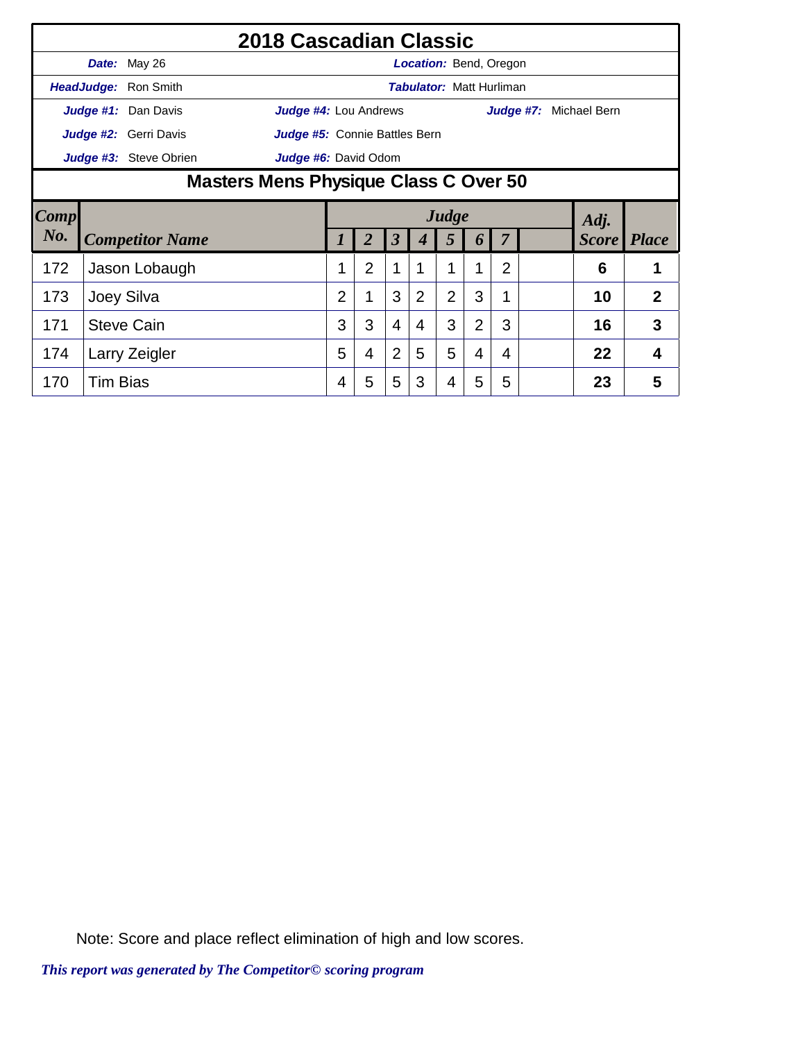|        |                                                                                 |                       | 2018 Cascadian Classic                |                |                |                |                |                                 |                |                |  |                        |                |
|--------|---------------------------------------------------------------------------------|-----------------------|---------------------------------------|----------------|----------------|----------------|----------------|---------------------------------|----------------|----------------|--|------------------------|----------------|
|        |                                                                                 | Date: May 26          |                                       |                |                |                |                | Location: Bend, Oregon          |                |                |  |                        |                |
|        |                                                                                 | HeadJudge: Ron Smith  |                                       |                |                |                |                | <b>Tabulator: Matt Hurliman</b> |                |                |  |                        |                |
|        |                                                                                 | Judge #1: Dan Davis   | Judge #4: Lou Andrews                 |                |                |                |                |                                 |                |                |  | Judge #7: Michael Bern |                |
|        |                                                                                 | Judge #2: Gerri Davis | Judge #5: Connie Battles Bern         |                |                |                |                |                                 |                |                |  |                        |                |
|        |                                                                                 |                       | Judge #6: David Odom                  |                |                |                |                |                                 |                |                |  |                        |                |
|        |                                                                                 |                       | Masters Mens Physique Class C Over 50 |                |                |                |                |                                 |                |                |  |                        |                |
| Comp   |                                                                                 |                       |                                       |                |                |                |                | Judge                           |                |                |  | Adj.                   |                |
| $N0$ . |                                                                                 |                       |                                       |                |                | 3              |                | 5                               | 6              |                |  | <b>Score</b>           | <i>Place</i>   |
| 172    | Judge #3: Steve Obrien<br><b>Competitor Name</b><br>Jason Lobaugh<br>Joey Silva |                       |                                       |                | $\overline{2}$ | 1              |                |                                 |                | $\overline{2}$ |  | 6                      | 1              |
| 173    |                                                                                 |                       |                                       | $\overline{2}$ | 1              | 3              | $\overline{2}$ | $\overline{2}$                  | 3              |                |  | 10                     | $\overline{2}$ |
| 171    |                                                                                 | <b>Steve Cain</b>     |                                       | 3              | 3              | $\overline{4}$ | 4              | 3                               | $\overline{2}$ | 3              |  | 16                     | 3              |
| 174    |                                                                                 | Larry Zeigler         |                                       | 5              | 4              | $\overline{2}$ | 5              | 5                               | 4              | 4              |  | 22                     | 4              |
| 170    | <b>Tim Bias</b>                                                                 |                       |                                       | 4              | 5              | 5              | 3              | 4                               | 5              | 5              |  | 23                     | 5              |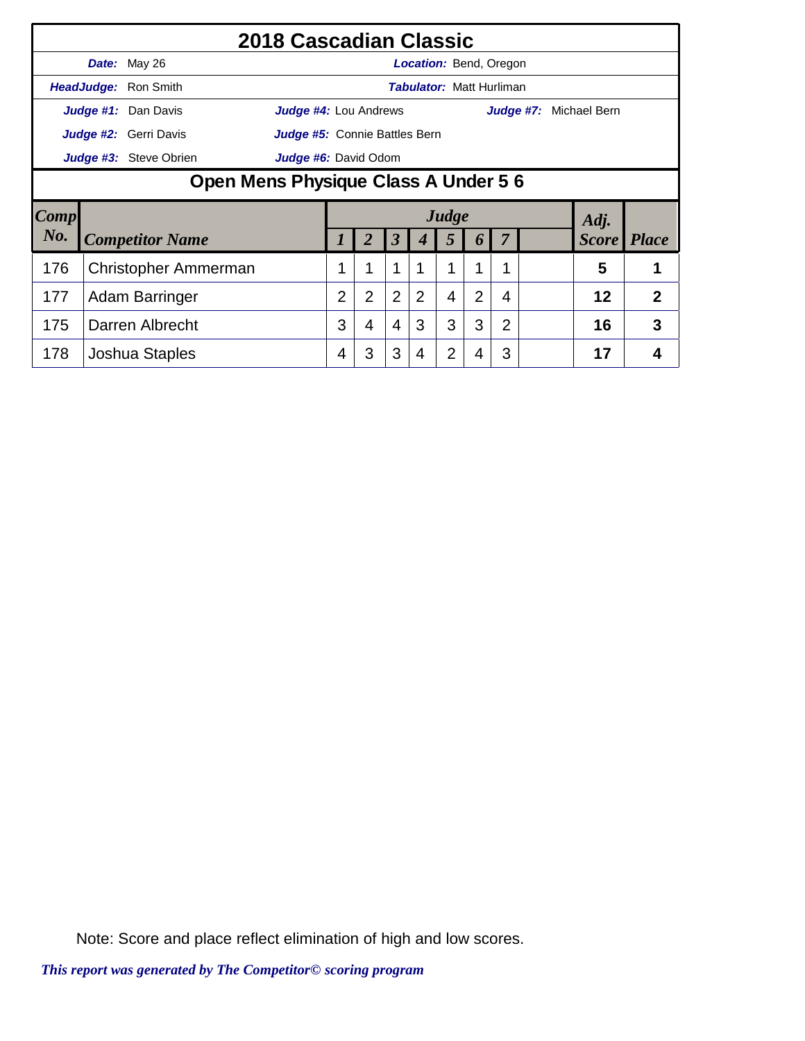|        | <b>Date:</b> May 26                  |                                                                                                                                                                                                                                                                          |                |                |                |                |   |                  |   |  |  |    |              |
|--------|--------------------------------------|--------------------------------------------------------------------------------------------------------------------------------------------------------------------------------------------------------------------------------------------------------------------------|----------------|----------------|----------------|----------------|---|------------------|---|--|--|----|--------------|
|        | HeadJudge: Ron Smith                 |                                                                                                                                                                                                                                                                          |                |                |                |                |   |                  |   |  |  |    |              |
|        | Judge #1: Dan Davis                  |                                                                                                                                                                                                                                                                          |                |                |                |                |   |                  |   |  |  |    |              |
|        | <b>Judge #2:</b> Gerri Davis         |                                                                                                                                                                                                                                                                          |                |                |                |                |   |                  |   |  |  |    |              |
|        | Judge #3: Steve Obrien               | Judge #6: David Odom                                                                                                                                                                                                                                                     |                |                |                |                |   |                  |   |  |  |    |              |
|        | Open Mens Physique Class A Under 5 6 |                                                                                                                                                                                                                                                                          |                |                |                |                |   |                  |   |  |  |    |              |
| Comp   |                                      |                                                                                                                                                                                                                                                                          |                |                |                |                |   |                  |   |  |  |    |              |
| $N0$ . | <b>Competitor Name</b>               |                                                                                                                                                                                                                                                                          |                |                | 3              |                | 5 | $\boldsymbol{0}$ |   |  |  |    | <b>Place</b> |
| 176    | <b>Christopher Ammerman</b>          |                                                                                                                                                                                                                                                                          |                | 1              | $\mathbf 1$    |                |   | 1                | 1 |  |  | 5  | 1            |
| 177    | Adam Barringer                       |                                                                                                                                                                                                                                                                          | $\overline{2}$ | $\overline{2}$ | $\overline{2}$ | $\overline{2}$ | 4 | $\overline{2}$   | 4 |  |  | 12 | 2            |
| 175    | Darren Albrecht                      | 2018 Cascadian Classic<br><b>Location:</b> Bend, Oregon<br><b>Tabulator: Matt Hurliman</b><br>Judge #4: Lou Andrews<br>Judge #7:<br>Michael Bern<br>Judge #5: Connie Battles Bern<br>Judge<br>Adj.<br><b>Score</b><br>3<br>3<br>3<br>2<br>$\overline{4}$<br>16<br>3<br>4 |                |                |                |                |   |                  |   |  |  |    | 3            |
| 178    | Joshua Staples                       |                                                                                                                                                                                                                                                                          | 4              | 3              | 3              | 4              | 2 | 4                | 3 |  |  | 17 | 4            |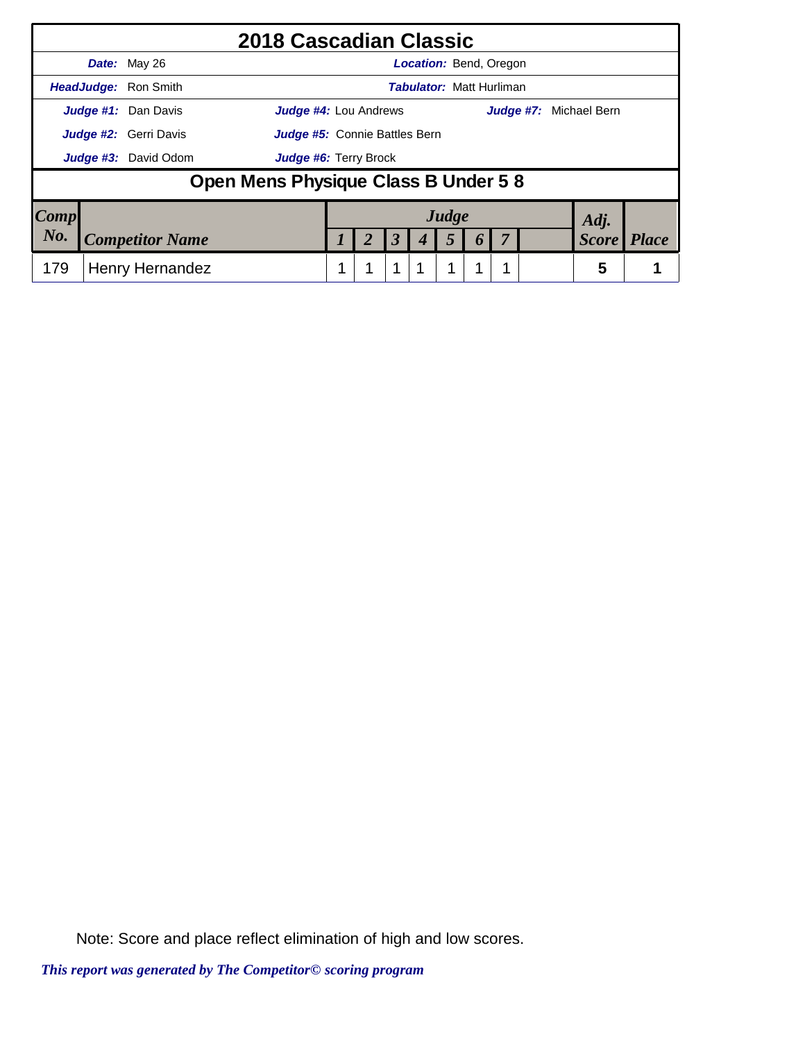|           | 2018 Cascadian Classic                                        |  |   |                      |                                 |                  |  |                        |              |
|-----------|---------------------------------------------------------------|--|---|----------------------|---------------------------------|------------------|--|------------------------|--------------|
|           | Date: May 26                                                  |  |   |                      | <b>Location: Bend, Oregon</b>   |                  |  |                        |              |
|           | <b>HeadJudge: Ron Smith</b>                                   |  |   |                      | <b>Tabulator: Matt Hurliman</b> |                  |  |                        |              |
|           | Judge #1: Dan Davis<br><b>Judge #4: Lou Andrews</b>           |  |   |                      |                                 |                  |  | Judge #7: Michael Bern |              |
|           | Judge #2: Gerri Davis<br><b>Judge #5:</b> Connie Battles Bern |  |   |                      |                                 |                  |  |                        |              |
|           | <b>Judge #3:</b> David Odom<br>Judge #6: Terry Brock          |  |   |                      |                                 |                  |  |                        |              |
|           | Open Mens Physique Class B Under 5 8                          |  |   |                      |                                 |                  |  |                        |              |
| Comp      |                                                               |  |   |                      | Judge                           |                  |  | Adj.                   |              |
| $N_{0}$ . | <b>Competitor Name</b>                                        |  | 2 | $\boldsymbol{\beta}$ | 5                               | $\boldsymbol{0}$ |  | <b>Score</b>           | <b>Place</b> |
| 179       | Henry Hernandez                                               |  |   | 1                    | 1                               |                  |  | 5                      |              |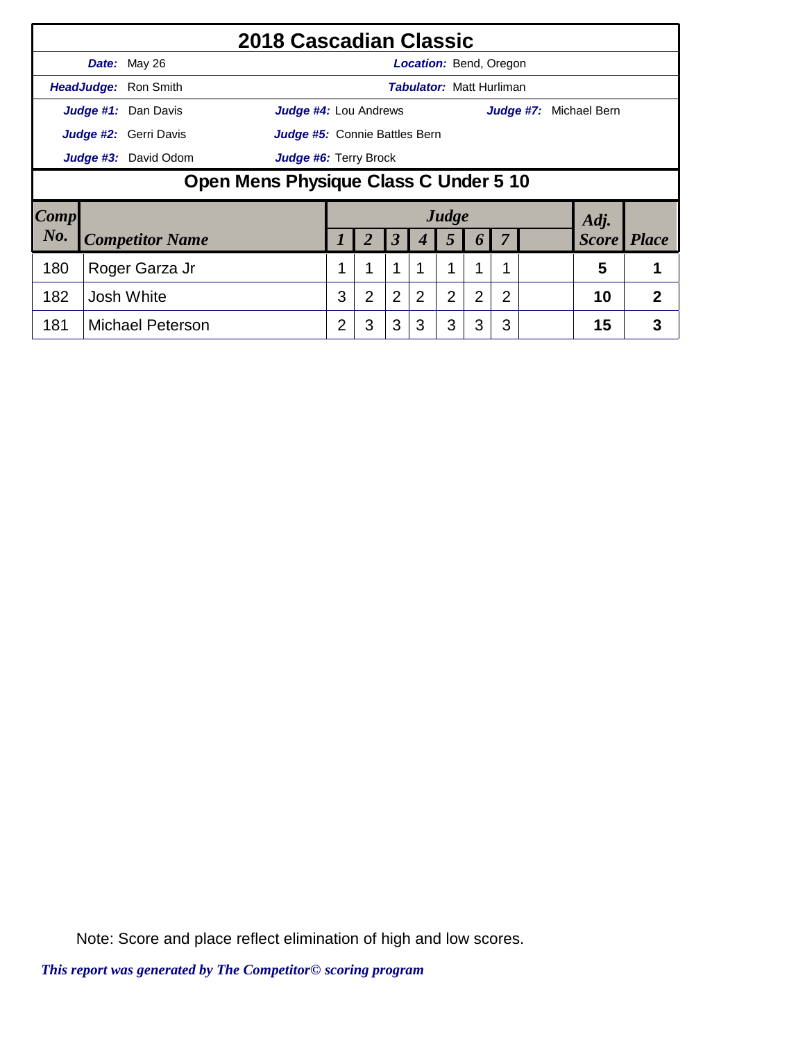|                        | 2018 Cascadian Classic                       |                               |                |                |                                 |                |                |                |  |                        |                |
|------------------------|----------------------------------------------|-------------------------------|----------------|----------------|---------------------------------|----------------|----------------|----------------|--|------------------------|----------------|
|                        | Date: May 26                                 |                               |                |                | <b>Location: Bend, Oregon</b>   |                |                |                |  |                        |                |
|                        | <b>HeadJudge:</b> Ron Smith                  |                               |                |                | <b>Tabulator: Matt Hurliman</b> |                |                |                |  |                        |                |
|                        | Judge #1: Dan Davis<br>Judge #4: Lou Andrews |                               |                |                |                                 |                |                |                |  | Judge #7: Michael Bern |                |
|                        | Judge #2: Gerri Davis                        | Judge #5: Connie Battles Bern |                |                |                                 |                |                |                |  |                        |                |
|                        | Judge #3: David Odom                         | <b>Judge #6: Terry Brock</b>  |                |                |                                 |                |                |                |  |                        |                |
|                        | Open Mens Physique Class C Under 5 10        |                               |                |                |                                 |                |                |                |  |                        |                |
| $\lfloor Comp \rfloor$ |                                              |                               |                |                |                                 | Judge          |                |                |  | Adj.                   |                |
| No.                    | <b>Competitor Name</b>                       |                               |                | 3              | 4                               | 5              | $\bm{b}$       | $\overline{7}$ |  | <i>Score</i>           | <i>Place</i>   |
| 180                    | Roger Garza Jr                               |                               | 1              | 1              |                                 |                | 1              | 1              |  | 5                      |                |
| 182                    | Josh White                                   | 3                             | $\overline{2}$ | $\overline{2}$ | 2                               | $\overline{2}$ | $\overline{2}$ | $\overline{2}$ |  | 10                     | $\overline{2}$ |
| 181                    | <b>Michael Peterson</b>                      | 2                             | 3              | 3              | 3                               | 3              | 3              | 3              |  | 15                     | 3              |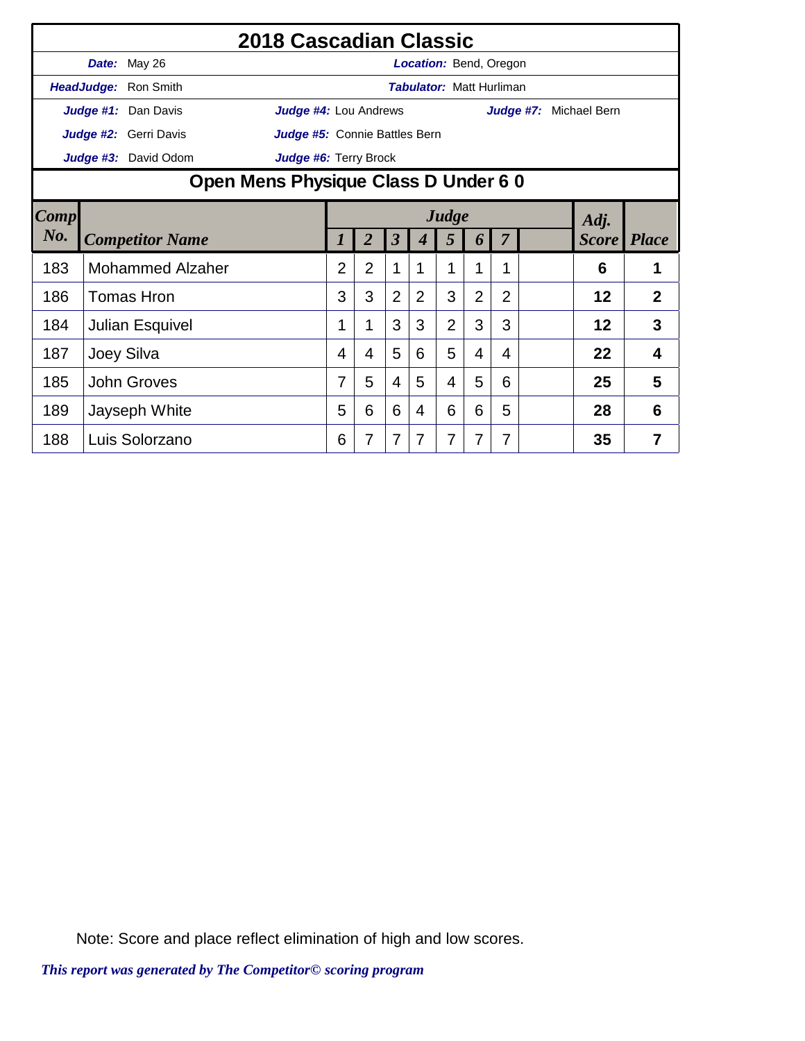|        |                        |                              | 2018 Cascadian Classic<br>Location: Bend, Oregon<br><b>Tabulator: Matt Hurliman</b><br>Judge #4: Lou Andrews<br>Judge #7: Michael Bern<br>Judge #5: Connie Battles Bern<br>Judge #6: Terry Brock<br>Judge<br>Adj.<br>$\boldsymbol{\beta}$<br>$\overline{2}$<br><b>Score</b><br>5<br>$\boldsymbol{4}$<br>6<br>7<br>1<br>$\overline{2}$<br>$\overline{2}$<br>1<br>1<br>1<br>1<br>6<br>3<br>3<br>$\overline{2}$<br>3<br>$\overline{2}$<br>$\overline{2}$<br>$\overline{2}$<br>$\overline{2}$<br>12<br>3<br>$\overline{2}$<br>3<br>3<br>3<br>3<br>12<br>1<br>1<br>5<br>5<br>22<br>6<br>4<br>4<br>4<br>4<br>4 |   |   |   |   |   |   |   |  |              |   |
|--------|------------------------|------------------------------|----------------------------------------------------------------------------------------------------------------------------------------------------------------------------------------------------------------------------------------------------------------------------------------------------------------------------------------------------------------------------------------------------------------------------------------------------------------------------------------------------------------------------------------------------------------------------------------------------------|---|---|---|---|---|---|---|--|--------------|---|
|        |                        | Date: May 26                 |                                                                                                                                                                                                                                                                                                                                                                                                                                                                                                                                                                                                          |   |   |   |   |   |   |   |  |              |   |
|        |                        | HeadJudge: Ron Smith         |                                                                                                                                                                                                                                                                                                                                                                                                                                                                                                                                                                                                          |   |   |   |   |   |   |   |  |              |   |
|        |                        | Judge #1: Dan Davis          |                                                                                                                                                                                                                                                                                                                                                                                                                                                                                                                                                                                                          |   |   |   |   |   |   |   |  |              |   |
|        |                        | <b>Judge #2:</b> Gerri Davis |                                                                                                                                                                                                                                                                                                                                                                                                                                                                                                                                                                                                          |   |   |   |   |   |   |   |  |              |   |
|        |                        | Judge #3: David Odom         |                                                                                                                                                                                                                                                                                                                                                                                                                                                                                                                                                                                                          |   |   |   |   |   |   |   |  |              |   |
|        |                        |                              | Open Mens Physique Class D Under 6 0                                                                                                                                                                                                                                                                                                                                                                                                                                                                                                                                                                     |   |   |   |   |   |   |   |  |              |   |
| Comp   |                        |                              |                                                                                                                                                                                                                                                                                                                                                                                                                                                                                                                                                                                                          |   |   |   |   |   |   |   |  |              |   |
| $N0$ . | <b>Competitor Name</b> |                              |                                                                                                                                                                                                                                                                                                                                                                                                                                                                                                                                                                                                          |   |   |   |   |   |   |   |  | <b>Place</b> |   |
| 183    |                        | <b>Mohammed Alzaher</b>      |                                                                                                                                                                                                                                                                                                                                                                                                                                                                                                                                                                                                          |   |   |   |   |   |   |   |  |              |   |
| 186    |                        | <b>Tomas Hron</b>            |                                                                                                                                                                                                                                                                                                                                                                                                                                                                                                                                                                                                          |   |   |   |   |   |   |   |  |              |   |
| 184    |                        | Julian Esquivel              |                                                                                                                                                                                                                                                                                                                                                                                                                                                                                                                                                                                                          |   |   |   |   |   |   |   |  |              |   |
| 187    |                        | Joey Silva                   |                                                                                                                                                                                                                                                                                                                                                                                                                                                                                                                                                                                                          |   |   |   |   |   |   |   |  |              |   |
| 185    |                        | <b>John Groves</b>           |                                                                                                                                                                                                                                                                                                                                                                                                                                                                                                                                                                                                          | 7 | 5 | 4 | 5 | 4 | 5 | 6 |  | 25           | 5 |
| 189    |                        | Jayseph White                |                                                                                                                                                                                                                                                                                                                                                                                                                                                                                                                                                                                                          | 5 | 6 | 6 | 4 | 6 | 6 | 5 |  | 28           | 6 |
| 188    |                        | Luis Solorzano               |                                                                                                                                                                                                                                                                                                                                                                                                                                                                                                                                                                                                          | 6 | 7 | 7 | 7 | 7 | 7 | 7 |  | 35           | 7 |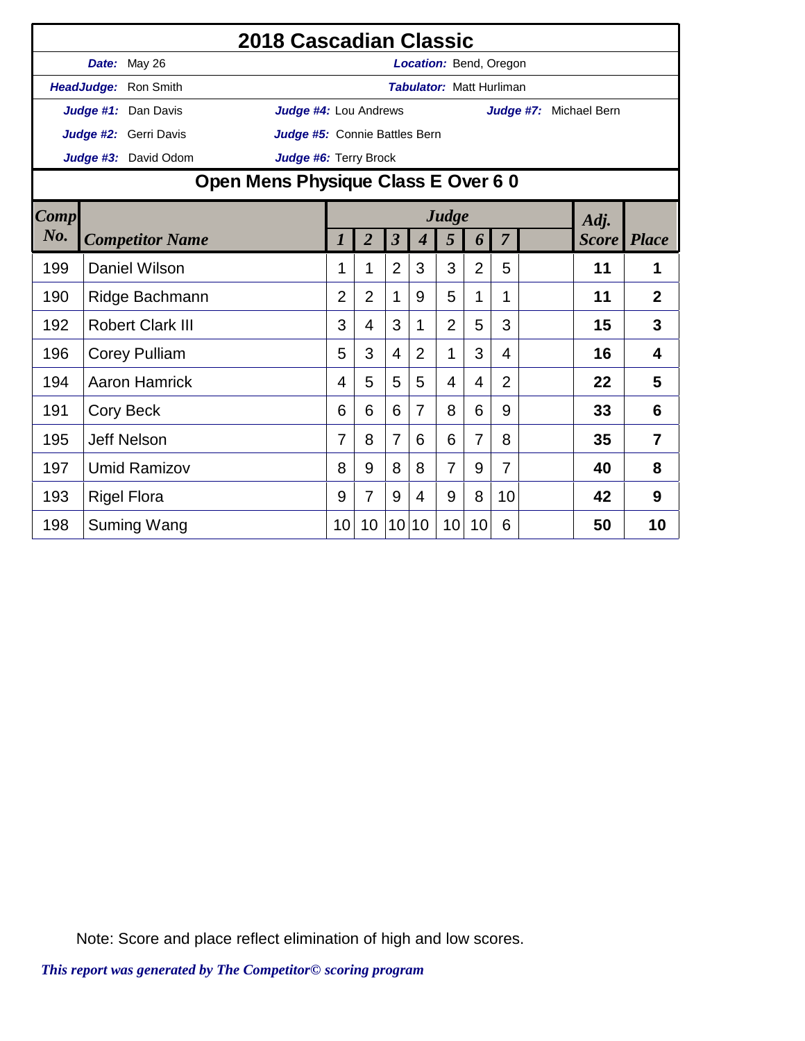|             |                                                                                                                                                                                                                                                                                                                                        | 2018 Cascadian Classic |                |                |                |                                 |                |    |                |                        |    |                |
|-------------|----------------------------------------------------------------------------------------------------------------------------------------------------------------------------------------------------------------------------------------------------------------------------------------------------------------------------------------|------------------------|----------------|----------------|----------------|---------------------------------|----------------|----|----------------|------------------------|----|----------------|
|             | Date: May 26                                                                                                                                                                                                                                                                                                                           |                        |                |                |                | Location: Bend, Oregon          |                |    |                |                        |    |                |
|             | HeadJudge: Ron Smith                                                                                                                                                                                                                                                                                                                   |                        |                |                |                | <b>Tabulator: Matt Hurliman</b> |                |    |                |                        |    |                |
|             | Judge #1: Dan Davis                                                                                                                                                                                                                                                                                                                    | Judge #4: Lou Andrews  |                |                |                |                                 |                |    |                | Judge #7: Michael Bern |    |                |
|             | Judge #2: Gerri Davis                                                                                                                                                                                                                                                                                                                  |                        |                |                |                |                                 |                |    |                |                        |    |                |
|             |                                                                                                                                                                                                                                                                                                                                        |                        |                |                |                |                                 |                |    |                |                        |    |                |
|             | Open Mens Physique Class E Over 6 0<br>Judge                                                                                                                                                                                                                                                                                           |                        |                |                |                |                                 |                |    |                |                        |    |                |
| <b>Comp</b> | Judge #5: Connie Battles Bern<br>Judge #3: David Odom<br>Judge #6: Terry Brock<br>Adj.<br>$\overline{2}$<br>$\overline{\mathbf{3}}$<br>$\overline{7}$<br><b>Score</b><br><b>Place</b><br>5<br><b>Competitor Name</b><br>$\boldsymbol{4}$<br>6<br>$\overline{2}$<br>3<br>Daniel Wilson<br>3<br>$\overline{2}$<br>11<br>1<br>5<br>1<br>1 |                        |                |                |                |                                 |                |    |                |                        |    |                |
| No.         |                                                                                                                                                                                                                                                                                                                                        |                        |                |                |                |                                 |                |    |                |                        |    |                |
| 199         |                                                                                                                                                                                                                                                                                                                                        |                        |                |                |                |                                 |                |    |                |                        |    |                |
| 190         | Ridge Bachmann                                                                                                                                                                                                                                                                                                                         |                        | $\overline{2}$ | $\overline{2}$ | $\mathbf 1$    | 9                               | 5              | 1  | 1              |                        | 11 | $\overline{2}$ |
| 192         | <b>Robert Clark III</b>                                                                                                                                                                                                                                                                                                                |                        | 3              | 4              | 3              | 1                               | $\overline{2}$ | 5  | 3              |                        | 15 | 3              |
| 196         | <b>Corey Pulliam</b>                                                                                                                                                                                                                                                                                                                   |                        | 5              | 3              | 4              | $\overline{2}$                  | 1              | 3  | 4              |                        | 16 | 4              |
| 194         | <b>Aaron Hamrick</b>                                                                                                                                                                                                                                                                                                                   |                        | 4              | 5              | 5              | 5                               | $\overline{4}$ | 4  | $\overline{2}$ |                        | 22 | 5              |
| 191         | Cory Beck                                                                                                                                                                                                                                                                                                                              |                        | 6              | 6              | 6              | $\overline{7}$                  | 8              | 6  | 9              |                        | 33 | 6              |
| 195         | <b>Jeff Nelson</b>                                                                                                                                                                                                                                                                                                                     |                        | 7              | 8              | $\overline{7}$ | 6                               | 6              | 7  | 8              |                        | 35 | $\overline{7}$ |
| 197         | <b>Umid Ramizov</b>                                                                                                                                                                                                                                                                                                                    |                        | 8              | 9              | 8              | 8                               | $\overline{7}$ | 9  | $\overline{7}$ |                        | 40 | 8              |
| 193         | <b>Rigel Flora</b>                                                                                                                                                                                                                                                                                                                     |                        | 9              | 7              | 9              | 4                               | 9              | 8  | 10             |                        | 42 | 9              |
| 198         | Suming Wang                                                                                                                                                                                                                                                                                                                            |                        | 10             | 10             | 10             | 10                              | 10             | 10 | 6              |                        | 50 | 10             |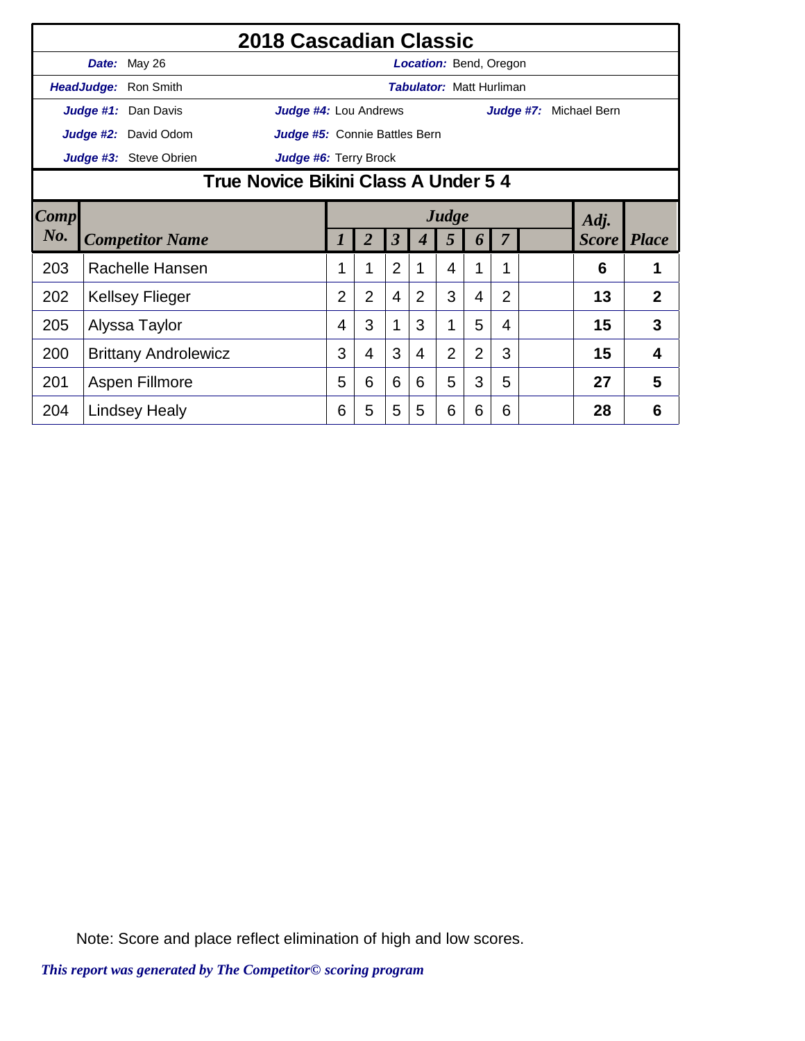|      |                                                                                                                                            |                      | 2018 Cascadian Classic        |                |                |                         |                |                                 |                |                |    |                               |                |
|------|--------------------------------------------------------------------------------------------------------------------------------------------|----------------------|-------------------------------|----------------|----------------|-------------------------|----------------|---------------------------------|----------------|----------------|----|-------------------------------|----------------|
|      |                                                                                                                                            | Date: May 26         |                               |                |                |                         |                | <b>Location:</b> Bend, Oregon   |                |                |    |                               |                |
|      |                                                                                                                                            | HeadJudge: Ron Smith |                               |                |                |                         |                | <b>Tabulator: Matt Hurliman</b> |                |                |    |                               |                |
|      |                                                                                                                                            | Judge #1: Dan Davis  | <b>Judge #4:</b> Lou Andrews  |                |                |                         |                |                                 |                |                |    | <b>Judge #7:</b> Michael Bern |                |
|      |                                                                                                                                            | Judge #2: David Odom | Judge #5: Connie Battles Bern |                |                |                         |                |                                 |                |                |    |                               |                |
|      |                                                                                                                                            |                      |                               |                |                |                         |                |                                 |                |                |    |                               |                |
|      | Judge #6: Terry Brock<br>True Novice Bikini Class A Under 5 4                                                                              |                      |                               |                |                |                         |                |                                 |                |                |    |                               |                |
| Comp |                                                                                                                                            |                      |                               |                |                |                         |                | Judge                           |                |                |    | Adj.                          |                |
| No.  |                                                                                                                                            |                      |                               | 1              | $\overline{2}$ | $\overline{\mathbf{3}}$ |                | 5                               | 6              | 7              |    | <b>Score</b> Place            |                |
| 203  | <b>Competitor Name</b><br>Rachelle Hansen                                                                                                  |                      |                               |                |                | $\overline{2}$          | 1              | 4                               |                | $\mathbf 1$    |    | 6                             | 1              |
| 202  |                                                                                                                                            |                      |                               | $\overline{2}$ | $\overline{2}$ | $\overline{4}$          | $\overline{2}$ | 3                               | $\overline{4}$ | $\overline{2}$ |    | 13                            | $\overline{2}$ |
| 205  |                                                                                                                                            |                      | 4                             | 3              | 1              | 3                       | 1              | 5                               | 4              |                | 15 | 3                             |                |
| 200  | Judge #3: Steve Obrien<br><b>Kellsey Flieger</b><br>Alyssa Taylor<br><b>Brittany Androlewicz</b><br>Aspen Fillmore<br><b>Lindsey Healy</b> |                      |                               |                |                | 3                       | 4              | $\overline{2}$                  | $\overline{2}$ | 3              |    | 15                            | 4              |
| 201  |                                                                                                                                            |                      | 5                             | 6              | 6              | 6                       | 5              | 3                               | 5              |                | 27 | 5                             |                |
| 204  |                                                                                                                                            |                      |                               | 6              | 5              | 5                       | 5              | 6                               | 6              | 6              |    | 28                            | 6              |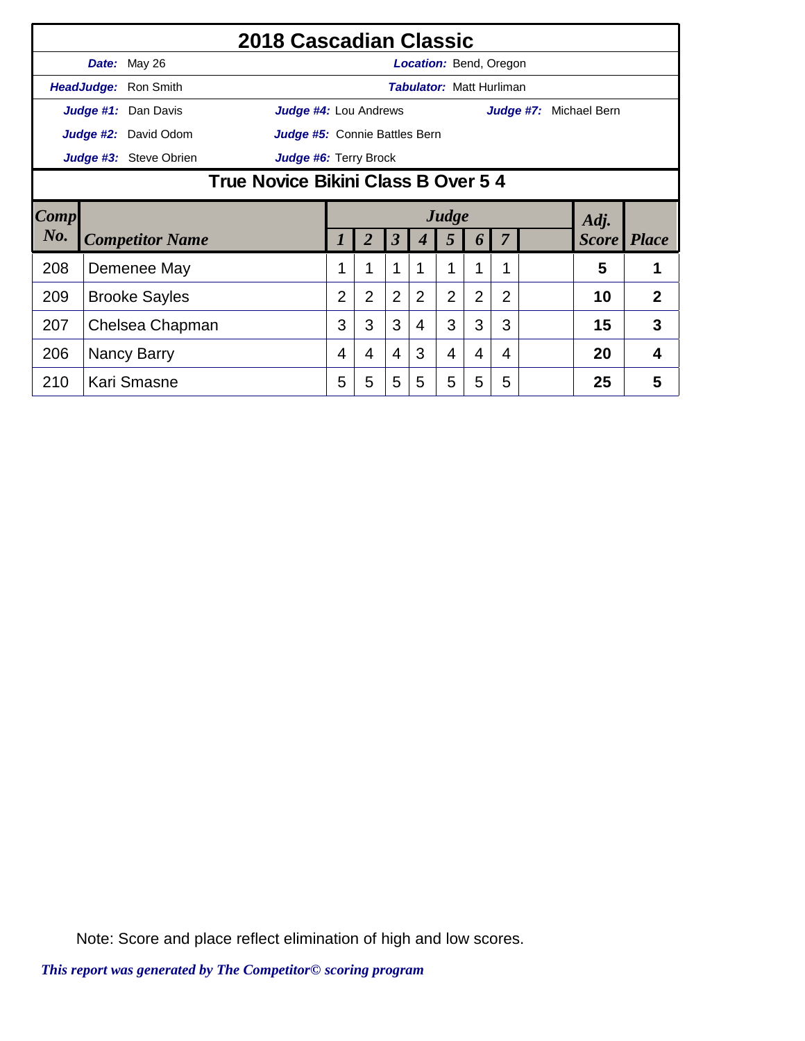|        |                                                                                                                                                                              |                               |                                     |                |                |                |                | <b>Location: Bend, Oregon</b>   |                  |                |  |                        |                |
|--------|------------------------------------------------------------------------------------------------------------------------------------------------------------------------------|-------------------------------|-------------------------------------|----------------|----------------|----------------|----------------|---------------------------------|------------------|----------------|--|------------------------|----------------|
|        |                                                                                                                                                                              |                               |                                     |                |                |                |                | <b>Tabulator: Matt Hurliman</b> |                  |                |  |                        |                |
|        |                                                                                                                                                                              |                               | Judge #4: Lou Andrews               |                |                |                |                |                                 |                  |                |  | Judge #7: Michael Bern |                |
|        |                                                                                                                                                                              | Judge #5: Connie Battles Bern |                                     |                |                |                |                |                                 |                  |                |  |                        |                |
|        |                                                                                                                                                                              |                               | Judge #6: Terry Brock               |                |                |                |                |                                 |                  |                |  |                        |                |
|        |                                                                                                                                                                              |                               | True Novice Bikini Class B Over 5 4 |                |                |                |                |                                 |                  |                |  |                        |                |
| Comp   |                                                                                                                                                                              |                               |                                     |                |                |                |                | Judge                           |                  |                |  | Adj.                   |                |
| $N0$ . |                                                                                                                                                                              |                               |                                     |                |                | 3              |                | 5                               | $\boldsymbol{b}$ |                |  | <b>Score</b>           | <b>Place</b>   |
| 208    | <b>Competitor Name</b><br>Demenee May                                                                                                                                        |                               |                                     |                | 1              | 1              |                |                                 |                  |                |  | 5                      |                |
| 209    |                                                                                                                                                                              |                               |                                     | $\overline{2}$ | $\overline{2}$ | $\overline{2}$ | $\overline{2}$ | $\overline{2}$                  | $\overline{2}$   | $\overline{2}$ |  | 10                     | $\overline{2}$ |
| 207    | <b>Brooke Sayles</b><br>Chelsea Chapman                                                                                                                                      |                               |                                     |                | 3              | 3              | 4              | 3                               | 3                | 3              |  | 15                     | 3              |
| 206    | 2018 Cascadian Classic<br>Date: May 26<br>HeadJudge: Ron Smith<br>Judge #1: Dan Davis<br>Judge #2: David Odom<br>Judge #3: Steve Obrien<br>Nancy Barry<br>210<br>Kari Smasne |                               |                                     | 4              | 4              | $\overline{4}$ | 3              | 4                               | 4                | 4              |  | 20                     | 4              |
|        |                                                                                                                                                                              |                               |                                     | 5              | 5              | 5              | 5              | 5                               | 5                | 5              |  | 25                     | 5              |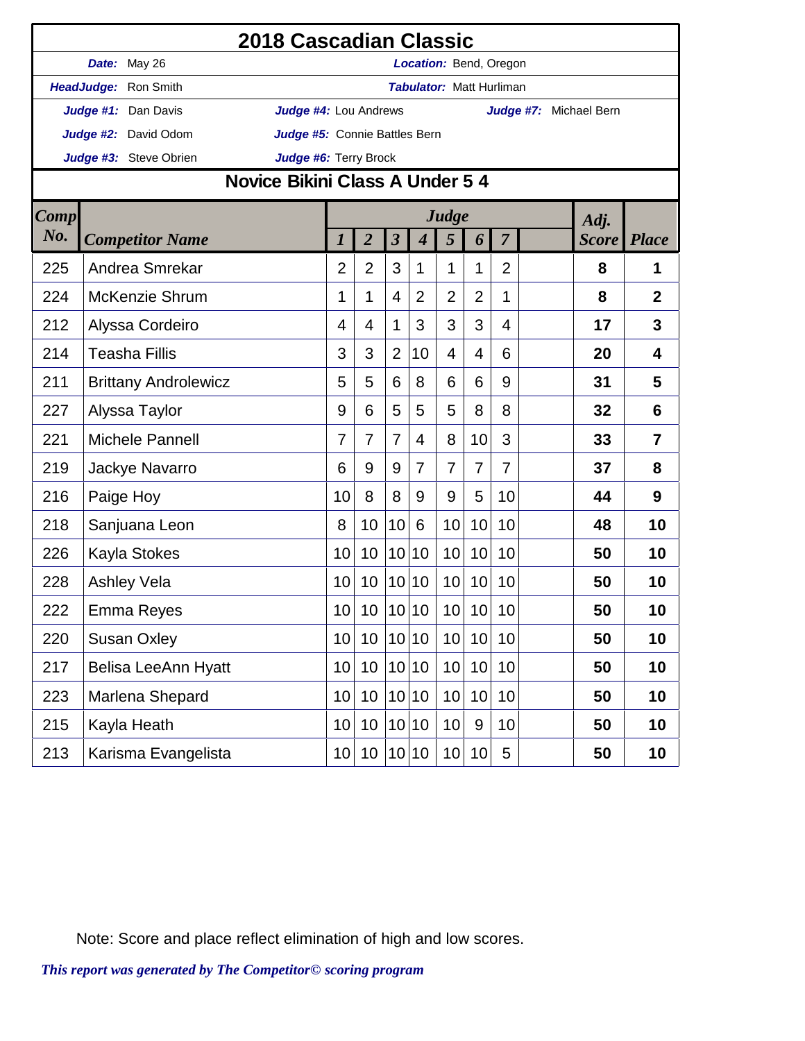|             | 2018 Cascadian Classic                                |                 |                 |                         |                          |                                 |                 |                |                        |              |                |
|-------------|-------------------------------------------------------|-----------------|-----------------|-------------------------|--------------------------|---------------------------------|-----------------|----------------|------------------------|--------------|----------------|
|             | Date: May 26                                          |                 |                 |                         | Location: Bend, Oregon   |                                 |                 |                |                        |              |                |
|             | HeadJudge: Ron Smith                                  |                 |                 |                         |                          | <b>Tabulator: Matt Hurliman</b> |                 |                |                        |              |                |
|             | Judge #1: Dan Davis<br>Judge #4: Lou Andrews          |                 |                 |                         |                          |                                 |                 |                | Judge #7: Michael Bern |              |                |
|             | Judge #2: David Odom<br>Judge #5: Connie Battles Bern |                 |                 |                         |                          |                                 |                 |                |                        |              |                |
|             | Judge #3: Steve Obrien<br>Judge #6: Terry Brock       |                 |                 |                         |                          |                                 |                 |                |                        |              |                |
|             | Novice Bikini Class A Under 5 4                       |                 |                 |                         |                          |                                 |                 |                |                        |              |                |
| <b>Comp</b> |                                                       |                 |                 |                         |                          | Judge                           |                 |                |                        | Adj.         |                |
| No.         | <b>Competitor Name</b>                                | 1               | $\overline{2}$  | $\overline{\mathbf{3}}$ | $\overline{\mathcal{A}}$ | 5                               | 6               | $\overline{7}$ |                        | <i>Score</i> | <b>Place</b>   |
| 225         | Andrea Smrekar                                        | $\overline{2}$  | $\overline{2}$  | 3                       | 1                        | 1                               | 1               | $\overline{2}$ |                        | 8            | 1              |
| 224         | <b>McKenzie Shrum</b>                                 | 1               | 1               | 4                       | $\overline{2}$           | $\overline{2}$                  | $\overline{2}$  | 1              |                        | 8            | $\overline{2}$ |
| 212         | Alyssa Cordeiro                                       | $\overline{4}$  | 4               | 1                       | 3                        | 3                               | 3               | 4              |                        | 17           | 3              |
| 214         | <b>Teasha Fillis</b>                                  | 3               | 3               | $\overline{2}$          | 10                       | 4                               | 4               | 6              |                        | 20           | 4              |
| 211         | <b>Brittany Androlewicz</b>                           | 5               | 5               | 6                       | 8                        | 6                               | 6               | 9              |                        | 31           | 5              |
| 227         | Alyssa Taylor                                         | 9               | 6               | 5                       | 5                        | 5                               | 8               | 8              |                        | 32           | 6              |
| 221         | Michele Pannell                                       | $\overline{7}$  | 7               | 7                       | 4                        | 8                               | 10              | 3              |                        | 33           | $\overline{7}$ |
| 219         | Jackye Navarro                                        | 6               | 9               | 9                       | $\overline{7}$           | $\overline{7}$                  | $\overline{7}$  | $\overline{7}$ |                        | 37           | 8              |
| 216         | Paige Hoy                                             | 10              | 8               | 8                       | 9                        | 9                               | 5               | 10             |                        | 44           | 9              |
| 218         | Sanjuana Leon                                         | 8               | 10              | 10                      | 6                        | 10                              | 10              | 10             |                        | 48           | 10             |
| 226         | Kayla Stokes                                          | 10              | 10              | 10                      | 10                       | 10                              | 10              | 10             |                        | 50           | 10             |
| 228         | <b>Ashley Vela</b>                                    | 10              | 10              |                         | 10 10                    | 10                              | 10              | 10             |                        | 50           | 10             |
| 222         | Emma Reyes                                            | 10              | 10 <sup>°</sup> |                         | 10 10                    | 10                              | 10              | 10             |                        | 50           | 10             |
| 220         | <b>Susan Oxley</b>                                    | 10              | 10              |                         | 10 10                    | 10                              | 10              | 10             |                        | 50           | 10             |
| 217         | Belisa LeeAnn Hyatt                                   | 10              | 10              |                         | 10 10                    | 10                              | 10 <sup>1</sup> | 10             |                        | 50           | 10             |
| 223         | Marlena Shepard                                       | 10              | 10              |                         | 10 10                    | 10                              | 10              | 10             |                        | 50           | 10             |
| 215         | Kayla Heath                                           | 10              | 10              |                         | 10 10                    | 10                              | 9               | 10             |                        | 50           | 10             |
| 213         | Karisma Evangelista                                   | 10 <sup>1</sup> | 10              |                         | 10 10                    | 10                              | 10              | 5              |                        | 50           | 10             |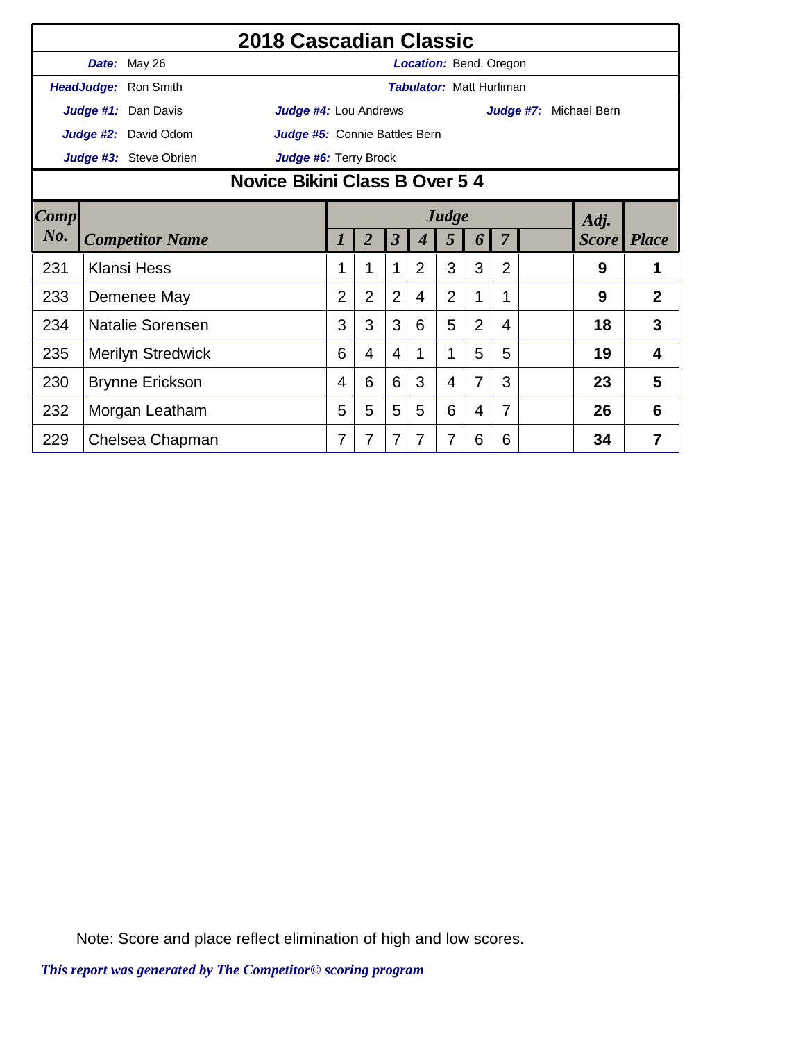|        | 2018 Cascadian Classic<br>Date: May 26<br>Location: Bend, Oregon |                          |                               |                                |                |                         |                                 |                |                |                |                        |              |                |
|--------|------------------------------------------------------------------|--------------------------|-------------------------------|--------------------------------|----------------|-------------------------|---------------------------------|----------------|----------------|----------------|------------------------|--------------|----------------|
|        |                                                                  |                          |                               |                                |                |                         |                                 |                |                |                |                        |              |                |
|        |                                                                  | HeadJudge: Ron Smith     |                               |                                |                |                         | <b>Tabulator: Matt Hurliman</b> |                |                |                |                        |              |                |
|        |                                                                  | Judge #1: Dan Davis      | <b>Judge #4: Lou Andrews</b>  |                                |                |                         |                                 |                |                |                | Judge #7: Michael Bern |              |                |
|        |                                                                  | Judge #2: David Odom     | Judge #5: Connie Battles Bern |                                |                |                         |                                 |                |                |                |                        |              |                |
|        |                                                                  | Judge #3: Steve Obrien   | Judge #6: Terry Brock         |                                |                |                         |                                 |                |                |                |                        |              |                |
|        |                                                                  |                          |                               | Novice Bikini Class B Over 5 4 |                |                         |                                 |                |                |                |                        |              |                |
| Comp   |                                                                  |                          |                               | Judge<br>Adj.                  |                |                         |                                 |                |                |                |                        |              |                |
| $N0$ . |                                                                  | <b>Competitor Name</b>   |                               | 1                              | $\overline{2}$ | $\overline{\mathbf{3}}$ | 4                               | 5              | 6              | $\overline{7}$ |                        | <b>Score</b> | <b>Place</b>   |
| 231    |                                                                  | <b>Klansi Hess</b>       |                               | 1                              | 1              | 1                       | $\overline{2}$                  | 3              | 3              | $\overline{2}$ |                        | 9            | 1              |
| 233    |                                                                  | Demenee May              |                               | $\overline{2}$                 | $\overline{2}$ | $\overline{2}$          | 4                               | $\overline{2}$ | 1              | 1              |                        | 9            | $\overline{2}$ |
| 234    |                                                                  | <b>Natalie Sorensen</b>  |                               | 3                              | 3              | 3                       | 6                               | 5              | $\overline{2}$ | 4              |                        | 18           | 3              |
| 235    |                                                                  | <b>Merilyn Stredwick</b> |                               | 6                              | $\overline{4}$ | $\overline{4}$          | 1                               | 1              | 5              | 5              |                        | 19           | 4              |
| 230    |                                                                  | <b>Brynne Erickson</b>   |                               | 4                              | 6              | 6                       | 3                               | 4              | $\overline{7}$ | 3              |                        | 23           | 5              |
| 232    | Morgan Leatham                                                   |                          | 5                             | 5                              | 5              | 5                       | 6                               | 4              | 7              |                | 26                     | 6            |                |
| 229    |                                                                  | Chelsea Chapman          |                               | 7                              | 7              | $\overline{7}$          | 7                               | 7              | 6              | 6              |                        | 34           | 7              |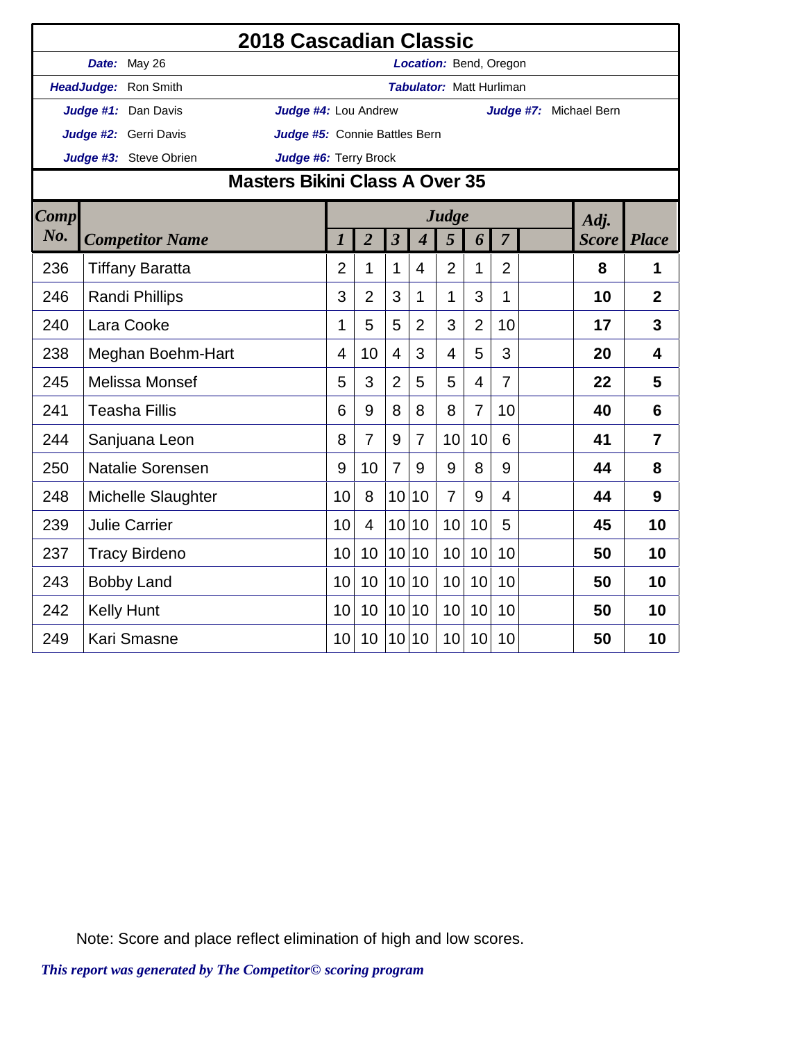|      |                      |                         | 2018 Cascadian Classic         |                |                |                         |                             |                |                |                                 |                        |                |
|------|----------------------|-------------------------|--------------------------------|----------------|----------------|-------------------------|-----------------------------|----------------|----------------|---------------------------------|------------------------|----------------|
|      |                      | Date: May 26            |                                |                |                |                         |                             |                |                | Location: Bend, Oregon          |                        |                |
|      |                      | HeadJudge: Ron Smith    |                                |                |                |                         |                             |                |                | <b>Tabulator: Matt Hurliman</b> |                        |                |
|      |                      | Judge #1: Dan Davis     | Judge #4: Lou Andrew           |                |                |                         |                             |                |                |                                 | Judge #7: Michael Bern |                |
|      |                      | Judge #2: Gerri Davis   | Judge #5: Connie Battles Bern  |                |                |                         |                             |                |                |                                 |                        |                |
|      |                      | Judge #3: Steve Obrien  | Judge #6: Terry Brock          |                |                |                         |                             |                |                |                                 |                        |                |
|      |                      |                         | Masters Bikini Class A Over 35 |                |                |                         |                             |                |                |                                 |                        |                |
| Comp |                      |                         |                                |                |                |                         |                             | Judge          |                |                                 | Adj.                   |                |
| No.  |                      | <b>Competitor Name</b>  |                                | $\overline{l}$ | $\overline{2}$ | $\overline{\mathbf{3}}$ | $\overline{\boldsymbol{4}}$ | 5              | 6              | $\overline{7}$                  | <b>Score</b>           | <b>Place</b>   |
| 236  |                      | <b>Tiffany Baratta</b>  |                                | $\overline{2}$ | 1              | $\mathbf 1$             | 4                           | $\overline{2}$ | 1              | $\overline{2}$                  | 8                      | 1              |
| 246  |                      | <b>Randi Phillips</b>   |                                | 3              | $\overline{2}$ | 3                       | 1                           | 1              | 3              | 1                               | 10                     | $\overline{2}$ |
| 240  | Lara Cooke           |                         |                                |                | 5              | 5                       | $\overline{2}$              | 3              | $\overline{2}$ | 10                              | 17                     | 3              |
| 238  |                      | Meghan Boehm-Hart       |                                | 4              | 10             | $\overline{4}$          | 3                           | $\overline{4}$ | 5              | 3                               | 20                     | $\overline{4}$ |
| 245  |                      | <b>Melissa Monsef</b>   |                                | 5              | 3              | $\overline{2}$          | 5                           | 5              | 4              | $\overline{7}$                  | 22                     | 5              |
| 241  |                      | <b>Teasha Fillis</b>    |                                | 6              | 9              | 8                       | 8                           | 8              | $\overline{7}$ | 10                              | 40                     | 6              |
| 244  |                      | Sanjuana Leon           |                                | 8              | $\overline{7}$ | 9                       | $\overline{7}$              | 10             | 10             | 6                               | 41                     | $\overline{7}$ |
| 250  |                      | <b>Natalie Sorensen</b> |                                | 9              | 10             | $\overline{7}$          | 9                           | 9              | 8              | 9                               | 44                     | 8              |
| 248  |                      | Michelle Slaughter      |                                | 10             | 8              | 10                      | 10                          | $\overline{7}$ | 9              | 4                               | 44                     | 9              |
| 239  |                      | <b>Julie Carrier</b>    |                                | 10             | $\overline{4}$ | 10                      | 10                          | 10             | 10             | 5                               | 45                     | 10             |
| 237  | <b>Tracy Birdeno</b> |                         | 10                             | 10             |                | 10 10                   | 10                          | 10             | 10             | 50                              | 10                     |                |
| 243  |                      | <b>Bobby Land</b>       |                                | 10             | 10             | 10 <sup>1</sup>         | 10                          | 10             | 10             | 10                              | 50                     | 10             |
| 242  |                      | <b>Kelly Hunt</b>       |                                | 10             | 10             | 10                      | 10                          | 10             | 10             | 10                              | 50                     | 10             |
| 249  |                      | <b>Kari Smasne</b>      |                                | 10             | 10             |                         | 10 10                       | 10             | 10             | 10                              | 50                     | 10             |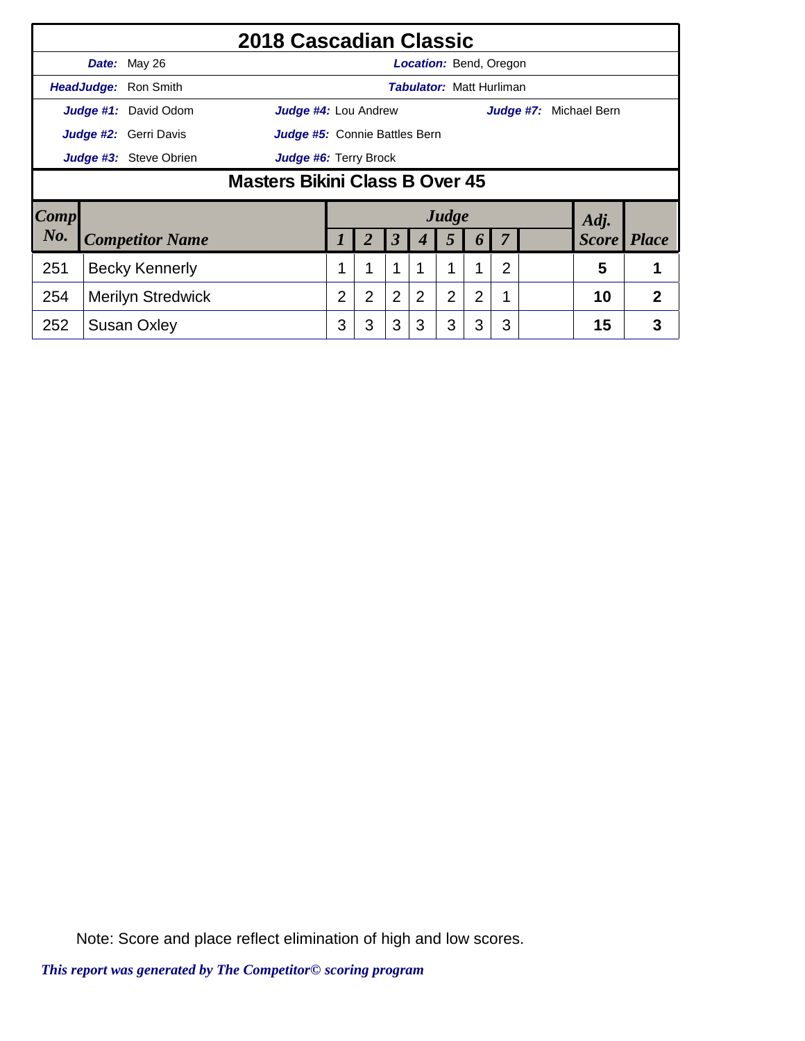|                                        |                                                 |                        | 2018 Cascadian Classic        |  |   |                |                                 |                |                |   |                        |              |
|----------------------------------------|-------------------------------------------------|------------------------|-------------------------------|--|---|----------------|---------------------------------|----------------|----------------|---|------------------------|--------------|
|                                        |                                                 | Date: May 26           |                               |  |   |                | <b>Location: Bend, Oregon</b>   |                |                |   |                        |              |
|                                        |                                                 | HeadJudge: Ron Smith   |                               |  |   |                | <b>Tabulator: Matt Hurliman</b> |                |                |   |                        |              |
|                                        |                                                 | Judge #1: David Odom   | Judge #4: Lou Andrew          |  |   |                |                                 |                |                |   | Judge #7: Michael Bern |              |
|                                        |                                                 | Judge #2: Gerri Davis  | Judge #5: Connie Battles Bern |  |   |                |                                 |                |                |   |                        |              |
|                                        | Judge #3: Steve Obrien<br>Judge #6: Terry Brock |                        |                               |  |   |                |                                 |                |                |   |                        |              |
|                                        | <b>Masters Bikini Class B Over 45</b>           |                        |                               |  |   |                |                                 |                |                |   |                        |              |
| Comp                                   |                                                 |                        |                               |  |   |                |                                 | Judge          |                |   | Adj.                   |              |
| No.                                    |                                                 | <b>Competitor Name</b> |                               |  |   | 3              | 4                               | 5              | $\bm{o}$       |   | <b>Score</b>           | <b>Place</b> |
| 251<br>1<br><b>Becky Kennerly</b><br>1 |                                                 |                        |                               |  |   |                |                                 | 1              | $\overline{2}$ | 5 | 1                      |              |
| 254                                    | <b>Merilyn Stredwick</b>                        |                        |                               |  | 2 | $\overline{2}$ | 2                               | $\overline{2}$ | 2              | 1 | 10                     | 2            |
| 252                                    | <b>Susan Oxley</b>                              |                        |                               |  | 3 | 3              | 3                               | 3              | 3              | 3 | 15                     | 3            |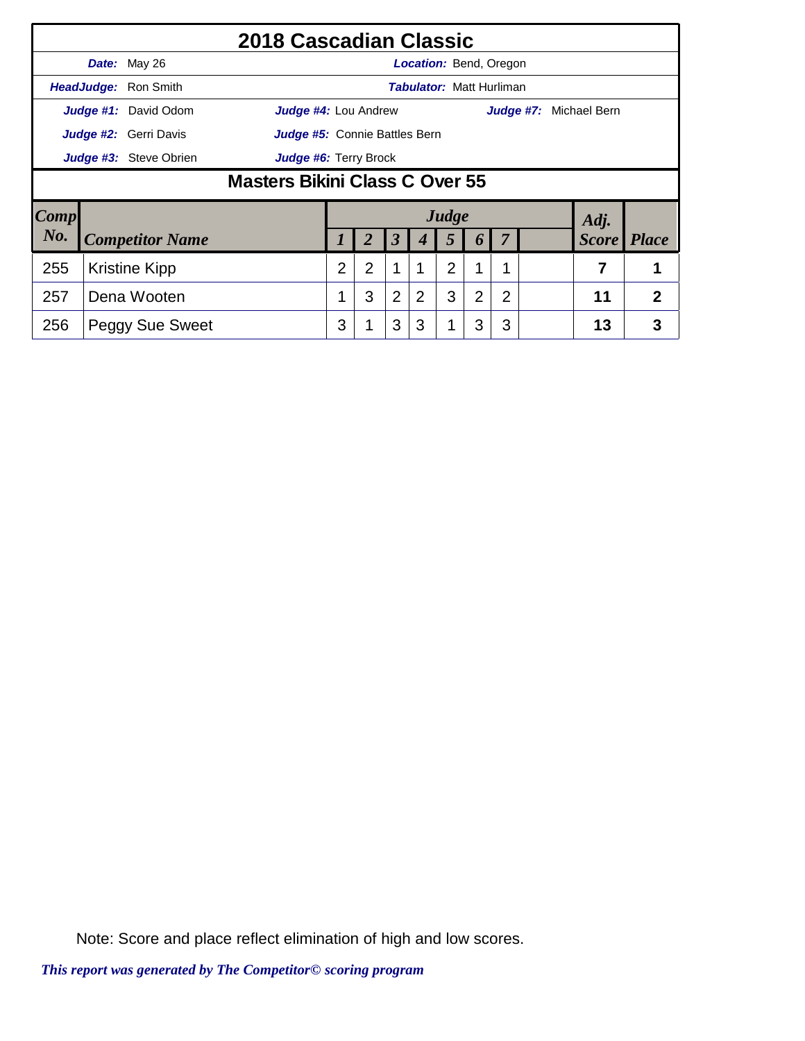|                                                                                | 2018 Cascadian Classic                                 |                              |                               |  |   |                      |                                 |       |                  |   |           |              |                |
|--------------------------------------------------------------------------------|--------------------------------------------------------|------------------------------|-------------------------------|--|---|----------------------|---------------------------------|-------|------------------|---|-----------|--------------|----------------|
|                                                                                |                                                        | Date: May 26                 |                               |  |   |                      | <b>Location: Bend, Oregon</b>   |       |                  |   |           |              |                |
|                                                                                |                                                        | <b>HeadJudge: Ron Smith</b>  |                               |  |   |                      | <b>Tabulator: Matt Hurliman</b> |       |                  |   |           |              |                |
|                                                                                |                                                        | Judge #1: David Odom         | Judge #4: Lou Andrew          |  |   |                      |                                 |       |                  |   | Judge #7: | Michael Bern |                |
|                                                                                |                                                        | <b>Judge #2:</b> Gerri Davis | Judge #5: Connie Battles Bern |  |   |                      |                                 |       |                  |   |           |              |                |
|                                                                                | Judge #3: Steve Obrien<br><b>Judge #6: Terry Brock</b> |                              |                               |  |   |                      |                                 |       |                  |   |           |              |                |
|                                                                                | Masters Bikini Class C Over 55                         |                              |                               |  |   |                      |                                 |       |                  |   |           |              |                |
| $\lfloor Comp \rfloor$                                                         |                                                        |                              |                               |  |   |                      |                                 | Judge |                  |   |           | Adj.         |                |
| No.                                                                            |                                                        | <b>Competitor Name</b>       |                               |  |   | $\boldsymbol{\beta}$ |                                 | 5     | $\boldsymbol{p}$ |   |           | <i>Score</i> | <i>Place</i>   |
| $\overline{2}$<br>2<br>$\overline{2}$<br>255<br>7<br><b>Kristine Kipp</b><br>1 |                                                        |                              |                               |  |   |                      | 1                               |       |                  |   |           |              |                |
| 257                                                                            | Dena Wooten                                            |                              |                               |  | 3 | 2                    | 2                               | 3     | $\overline{2}$   | 2 |           | 11           | $\overline{2}$ |
| 256                                                                            | <b>Peggy Sue Sweet</b>                                 |                              |                               |  |   | 3                    | 3                               |       | 3                | 3 |           | 13           | 3              |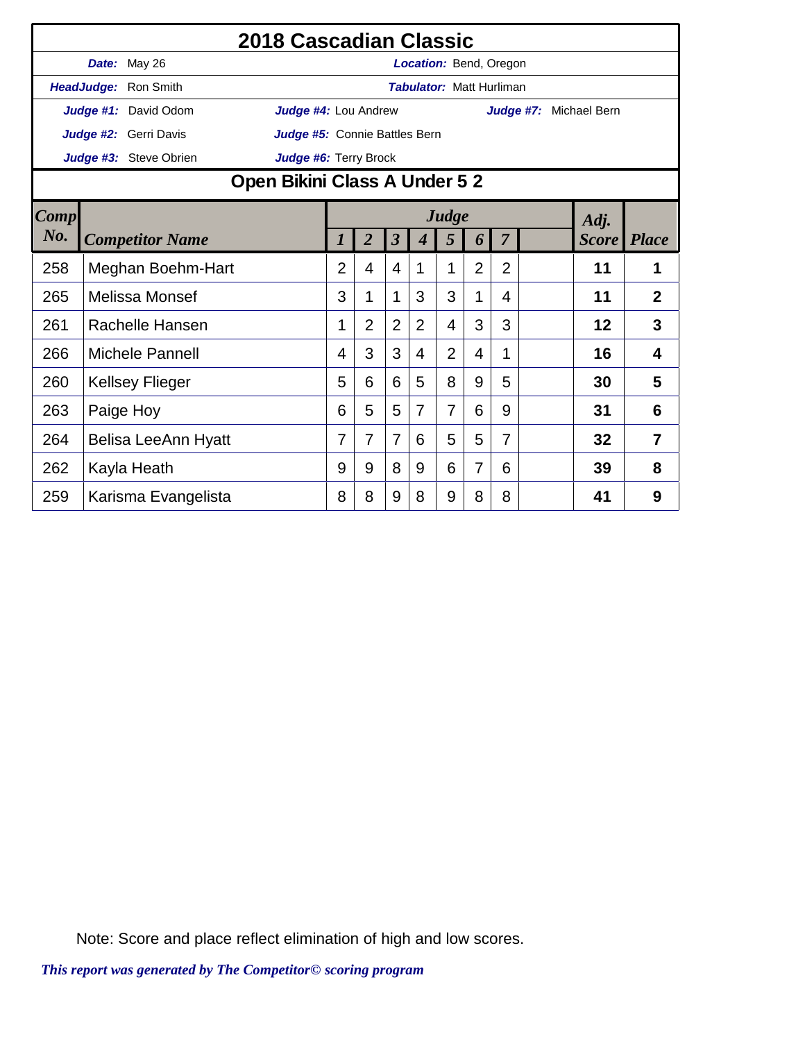|             |                            |                             | 2018 Cascadian Classic                                                                            |                |                |                |                |                                 |                |   |                        |    |                |
|-------------|----------------------------|-----------------------------|---------------------------------------------------------------------------------------------------|----------------|----------------|----------------|----------------|---------------------------------|----------------|---|------------------------|----|----------------|
|             |                            | Date: May 26                |                                                                                                   |                |                |                |                | <b>Location: Bend, Oregon</b>   |                |   |                        |    |                |
|             |                            | <b>HeadJudge: Ron Smith</b> |                                                                                                   |                |                |                |                | <b>Tabulator: Matt Hurliman</b> |                |   |                        |    |                |
|             |                            | Judge #1: David Odom        | Judge #4: Lou Andrew                                                                              |                |                |                |                |                                 |                |   | Judge #7: Michael Bern |    |                |
|             |                            | Judge #2: Gerri Davis       | Judge #5: Connie Battles Bern                                                                     |                |                |                |                |                                 |                |   |                        |    |                |
|             |                            | Judge #3: Steve Obrien      | Judge #6: Terry Brock                                                                             |                |                |                |                |                                 |                |   |                        |    |                |
|             |                            |                             | Open Bikini Class A Under 5 2                                                                     |                |                |                |                |                                 |                |   |                        |    |                |
| <b>Comp</b> |                            |                             | Judge<br>Adj.<br>$\overline{2}$<br>$\boldsymbol{\beta}$<br>7<br><b>Score</b> Place<br>5<br>6<br>4 |                |                |                |                |                                 |                |   |                        |    |                |
| No.         |                            | <b>Competitor Name</b>      |                                                                                                   |                |                |                |                |                                 |                |   |                        |    |                |
| 258         | Meghan Boehm-Hart          |                             | 2                                                                                                 | 4              | 4              | 1              | 1              | $\overline{2}$                  | $\overline{2}$ |   | 11                     | 1  |                |
| 265         |                            | Melissa Monsef              |                                                                                                   | 3              | 1              | 1              | 3              | 3                               | 1              | 4 |                        | 11 | $\overline{2}$ |
| 261         |                            | Rachelle Hansen             |                                                                                                   | 1              | $\overline{2}$ | 2              | $\overline{2}$ | $\overline{4}$                  | 3              | 3 |                        | 12 | 3              |
| 266         |                            | Michele Pannell             |                                                                                                   | 4              | 3              | 3              | 4              | $\overline{2}$                  | 4              | 1 |                        | 16 | 4              |
| 260         |                            | <b>Kellsey Flieger</b>      |                                                                                                   | 5              | 6              | 6              | 5              | 8                               | 9              | 5 |                        | 30 | 5              |
| 263         |                            | Paige Hoy                   |                                                                                                   | 6              | 5              | 5              | $\overline{7}$ | $\overline{7}$                  | 6              | 9 |                        | 31 | 6              |
| 264         | <b>Belisa LeeAnn Hyatt</b> |                             |                                                                                                   | $\overline{7}$ | 7              | $\overline{7}$ | 6              | 5                               | 5              | 7 |                        | 32 | $\overline{7}$ |
| 262         | Kayla Heath                |                             | 9                                                                                                 | 9              | 8              | 9              | 6              | 7                               | 6              |   | 39                     | 8  |                |
| 259         |                            | Karisma Evangelista         |                                                                                                   | 8              | 8              | 9              | 8              | 9                               | 8              | 8 |                        | 41 | 9              |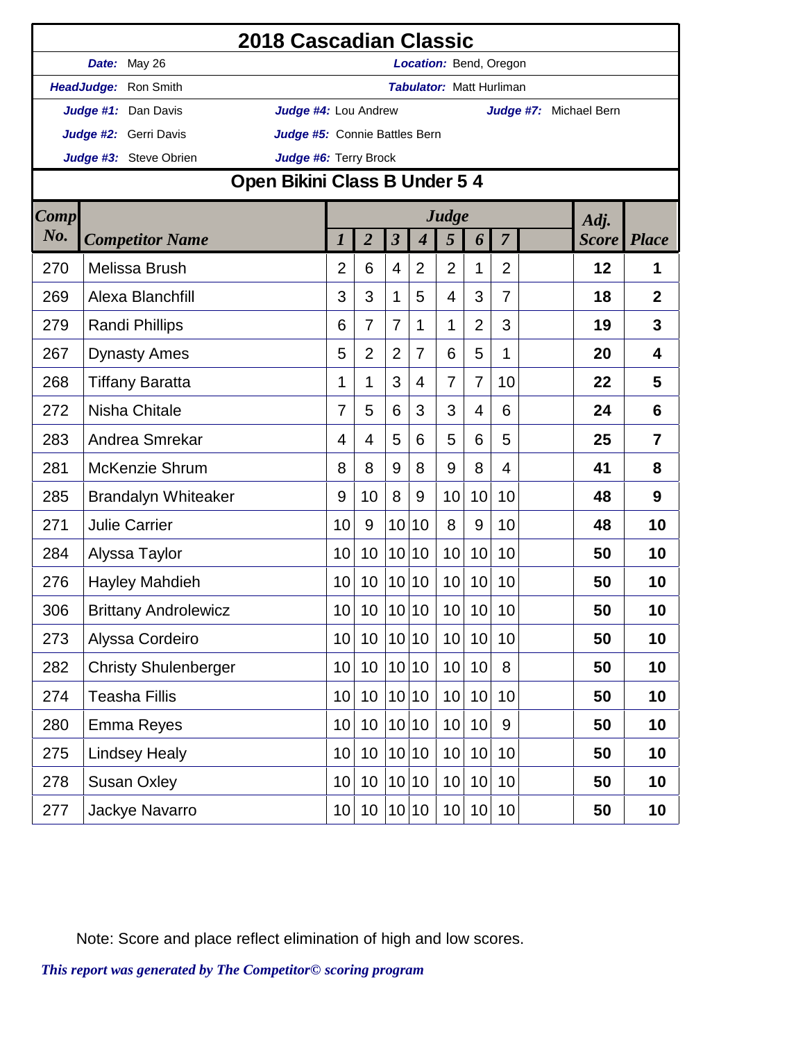|             |                             | 2018 Cascadian Classic        |                 |                      |                  |                                 |                |                |                        |              |                |
|-------------|-----------------------------|-------------------------------|-----------------|----------------------|------------------|---------------------------------|----------------|----------------|------------------------|--------------|----------------|
|             | Date: May 26                |                               |                 |                      |                  | Location: Bend, Oregon          |                |                |                        |              |                |
|             | HeadJudge: Ron Smith        |                               |                 |                      |                  | <b>Tabulator: Matt Hurliman</b> |                |                |                        |              |                |
|             | Judge #1: Dan Davis         | Judge #4: Lou Andrew          |                 |                      |                  |                                 |                |                | Judge #7: Michael Bern |              |                |
|             | Judge #2: Gerri Davis       | Judge #5: Connie Battles Bern |                 |                      |                  |                                 |                |                |                        |              |                |
|             | Judge #3: Steve Obrien      | Judge #6: Terry Brock         |                 |                      |                  |                                 |                |                |                        |              |                |
|             |                             | Open Bikini Class B Under 5 4 |                 |                      |                  |                                 |                |                |                        |              |                |
| <b>Comp</b> |                             |                               |                 |                      |                  | Judge                           |                |                |                        | Adj.         |                |
| No.         | <b>Competitor Name</b>      | 1                             | $\overline{2}$  | $\boldsymbol{\beta}$ | $\boldsymbol{4}$ | 5                               | 6              | $\overline{7}$ |                        | <b>Score</b> | <b>Place</b>   |
| 270         | Melissa Brush               | 2                             | 6               | 4                    | $\overline{2}$   | $\overline{2}$                  | 1              | $\overline{2}$ |                        | 12           | $\mathbf 1$    |
| 269         | Alexa Blanchfill            | 3                             | 3               | 1                    | 5                | 4                               | 3              | $\overline{7}$ |                        | 18           | $\overline{2}$ |
| 279         | <b>Randi Phillips</b>       | 6                             | 7               | 7                    | 1                | 1                               | $\overline{2}$ | 3              |                        | 19           | 3              |
| 267         | <b>Dynasty Ames</b>         | 5                             | $\overline{2}$  | $\overline{2}$       | $\overline{7}$   | 6                               | 5              | 1              |                        | 20           | 4              |
| 268         | <b>Tiffany Baratta</b>      | 1                             | 1               | 3                    | 4                | $\overline{7}$                  | 7              | 10             |                        | 22           | 5              |
| 272         | Nisha Chitale               | 7                             | 5               | 6                    | 3                | 3                               | 4              | 6              |                        | 24           | 6              |
| 283         | Andrea Smrekar              | 4                             | 4               | 5                    | 6                | 5                               | 6              | 5              |                        | 25           | $\overline{7}$ |
| 281         | <b>McKenzie Shrum</b>       | 8                             | 8               | 9                    | 8                | 9                               | 8              | 4              |                        | 41           | 8              |
| 285         | <b>Brandalyn Whiteaker</b>  | 9                             | 10              | 8                    | 9                | 10                              | 10             | 10             |                        | 48           | 9              |
| 271         | <b>Julie Carrier</b>        | 10                            | 9               | 10                   | 10               | 8                               | 9              | 10             |                        | 48           | 10             |
| 284         | Alyssa Taylor               | 10                            | 10              | 10 <sup>1</sup>      | 10               | 10                              | 10             | 10             |                        | 50           | 10             |
| 276         | <b>Hayley Mahdieh</b>       | 10                            | 10 <sup>°</sup> |                      | 10 10            | 10                              | 10             | 10             |                        | 50           | 10             |
| 306         | <b>Brittany Androlewicz</b> | 10                            | 10 <sup>°</sup> |                      | 10 10            | 10 <sup>1</sup>                 | 10             | 10             |                        | 50           | 10             |
| 273         | Alyssa Cordeiro             | 10                            | 10 <sup>°</sup> |                      | 10 10            | 10                              | 10             | 10             |                        | 50           | 10             |
| 282         | <b>Christy Shulenberger</b> | 10                            | 10              |                      | 10 10            | 10                              | 10             | 8              |                        | 50           | 10             |
| 274         | <b>Teasha Fillis</b>        | 10                            | 10              | 10 <sup>1</sup>      | 10               | 10                              | 10             | 10             |                        | 50           | 10             |
| 280         | <b>Emma Reyes</b>           | 10                            | 10 <sup>°</sup> |                      | 10 10            | 10                              | 10             | 9              |                        | 50           | 10             |
| 275         | <b>Lindsey Healy</b>        | 10                            | 10              |                      | 10 10            | 10                              | 10             | 10             |                        | 50           | 10             |
| 278         | <b>Susan Oxley</b>          | 10                            | 10 <sup>°</sup> |                      | 10 10            | 10                              | 10             | 10             |                        | 50           | 10             |
| 277         | Jackye Navarro              | 10                            | 10 <sup>°</sup> |                      | 10 10            | 10                              | 10             | 10             |                        | 50           | 10             |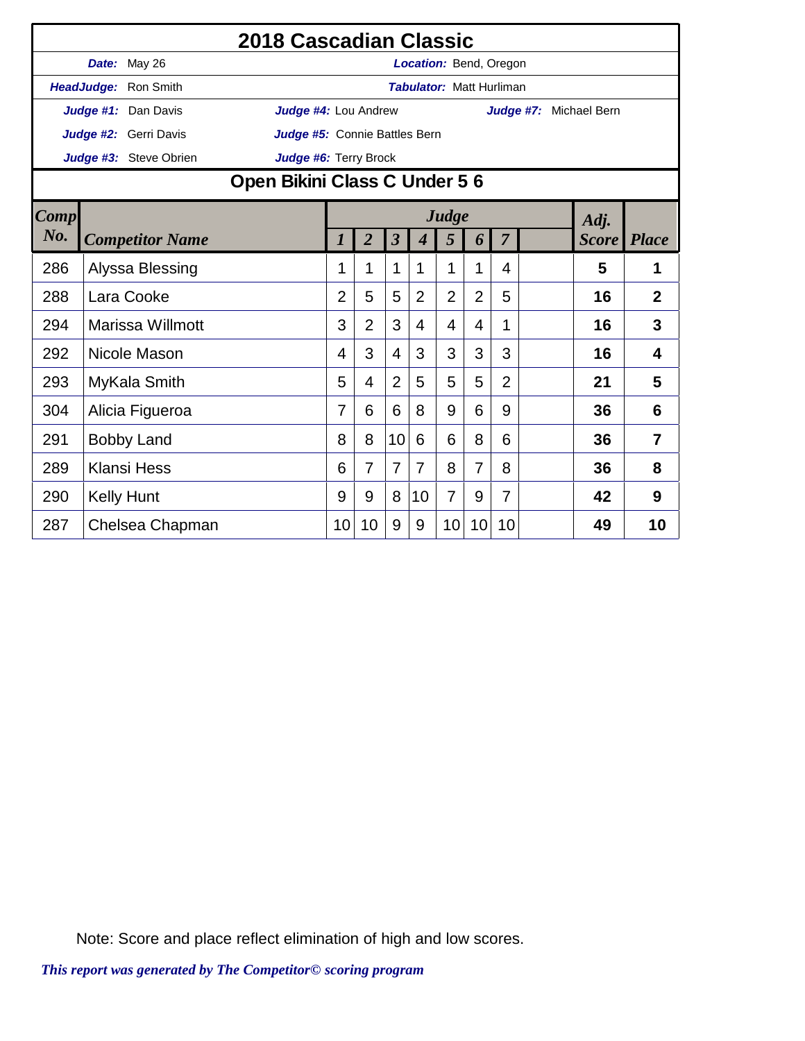|             |                                                                                                                                   | 2018 Cascadian Classic        |                |                |                |                |                                 |                |                |                        |              |                |
|-------------|-----------------------------------------------------------------------------------------------------------------------------------|-------------------------------|----------------|----------------|----------------|----------------|---------------------------------|----------------|----------------|------------------------|--------------|----------------|
|             | Date: May 26                                                                                                                      |                               |                |                |                |                | Location: Bend, Oregon          |                |                |                        |              |                |
|             | HeadJudge: Ron Smith                                                                                                              |                               |                |                |                |                | <b>Tabulator: Matt Hurliman</b> |                |                |                        |              |                |
|             | Judge #1: Dan Davis                                                                                                               | Judge #4: Lou Andrew          |                |                |                |                |                                 |                |                | Judge #7: Michael Bern |              |                |
|             | Judge #2: Gerri Davis                                                                                                             | Judge #5: Connie Battles Bern |                |                |                |                |                                 |                |                |                        |              |                |
|             | Judge #3: Steve Obrien                                                                                                            | Judge #6: Terry Brock         |                |                |                |                |                                 |                |                |                        |              |                |
|             |                                                                                                                                   | Open Bikini Class C Under 5 6 |                |                |                |                |                                 |                |                |                        |              |                |
| <b>Comp</b> | Judge<br>$\overline{2}$<br>$\overline{\mathbf{3}}$<br>$\overline{7}$<br>5<br><b>Competitor Name</b><br>1<br>$\boldsymbol{4}$<br>6 |                               |                |                |                |                |                                 |                | Adj.           |                        |              |                |
| No.         |                                                                                                                                   |                               |                |                |                |                |                                 |                |                |                        | <b>Score</b> | <b>Place</b>   |
| 286         |                                                                                                                                   |                               | 1              | 1              | 1              | 1              | 1                               | 1              | 4              |                        | 5            | 1              |
| 288         | Alyssa Blessing<br>Lara Cooke                                                                                                     |                               |                |                | 5              | $\overline{2}$ | $\overline{2}$                  | $\overline{2}$ | 5              |                        | 16           | $\overline{2}$ |
| 294         | Marissa Willmott                                                                                                                  |                               | 3              | $\overline{2}$ | 3              | 4              | 4                               | 4              | 1              |                        | 16           | 3              |
| 292         | Nicole Mason                                                                                                                      |                               | 4              | 3              | $\overline{4}$ | 3              | 3                               | 3              | 3              |                        | 16           | $\overline{4}$ |
| 293         | MyKala Smith                                                                                                                      |                               | 5              | 4              | $\overline{2}$ | 5              | 5                               | 5              | $\overline{2}$ |                        | 21           | 5              |
| 304         | Alicia Figueroa                                                                                                                   |                               | $\overline{7}$ | 6              | 6              | 8              | 9                               | 6              | 9              |                        | 36           | 6              |
| 291         | <b>Bobby Land</b>                                                                                                                 |                               | 8              | 8              | 10             | 6              | 6                               | 8              | 6              |                        | 36           | 7              |
| 289         | <b>Klansi Hess</b>                                                                                                                |                               |                | $\overline{7}$ | $\overline{7}$ | 7              | 8                               | $\overline{7}$ | 8              |                        | 36           | 8              |
| 290         | <b>Kelly Hunt</b>                                                                                                                 |                               | 9              | 9              | 8              | 10             | $\overline{7}$                  | 9              | $\overline{7}$ |                        | 42           | 9              |
| 287         | Chelsea Chapman                                                                                                                   |                               | 10             | 10             | 9              | 9              | 10                              | 10             | 10             |                        | 49           | 10             |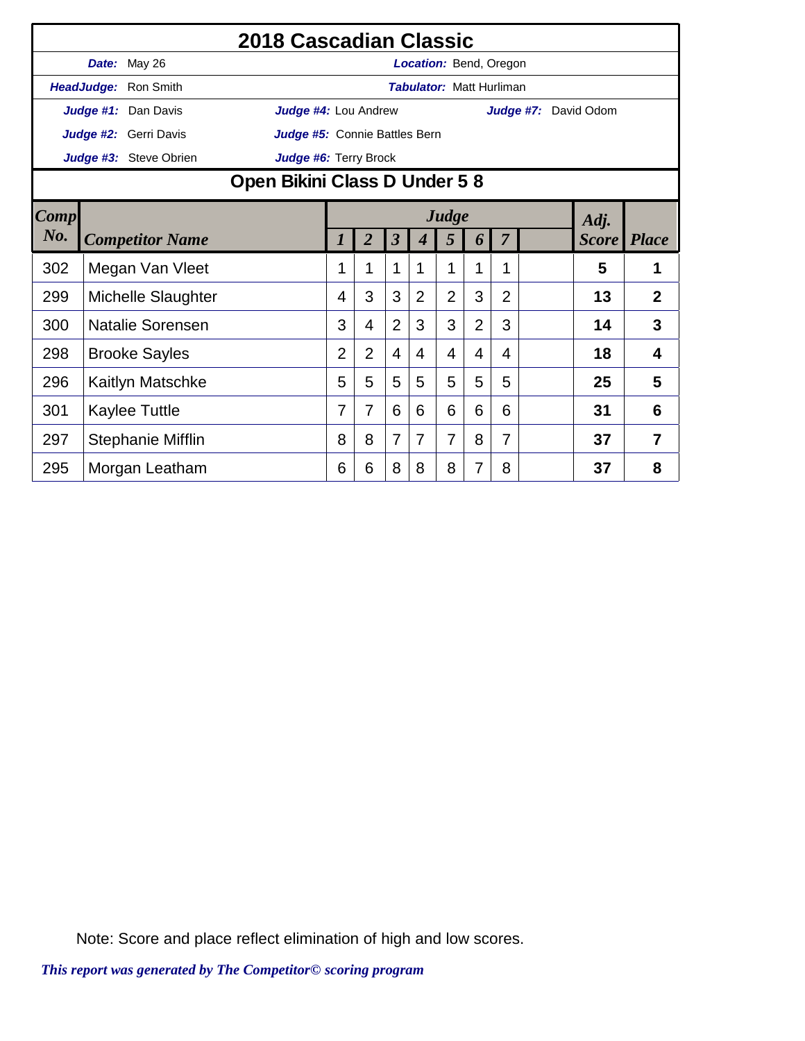|      | 2018 Cascadian Classic<br>Date: May 26<br><b>Location: Bend, Oregon</b> |                         |                               |                |                |                         |                |                                 |                |                |                             |              |                |
|------|-------------------------------------------------------------------------|-------------------------|-------------------------------|----------------|----------------|-------------------------|----------------|---------------------------------|----------------|----------------|-----------------------------|--------------|----------------|
|      |                                                                         |                         |                               |                |                |                         |                |                                 |                |                |                             |              |                |
|      |                                                                         | HeadJudge: Ron Smith    |                               |                |                |                         |                | <b>Tabulator: Matt Hurliman</b> |                |                |                             |              |                |
|      |                                                                         | Judge #1: Dan Davis     | Judge #4: Lou Andrew          |                |                |                         |                |                                 |                |                | <b>Judge #7:</b> David Odom |              |                |
|      |                                                                         | Judge #2: Gerri Davis   | Judge #5: Connie Battles Bern |                |                |                         |                |                                 |                |                |                             |              |                |
|      |                                                                         | Judge #3: Steve Obrien  | Judge #6: Terry Brock         |                |                |                         |                |                                 |                |                |                             |              |                |
|      |                                                                         |                         | Open Bikini Class D Under 58  |                |                |                         |                |                                 |                |                |                             |              |                |
| Comp |                                                                         |                         | Judge<br>Adj.                 |                |                |                         |                |                                 |                |                |                             |              |                |
| No.  |                                                                         | <b>Competitor Name</b>  |                               | 1              | $\overline{2}$ | $\overline{\mathbf{3}}$ | 4              | 5                               | 6              | $\overline{7}$ |                             | <b>Score</b> | <b>Place</b>   |
| 302  |                                                                         | Megan Van Vleet         |                               | 1              | 1              | 1                       | 1              | 1                               | 1              | 1              |                             | 5            | 1              |
| 299  |                                                                         | Michelle Slaughter      |                               | 4              | 3              | 3                       | $\overline{2}$ | $\overline{2}$                  | 3              | $\overline{2}$ |                             | 13           | $\overline{2}$ |
| 300  |                                                                         | <b>Natalie Sorensen</b> |                               | 3              | 4              | $\overline{2}$          | 3              | 3                               | $\overline{2}$ | 3              |                             | 14           | 3              |
| 298  |                                                                         | <b>Brooke Sayles</b>    |                               | $\overline{2}$ | $\overline{2}$ | 4                       | 4              | 4                               | 4              | 4              |                             | 18           | 4              |
| 296  |                                                                         | Kaitlyn Matschke        |                               | 5              | 5              | 5                       | 5              | 5                               | 5              | 5              |                             | 25           | 5              |
| 301  |                                                                         | <b>Kaylee Tuttle</b>    |                               | 7              | 7              | 6                       | 6              | 6                               | 6              | 6              |                             | 31           | 6              |
| 297  |                                                                         | Stephanie Mifflin       |                               | 8              | 8              | $\overline{7}$          | 7              | 7                               | 8              | $\overline{7}$ |                             | 37           | $\overline{7}$ |
| 295  |                                                                         | Morgan Leatham          |                               | 6              | 6              | 8                       | 8              | 8                               | 7              | 8              |                             | 37           | 8              |